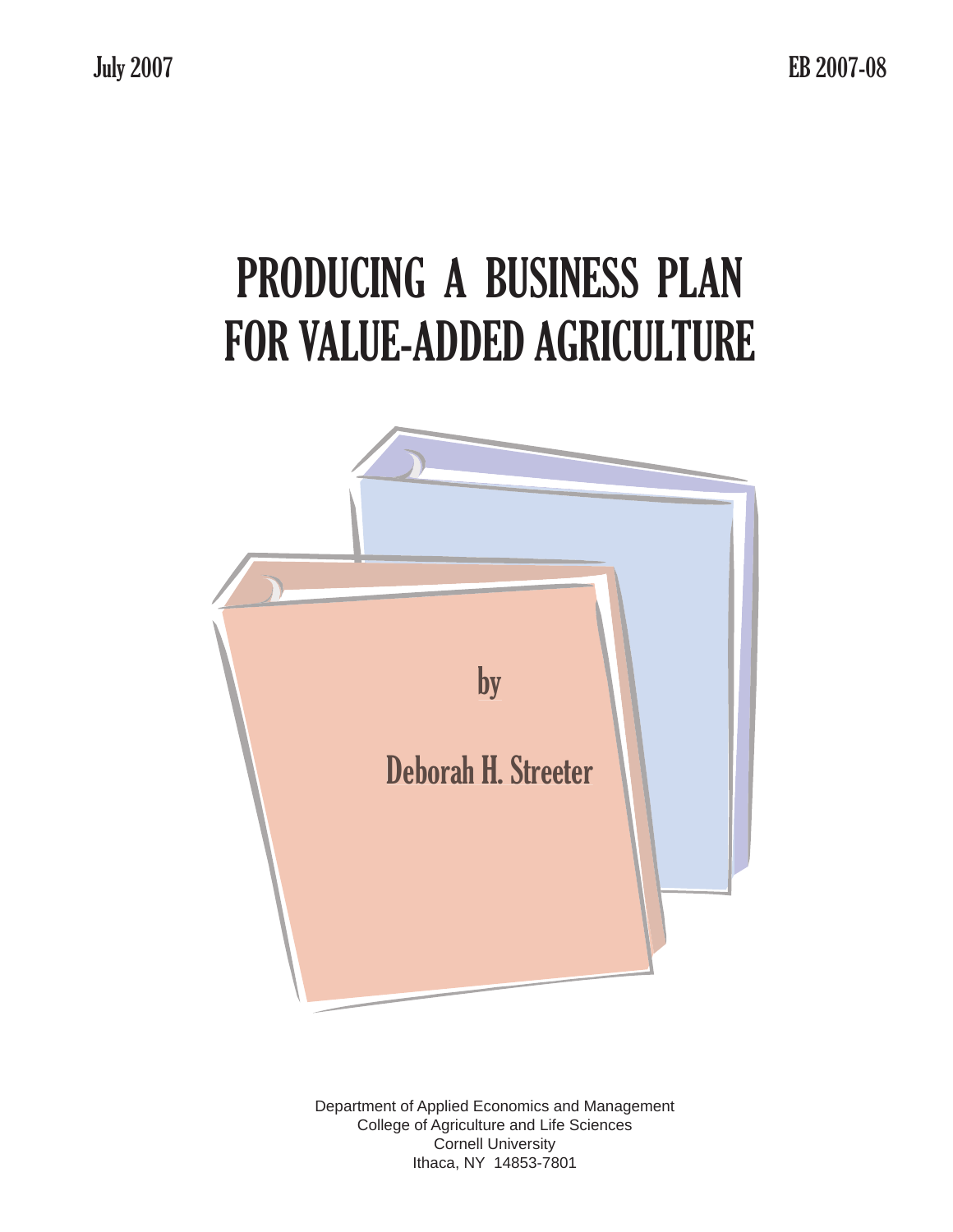# PRODUCING A BUSINESS PLAN FOR VALUE-ADDED AGRICULTURE



Department of Applied Economics and Management College of Agriculture and Life Sciences Cornell University Ithaca, NY 14853-7801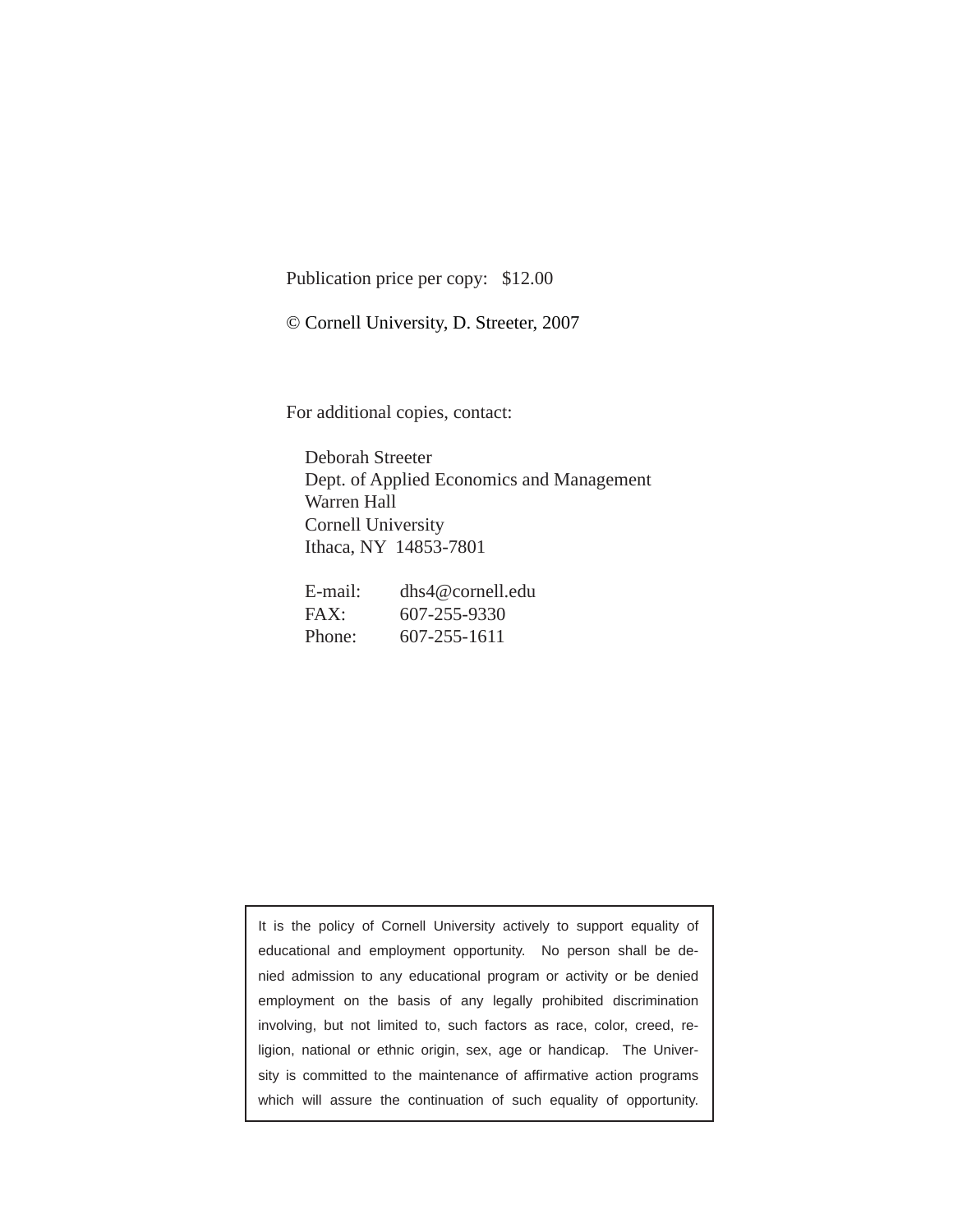Publication price per copy: \$12.00

© Cornell University, D. Streeter, 2007

For additional copies, contact:

Deborah Streeter Dept. of Applied Economics and Management Warren Hall Cornell University Ithaca, NY 14853-7801

| E-mail: | dhs4@cornell.edu |
|---------|------------------|
| FAX:    | 607-255-9330     |
| Phone:  | 607-255-1611     |

It is the policy of Cornell University actively to support equality of educational and employment opportunity. No person shall be denied admission to any educational program or activity or be denied employment on the basis of any legally prohibited discrimination involving, but not limited to, such factors as race, color, creed, religion, national or ethnic origin, sex, age or handicap. The University is committed to the maintenance of affirmative action programs which will assure the continuation of such equality of opportunity.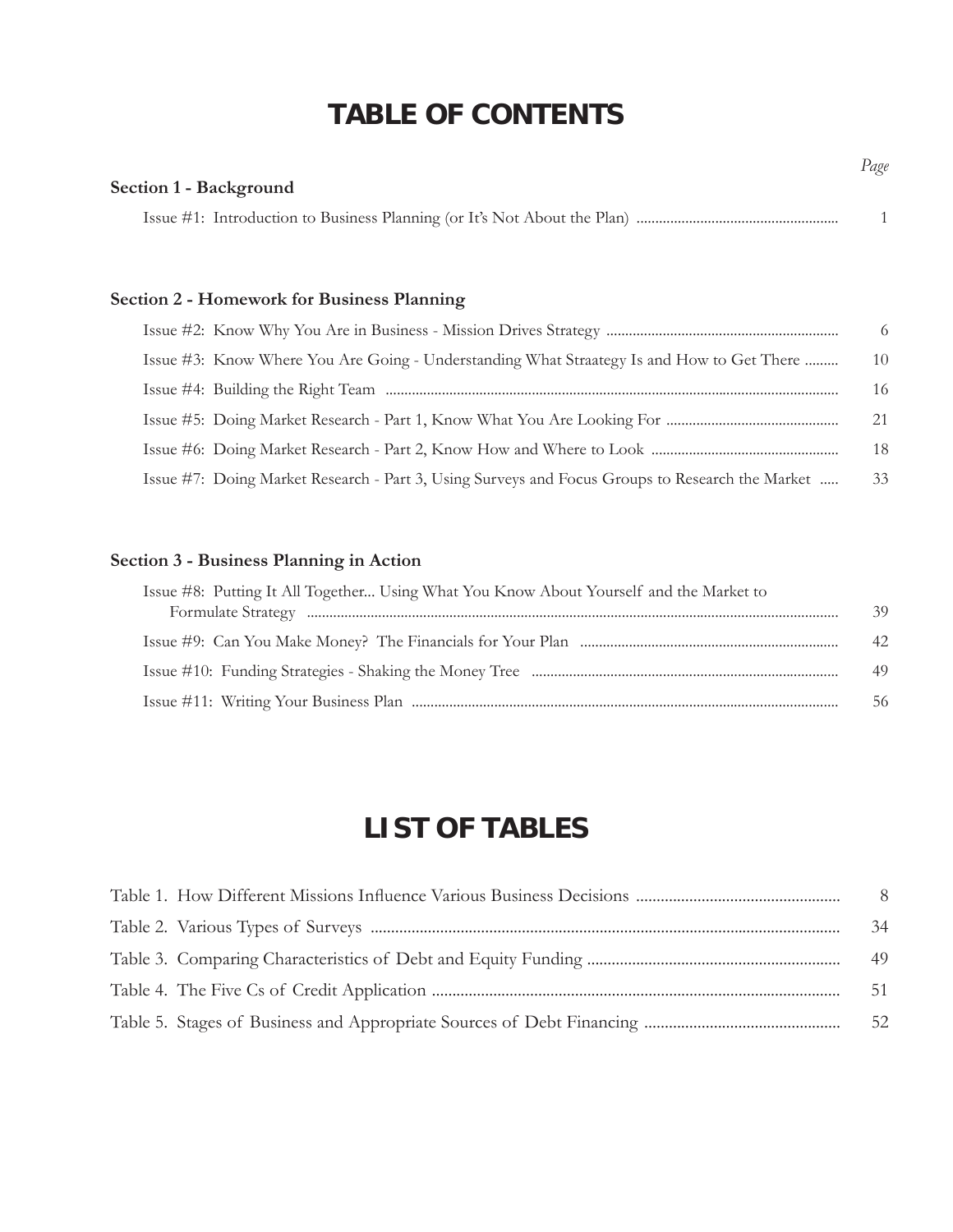# **TABLE OF CONTENTS**

| <b>Section 1 - Background</b> |  |
|-------------------------------|--|
|                               |  |

*Page*

# **Section 2 - Homework for Business Planning**

|                                                                                                 | -6 |
|-------------------------------------------------------------------------------------------------|----|
| Issue #3: Know Where You Are Going - Understanding What Straategy Is and How to Get There       | 10 |
|                                                                                                 | 16 |
|                                                                                                 | 21 |
|                                                                                                 | 18 |
| Issue #7: Doing Market Research - Part 3, Using Surveys and Focus Groups to Research the Market | 33 |

# **Section 3 - Business Planning in Action**

| Issue #8: Putting It All Together Using What You Know About Yourself and the Market to | 39 |
|----------------------------------------------------------------------------------------|----|
|                                                                                        |    |
|                                                                                        | 42 |
|                                                                                        | 49 |
|                                                                                        | 56 |

# **LIST OF TABLES**

|  | - 8 |
|--|-----|
|  | 34  |
|  | 49  |
|  | 51  |
|  | 52  |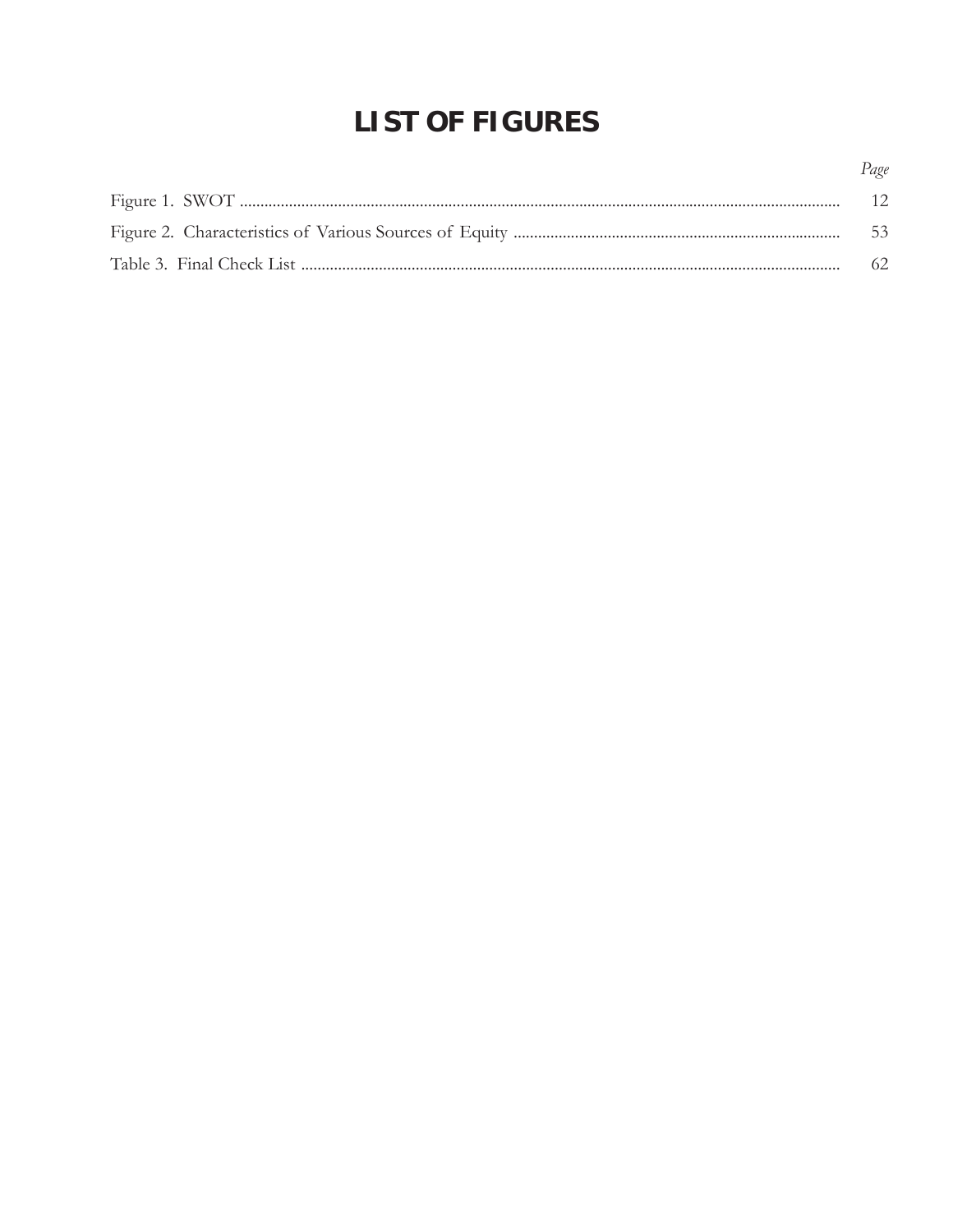# **LIST OF FIGURES**

| Page |
|------|
| 12   |
| -53  |
| - 62 |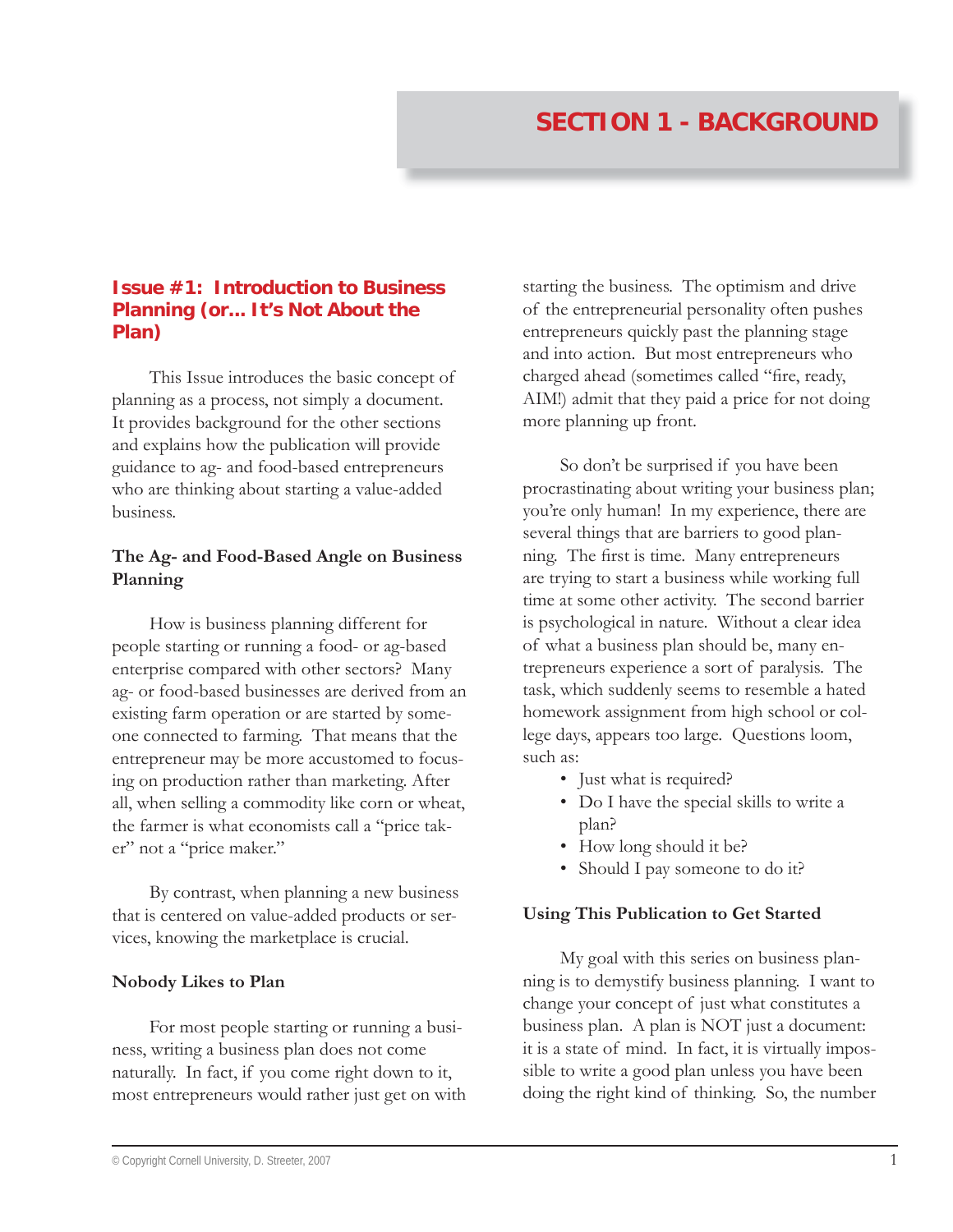# **Issue #1: Introduction to Business Planning (or... It's Not About the Plan)**

This Issue introduces the basic concept of planning as a process, not simply a document. It provides background for the other sections and explains how the publication will provide guidance to ag- and food-based entrepreneurs who are thinking about starting a value-added business.

# **The Ag- and Food-Based Angle on Business Planning**

How is business planning different for people starting or running a food- or ag-based enterprise compared with other sectors? Many ag- or food-based businesses are derived from an existing farm operation or are started by someone connected to farming. That means that the entrepreneur may be more accustomed to focusing on production rather than marketing. After all, when selling a commodity like corn or wheat, the farmer is what economists call a "price taker" not a "price maker."

By contrast, when planning a new business that is centered on value-added products or services, knowing the marketplace is crucial.

#### **Nobody Likes to Plan**

For most people starting or running a business, writing a business plan does not come naturally. In fact, if you come right down to it, most entrepreneurs would rather just get on with

starting the business. The optimism and drive of the entrepreneurial personality often pushes entrepreneurs quickly past the planning stage and into action. But most entrepreneurs who charged ahead (sometimes called "fire, ready, AIM!) admit that they paid a price for not doing more planning up front.

So don't be surprised if you have been procrastinating about writing your business plan; you're only human! In my experience, there are several things that are barriers to good planning. The first is time. Many entrepreneurs are trying to start a business while working full time at some other activity. The second barrier is psychological in nature. Without a clear idea of what a business plan should be, many entrepreneurs experience a sort of paralysis. The task, which suddenly seems to resemble a hated homework assignment from high school or college days, appears too large. Questions loom, such as:

- Just what is required?
- Do I have the special skills to write a plan?
- How long should it be?
- Should I pay someone to do it?

#### **Using This Publication to Get Started**

My goal with this series on business planning is to demystify business planning. I want to change your concept of just what constitutes a business plan. A plan is NOT just a document: it is a state of mind. In fact, it is virtually impossible to write a good plan unless you have been doing the right kind of thinking. So, the number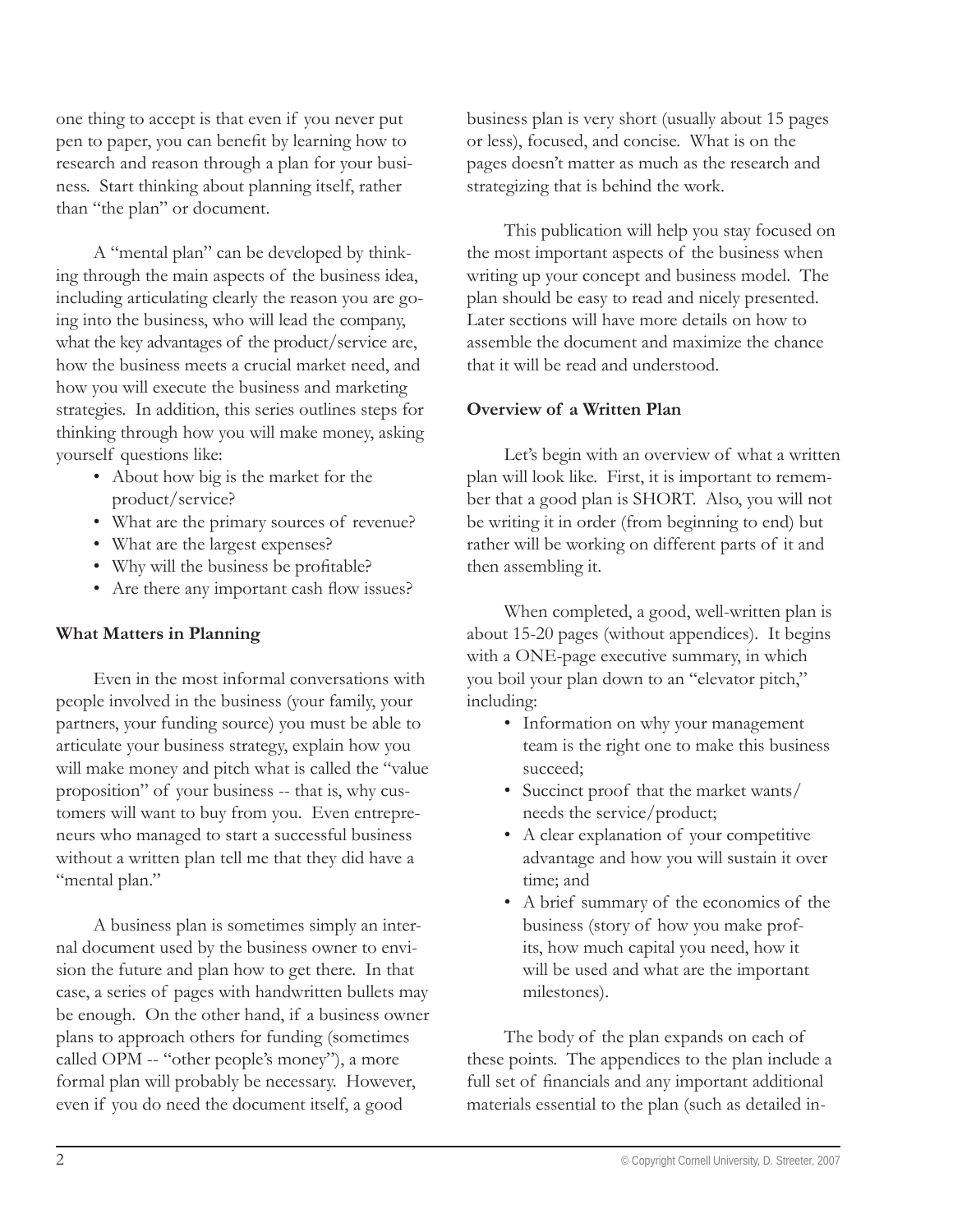one thing to accept is that even if you never put pen to paper, you can benefit by learning how to research and reason through a plan for your business. Start thinking about planning itself, rather than "the plan" or document.

A "mental plan" can be developed by thinking through the main aspects of the business idea, including articulating clearly the reason you are going into the business, who will lead the company, what the key advantages of the product/service are, how the business meets a crucial market need, and how you will execute the business and marketing strategies. In addition, this series outlines steps for thinking through how you will make money, asking yourself questions like:

- About how big is the market for the product/service?
- What are the primary sources of revenue? •
- What are the largest expenses? •
- Why will the business be profitable?
- Are there any important cash flow issues?

# **What Matters in Planning**

Even in the most informal conversations with people involved in the business (your family, your partners, your funding source) you must be able to articulate your business strategy, explain how you will make money and pitch what is called the "value proposition" of your business -- that is, why customers will want to buy from you. Even entrepreneurs who managed to start a successful business without a written plan tell me that they did have a "mental plan."

A business plan is sometimes simply an internal document used by the business owner to envision the future and plan how to get there. In that case, a series of pages with handwritten bullets may be enough. On the other hand, if a business owner plans to approach others for funding (sometimes called OPM -- "other people's money"), a more formal plan will probably be necessary. However, even if you do need the document itself, a good

business plan is very short (usually about 15 pages or less), focused, and concise. What is on the pages doesn't matter as much as the research and strategizing that is behind the work.

This publication will help you stay focused on the most important aspects of the business when writing up your concept and business model. The plan should be easy to read and nicely presented. Later sections will have more details on how to assemble the document and maximize the chance that it will be read and understood.

#### **Overview of a Written Plan**

Let's begin with an overview of what a written plan will look like. First, it is important to remember that a good plan is SHORT. Also, you will not be writing it in order (from beginning to end) but rather will be working on different parts of it and then assembling it.

When completed, a good, well-written plan is about 15-20 pages (without appendices). It begins with a ONE-page executive summary, in which you boil your plan down to an "elevator pitch," including:

- Information on why your management team is the right one to make this business succeed;
- Succinct proof that the market wants/ needs the service/product;
- A clear explanation of your competitive advantage and how you will sustain it over time; and
- A brief summary of the economics of the •business (story of how you make profits, how much capital you need, how it will be used and what are the important milestones).

The body of the plan expands on each of these points. The appendices to the plan include a full set of financials and any important additional materials essential to the plan (such as detailed in-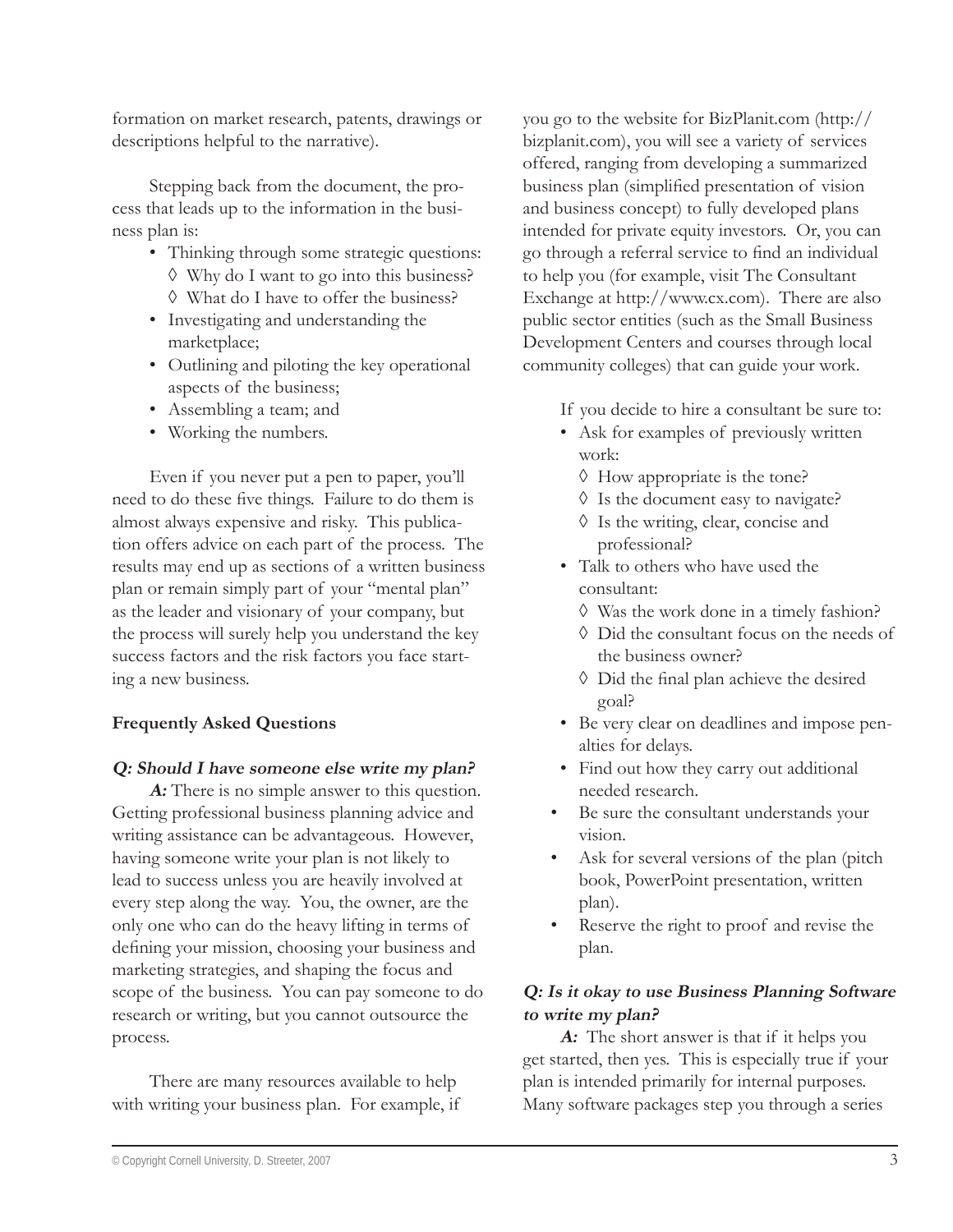formation on market research, patents, drawings or descriptions helpful to the narrative).

Stepping back from the document, the process that leads up to the information in the business plan is:

- Thinking through some strategic questions: Why do I want to go into this business? ◊
- What do I have to offer the business? ◊
- Investigating and understanding the marketplace;
- Outlining and piloting the key operational aspects of the business;
- Assembling a team; and
- Working the numbers. •

Even if you never put a pen to paper, you'll need to do these five things. Failure to do them is almost always expensive and risky. This publication offers advice on each part of the process. The results may end up as sections of a written business plan or remain simply part of your "mental plan" as the leader and visionary of your company, but the process will surely help you understand the key success factors and the risk factors you face starting a new business.

#### **Frequently Asked Questions**

#### **Q: Should I have someone else write my plan?**

**A:** There is no simple answer to this question. Getting professional business planning advice and writing assistance can be advantageous. However, having someone write your plan is not likely to lead to success unless you are heavily involved at every step along the way. You, the owner, are the only one who can do the heavy lifting in terms of defining your mission, choosing your business and marketing strategies, and shaping the focus and scope of the business. You can pay someone to do research or writing, but you cannot outsource the process.

There are many resources available to help with writing your business plan. For example, if you go to the website for BizPlanit.com (http:// bizplanit.com), you will see a variety of services offered, ranging from developing a summarized business plan (simplified presentation of vision and business concept) to fully developed plans intended for private equity investors. Or, you can go through a referral service to find an individual to help you (for example, visit The Consultant Exchange at http://www.cx.com). There are also public sector entities (such as the Small Business Development Centers and courses through local community colleges) that can guide your work.

- If you decide to hire a consultant be sure to:
- Ask for examples of previously written work:
	- $\Diamond$  How appropriate is the tone?
	- Is the document easy to navigate? ◊
	- Is the writing, clear, concise and ◊ professional?
- Talk to others who have used the consultant:
	- Was the work done in a timely fashion? ◊
	- Did the consultant focus on the needs of ◊ the business owner?
	- $\Diamond$  Did the final plan achieve the desired goal?
- Be very clear on deadlines and impose pen-• alties for delays.
- Find out how they carry out additional needed research.
- Be sure the consultant understands your vision. •
- Ask for several versions of the plan (pitch book, PowerPoint presentation, written plan). •
- Reserve the right to proof and revise the plan. •

# **Q: Is it okay to use Business Planning Software to write my plan?**

**A:** The short answer is that if it helps you get started, then yes. This is especially true if your plan is intended primarily for internal purposes. Many software packages step you through a series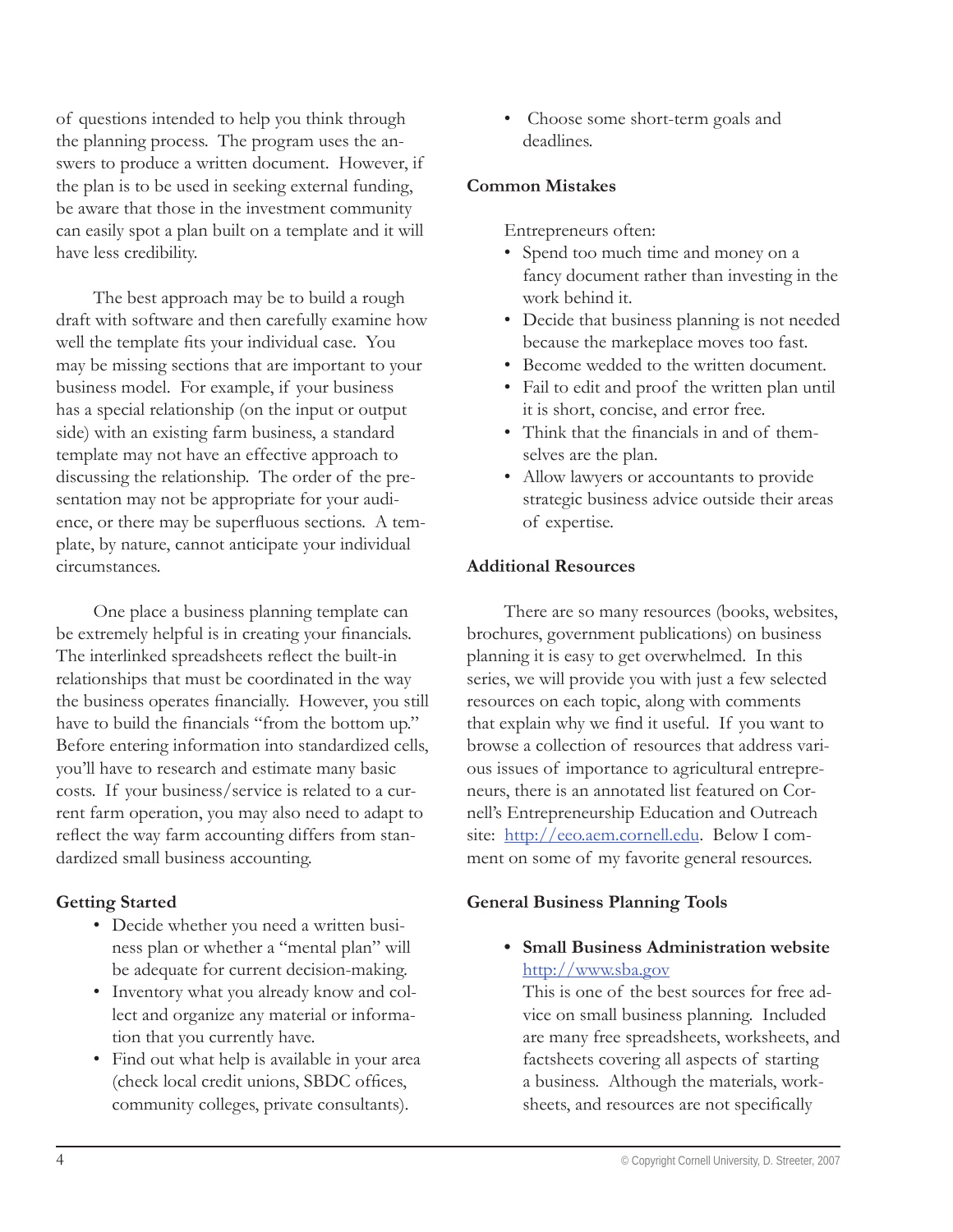of questions intended to help you think through the planning process. The program uses the answers to produce a written document. However, if the plan is to be used in seeking external funding, be aware that those in the investment community can easily spot a plan built on a template and it will have less credibility.

The best approach may be to build a rough draft with software and then carefully examine how well the template fits your individual case. You may be missing sections that are important to your business model. For example, if your business has a special relationship (on the input or output side) with an existing farm business, a standard template may not have an effective approach to discussing the relationship. The order of the presentation may not be appropriate for your audience, or there may be superfluous sections. A template, by nature, cannot anticipate your individual circumstances.

One place a business planning template can be extremely helpful is in creating your financials. The interlinked spreadsheets reflect the built-in relationships that must be coordinated in the way the business operates financially. However, you still have to build the financials "from the bottom up." Before entering information into standardized cells, you'll have to research and estimate many basic costs. If your business/service is related to a current farm operation, you may also need to adapt to reflect the way farm accounting differs from standardized small business accounting.

#### **Getting Started**

- Decide whether you need a written busi-• ness plan or whether a "mental plan" will be adequate for current decision-making.
- Inventory what you already know and collect and organize any material or information that you currently have.
- Find out what help is available in your area (check local credit unions, SBDC offices, community colleges, private consultants).

 Choose some short-term goals and deadlines. •

#### **Common Mistakes**

Entrepreneurs often:

- Spend too much time and money on a fancy document rather than investing in the work behind it.
- Decide that business planning is not needed because the markeplace moves too fast.
- Become wedded to the written document.
- Fail to edit and proof the written plan until it is short, concise, and error free.
- Think that the financials in and of themselves are the plan.
- Allow lawyers or accountants to provide strategic business advice outside their areas of expertise.

#### **Additional Resources**

There are so many resources (books, websites, brochures, government publications) on business planning it is easy to get overwhelmed. In this series, we will provide you with just a few selected resources on each topic, along with comments that explain why we find it useful. If you want to browse a collection of resources that address various issues of importance to agricultural entrepreneurs, there is an annotated list featured on Cornell's Entrepreneurship Education and Outreach site: http://eeo.aem.cornell.edu. Below I comment on some of my favorite general resources.

#### **General Business Planning Tools**

**Small Business Administration website •**http://www.sba.gov

This is one of the best sources for free advice on small business planning. Included are many free spreadsheets, worksheets, and factsheets covering all aspects of starting a business. Although the materials, worksheets, and resources are not specifically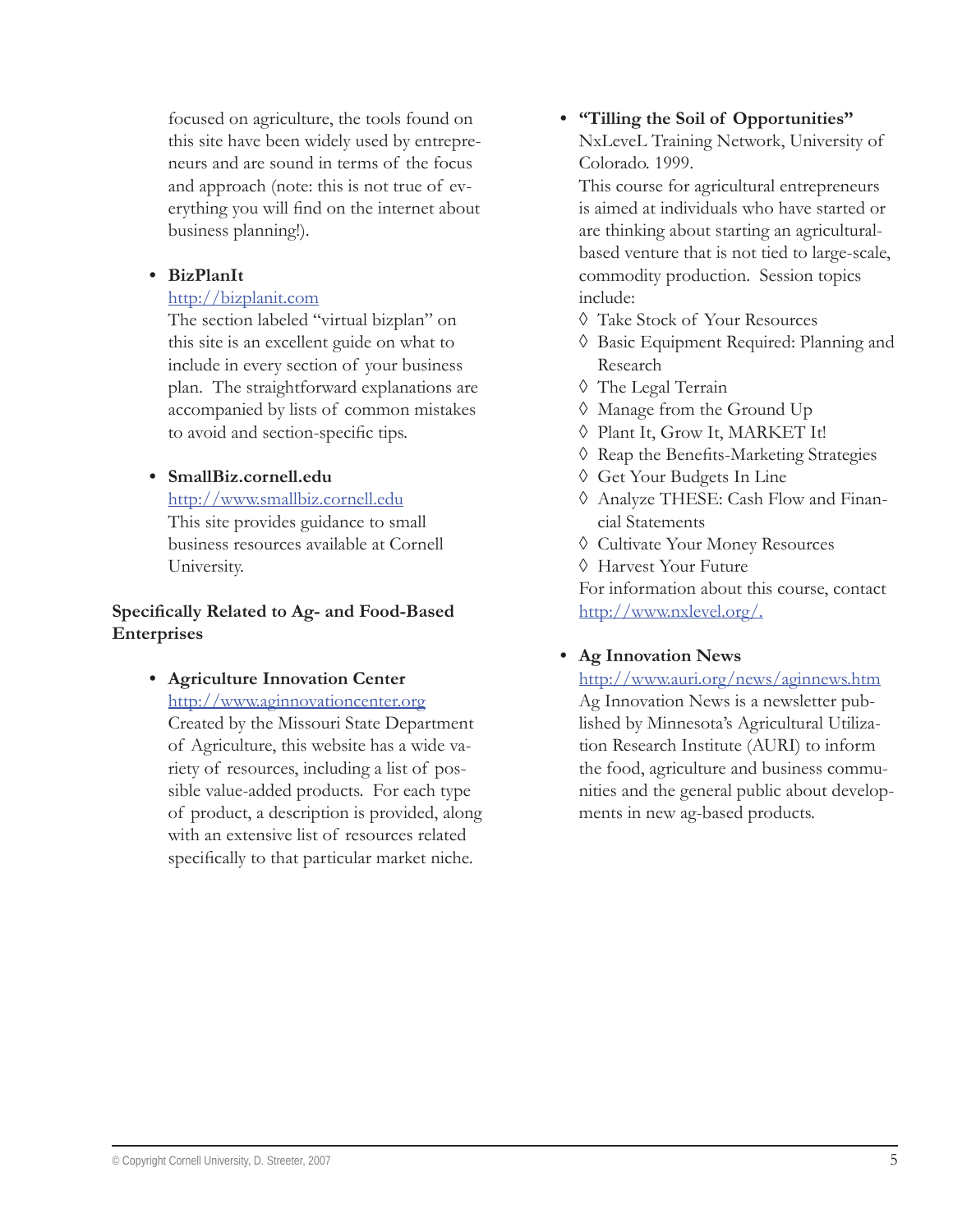focused on agriculture, the tools found on this site have been widely used by entrepreneurs and are sound in terms of the focus and approach (note: this is not true of everything you will find on the internet about business planning!).

#### **BizPlanIt •**

#### http://bizplanit.com

The section labeled "virtual bizplan" on this site is an excellent guide on what to include in every section of your business plan. The straightforward explanations are accompanied by lists of common mistakes to avoid and section-specific tips.

#### **SmallBiz.cornell.edu •**

http://www.smallbiz.cornell.edu This site provides guidance to small business resources available at Cornell University.

#### **Specifically Related to Ag- and Food-Based Enterprises**

# **Agriculture Innovation Center •**

http://www.aginnovationcenter.org Created by the Missouri State Department of Agriculture, this website has a wide variety of resources, including a list of possible value-added products. For each type of product, a description is provided, along with an extensive list of resources related

specifically to that particular market niche.

# **"Tilling the Soil of Opportunities" •** NxLeveL Training Network, University of

Colorado. 1999.

This course for agricultural entrepreneurs is aimed at individuals who have started or are thinking about starting an agriculturalbased venture that is not tied to large-scale, commodity production. Session topics include:

- Take Stock of Your Resources ◊
- Basic Equipment Required: Planning and ◊ Research
- The Legal Terrain ◊
- Manage from the Ground Up ◊
- Plant It, Grow It, MARKET It! ◊
- ◊ Reap the Benefits-Marketing Strategies
- ♦ Get Your Budgets In Line
- Analyze THESE: Cash Flow and Finan-◊ cial Statements
- Cultivate Your Money Resources ◊
- Harvest Your Future ◊

For information about this course, contact http://www.nxlevel.org/.

# **Ag Innovation News •**

#### http://www.auri.org/news/aginnews.htm

Ag Innovation News is a newsletter published by Minnesota's Agricultural Utilization Research Institute (AURI) to inform the food, agriculture and business communities and the general public about developments in new ag-based products.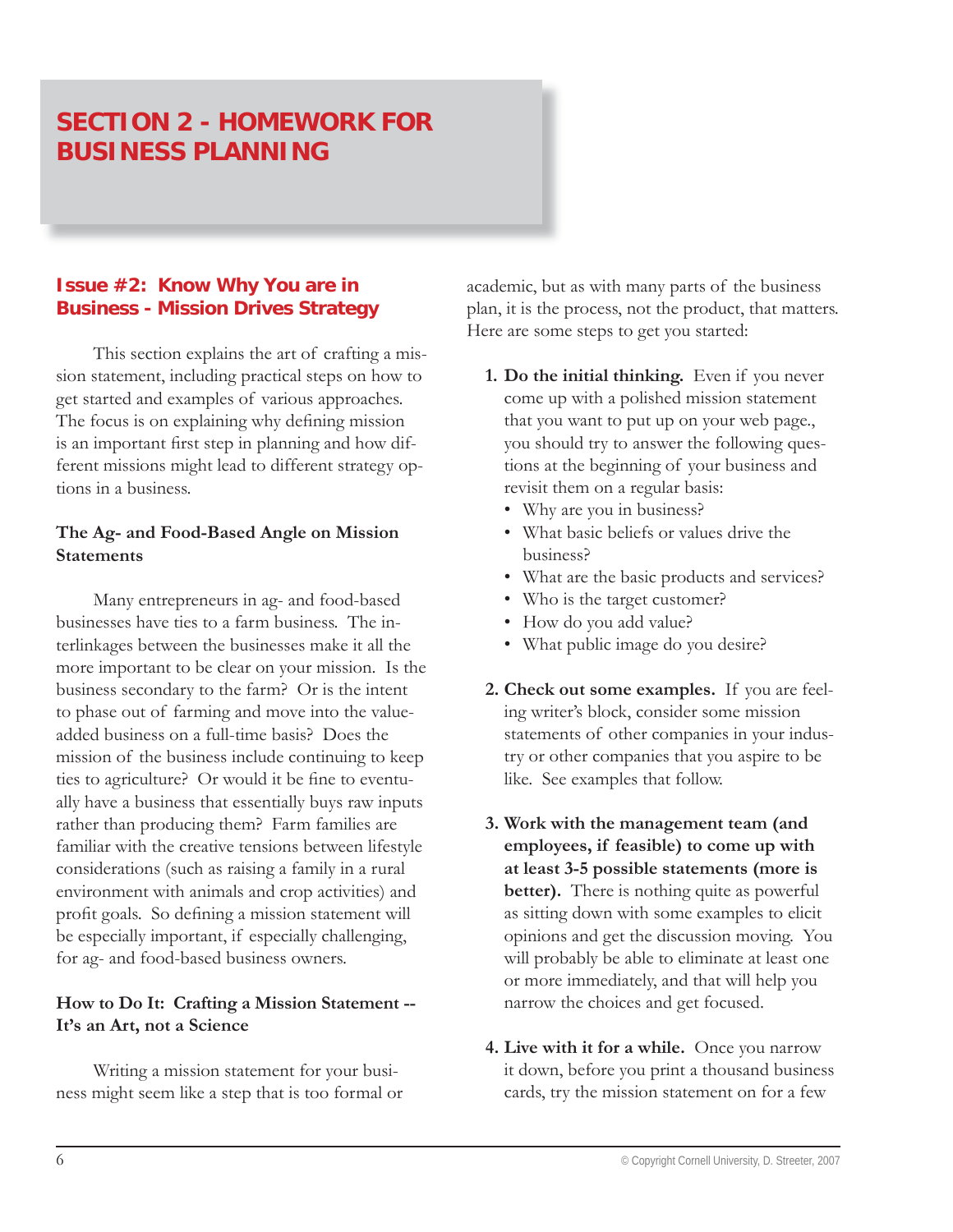# **SECTION 2 - HOMEWORK FOR BUSINESS PLANNING**

# **Issue #2: Know Why You are in Business - Mission Drives Strategy**

This section explains the art of crafting a mission statement, including practical steps on how to get started and examples of various approaches. The focus is on explaining why defining mission is an important first step in planning and how different missions might lead to different strategy options in a business.

#### **The Ag- and Food-Based Angle on Mission Statements**

Many entrepreneurs in ag- and food-based businesses have ties to a farm business. The interlinkages between the businesses make it all the more important to be clear on your mission. Is the business secondary to the farm? Or is the intent to phase out of farming and move into the valueadded business on a full-time basis? Does the mission of the business include continuing to keep ties to agriculture? Or would it be fine to eventually have a business that essentially buys raw inputs rather than producing them? Farm families are familiar with the creative tensions between lifestyle considerations (such as raising a family in a rural environment with animals and crop activities) and profit goals. So defining a mission statement will be especially important, if especially challenging, for ag- and food-based business owners.

#### **How to Do It: Crafting a Mission Statement -- It's an Art, not a Science**

Writing a mission statement for your business might seem like a step that is too formal or academic, but as with many parts of the business plan, it is the process, not the product, that matters. Here are some steps to get you started:

- **1. Do the initial thinking.** Even if you never come up with a polished mission statement that you want to put up on your web page., you should try to answer the following questions at the beginning of your business and revisit them on a regular basis:
	- Why are you in business? •
	- What basic beliefs or values drive the business?
	- What are the basic products and services? •
	- Who is the target customer? •
	- How do you add value?
	- What public image do you desire? •
- **2. Check out some examples.** If you are feeling writer's block, consider some mission statements of other companies in your industry or other companies that you aspire to be like. See examples that follow.
- **3. Work with the management team (and employees, if feasible) to come up with at least 3-5 possible statements (more is better).** There is nothing quite as powerful as sitting down with some examples to elicit opinions and get the discussion moving. You will probably be able to eliminate at least one or more immediately, and that will help you narrow the choices and get focused.
- **4. Live with it for a while.** Once you narrow it down, before you print a thousand business cards, try the mission statement on for a few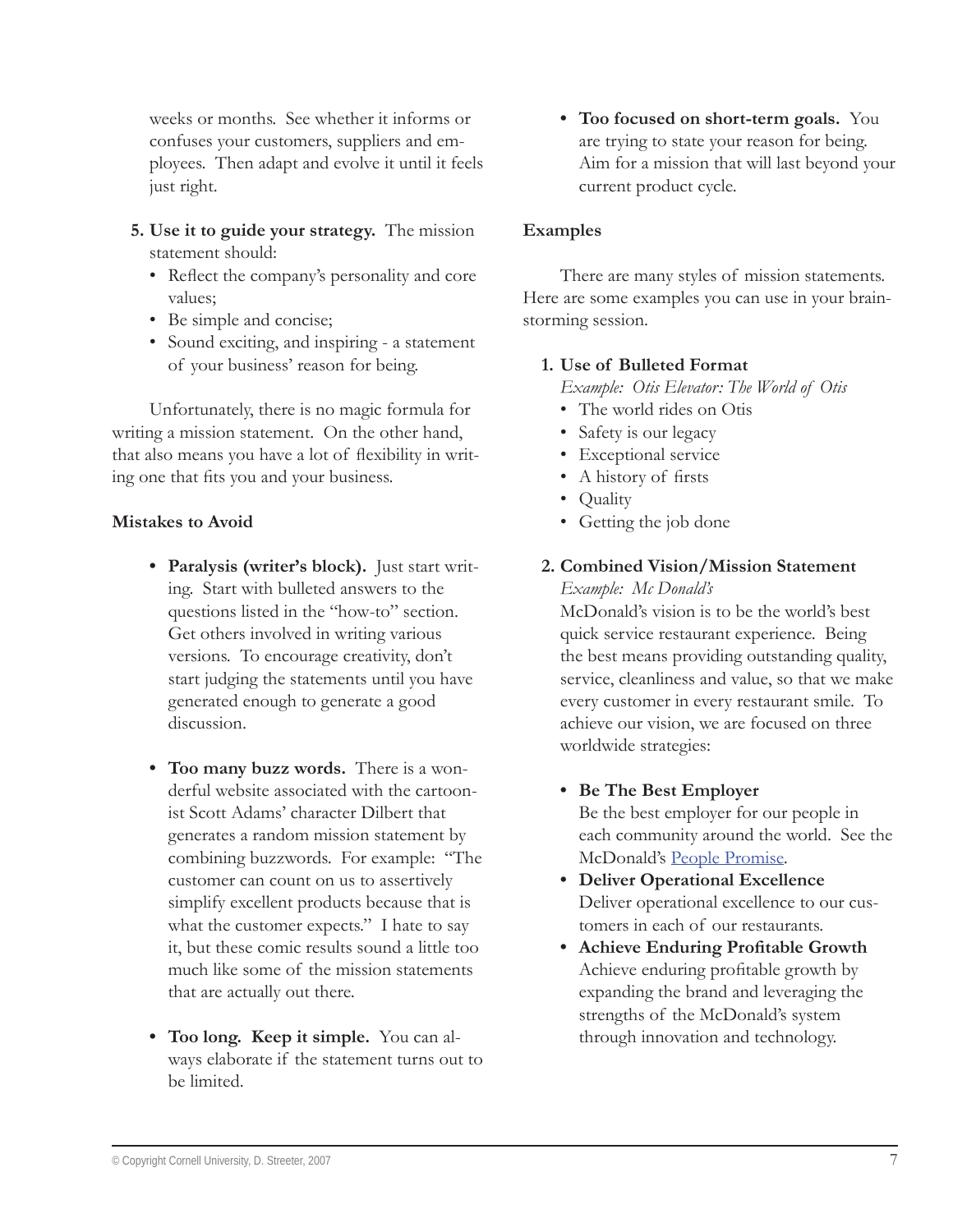weeks or months. See whether it informs or confuses your customers, suppliers and employees. Then adapt and evolve it until it feels just right.

- **5. Use it to guide your strategy.** The mission statement should:
	- Reflect the company's personality and core values;
	- Be simple and concise;
	- Sound exciting, and inspiring a statement of your business' reason for being.

Unfortunately, there is no magic formula for writing a mission statement. On the other hand, that also means you have a lot of flexibility in writing one that fits you and your business.

#### **Mistakes to Avoid**

- **Paralysis (writer's block).** Just start writ-**•** ing. Start with bulleted answers to the questions listed in the "how-to" section. Get others involved in writing various versions. To encourage creativity, don't start judging the statements until you have generated enough to generate a good discussion.
- **Too many buzz words.** There is a won-**•** derful website associated with the cartoonist Scott Adams' character Dilbert that generates a random mission statement by combining buzzwords. For example: "The customer can count on us to assertively simplify excellent products because that is what the customer expects." I hate to say it, but these comic results sound a little too much like some of the mission statements that are actually out there.
- **Too long. Keep it simple.** You can al-**•** ways elaborate if the statement turns out to be limited.

**Too focused on short-term goals.** You **•** are trying to state your reason for being. Aim for a mission that will last beyond your current product cycle.

#### **Examples**

There are many styles of mission statements. Here are some examples you can use in your brainstorming session.

#### **1. Use of Bulleted Format**

*Example: Otis Elevator: The World of Otis* 

- The world rides on Otis
- Safety is our legacy
- Exceptional service
- A history of firsts
- Quality
- Getting the job done

# **2. Combined Vision/Mission Statement**

*Example: Mc Donald's*

McDonald's vision is to be the world's best quick service restaurant experience. Being the best means providing outstanding quality, service, cleanliness and value, so that we make every customer in every restaurant smile. To achieve our vision, we are focused on three worldwide strategies:

**Be The Best Employer •**

Be the best employer for our people in each community around the world. See the McDonald's People Promise.

- **Deliver Operational Excellence •** Deliver operational excellence to our customers in each of our restaurants.
- **•** Achieve Enduring Profitable Growth Achieve enduring profitable growth by expanding the brand and leveraging the strengths of the McDonald's system through innovation and technology.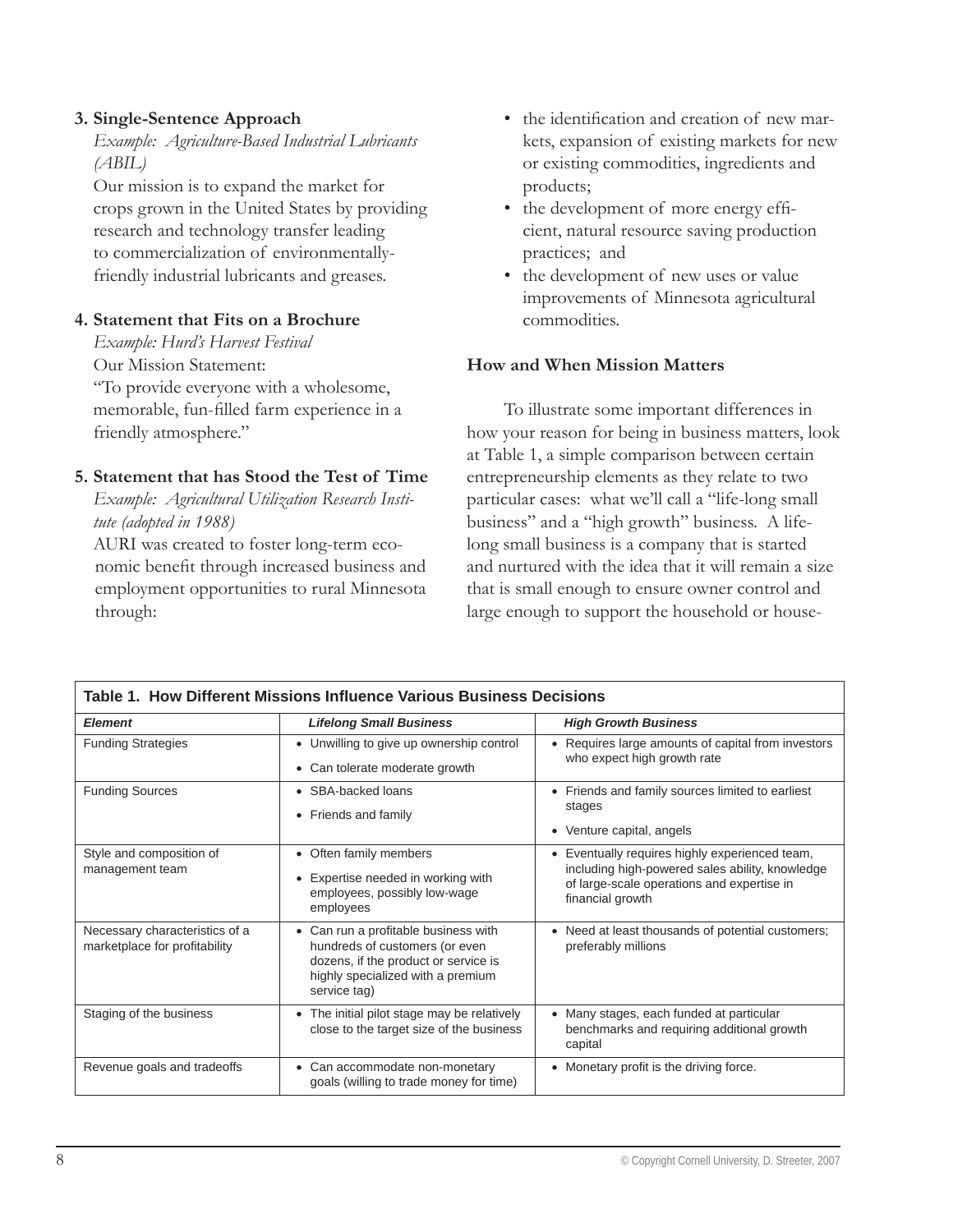#### **3. Single-Sentence Approach**

*Example: Agriculture-Based Industrial Lubricants (ABIL)*

Our mission is to expand the market for crops grown in the United States by providing research and technology transfer leading to commercialization of environmentallyfriendly industrial lubricants and greases.

#### **4. Statement that Fits on a Brochure**

*Example: Hurd's Harvest Festival* Our Mission Statement: "To provide everyone with a wholesome, memorable, fun-filled farm experience in a friendly atmosphere."

#### **5. Statement that has Stood the Test of Time**

*Example: Agricultural Utilization Research Institute (adopted in 1988)*

AURI was created to foster long-term economic benefit through increased business and employment opportunities to rural Minnesota through:

- the identification and creation of new markets, expansion of existing markets for new or existing commodities, ingredients and products; •
- the development of more energy efficient, natural resource saving production practices; and
- the development of new uses or value improvements of Minnesota agricultural commodities.

#### **How and When Mission Matters**

To illustrate some important differences in how your reason for being in business matters, look at Table 1, a simple comparison between certain entrepreneurship elements as they relate to two particular cases: what we'll call a "life-long small business" and a "high growth" business. A lifelong small business is a company that is started and nurtured with the idea that it will remain a size that is small enough to ensure owner control and large enough to support the household or house-

| Table 1. How Different Missions Influence Various Business Decisions |                                                                                                                                                                   |                                                                                                                                                                        |  |
|----------------------------------------------------------------------|-------------------------------------------------------------------------------------------------------------------------------------------------------------------|------------------------------------------------------------------------------------------------------------------------------------------------------------------------|--|
| <b>Element</b>                                                       | <b>Lifelong Small Business</b>                                                                                                                                    | <b>High Growth Business</b>                                                                                                                                            |  |
| <b>Funding Strategies</b>                                            | • Unwilling to give up ownership control<br>• Can tolerate moderate growth                                                                                        | • Requires large amounts of capital from investors<br>who expect high growth rate                                                                                      |  |
| <b>Funding Sources</b>                                               | • SBA-backed loans<br>Friends and family sources limited to earliest<br>$\bullet$<br>stages<br>• Friends and family<br>• Venture capital, angels                  |                                                                                                                                                                        |  |
| Style and composition of<br>management team                          | • Often family members<br>Expertise needed in working with<br>employees, possibly low-wage<br>employees                                                           | Eventually requires highly experienced team,<br>٠<br>including high-powered sales ability, knowledge<br>of large-scale operations and expertise in<br>financial growth |  |
| Necessary characteristics of a<br>marketplace for profitability      | Can run a profitable business with<br>hundreds of customers (or even<br>dozens, if the product or service is<br>highly specialized with a premium<br>service tag) | • Need at least thousands of potential customers;<br>preferably millions                                                                                               |  |
| Staging of the business                                              | The initial pilot stage may be relatively<br>close to the target size of the business                                                                             | Many stages, each funded at particular<br>$\bullet$<br>benchmarks and requiring additional growth<br>capital                                                           |  |
| Revenue goals and tradeoffs                                          | • Can accommodate non-monetary<br>goals (willing to trade money for time)                                                                                         | • Monetary profit is the driving force.                                                                                                                                |  |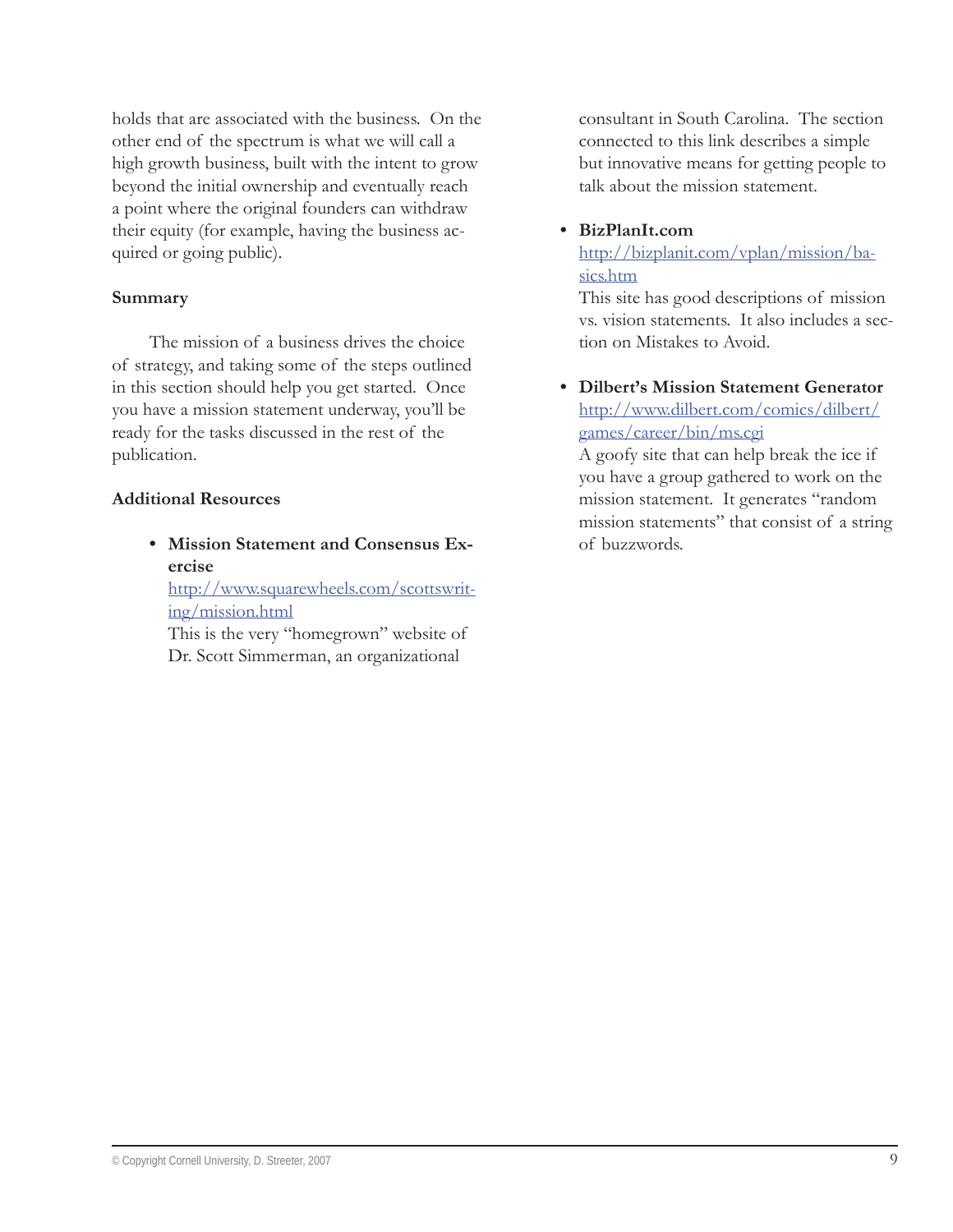holds that are associated with the business. On the other end of the spectrum is what we will call a high growth business, built with the intent to grow beyond the initial ownership and eventually reach a point where the original founders can withdraw their equity (for example, having the business acquired or going public).

#### **Summary**

The mission of a business drives the choice of strategy, and taking some of the steps outlined in this section should help you get started. Once you have a mission statement underway, you'll be ready for the tasks discussed in the rest of the publication.

#### **Additional Resources**

**Mission Statement and Consensus Ex-• ercise**

http://www.squarewheels.com/scottswriting/mission.html

This is the very "homegrown" website of Dr. Scott Simmerman, an organizational

consultant in South Carolina. The section connected to this link describes a simple but innovative means for getting people to talk about the mission statement.

#### **BizPlanIt.com •**

http://bizplanit.com/vplan/mission/basics.htm

This site has good descriptions of mission vs. vision statements. It also includes a section on Mistakes to Avoid.

**Dilbert's Mission Statement Generator •**http://www.dilbert.com/comics/dilbert/ games/career/bin/ms.cgi

A goofy site that can help break the ice if you have a group gathered to work on the mission statement. It generates "random mission statements" that consist of a string of buzzwords.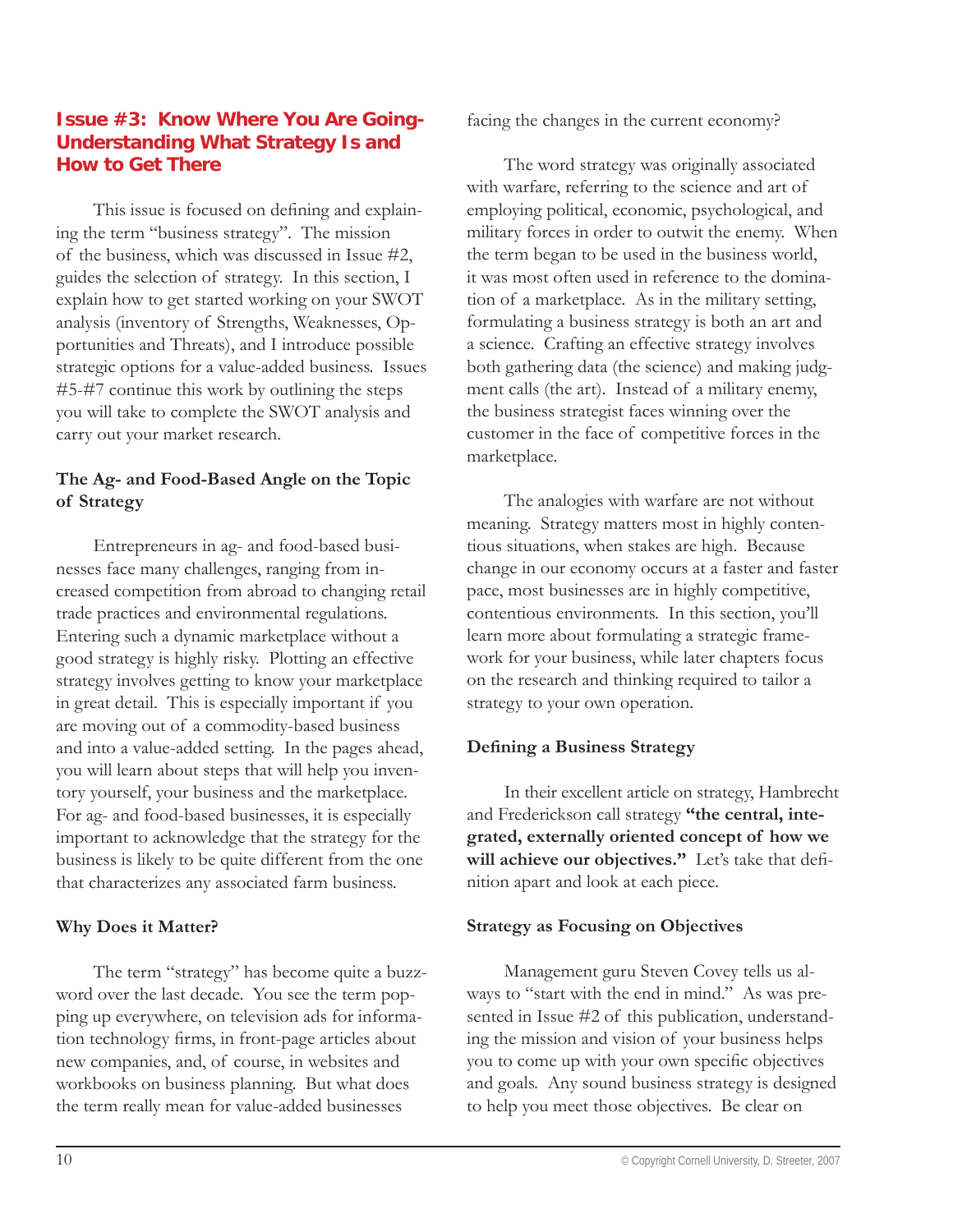# **Issue #3: Know Where You Are Going-Understanding What Strategy Is and How to Get There**

This issue is focused on defining and explaining the term "business strategy". The mission of the business, which was discussed in Issue #2, guides the selection of strategy. In this section, I explain how to get started working on your SWOT analysis (inventory of Strengths, Weaknesses, Opportunities and Threats), and I introduce possible strategic options for a value-added business. Issues #5-#7 continue this work by outlining the steps you will take to complete the SWOT analysis and carry out your market research.

# **The Ag- and Food-Based Angle on the Topic of Strategy**

Entrepreneurs in ag- and food-based businesses face many challenges, ranging from increased competition from abroad to changing retail trade practices and environmental regulations. Entering such a dynamic marketplace without a good strategy is highly risky. Plotting an effective strategy involves getting to know your marketplace in great detail. This is especially important if you are moving out of a commodity-based business and into a value-added setting. In the pages ahead, you will learn about steps that will help you inventory yourself, your business and the marketplace. For ag- and food-based businesses, it is especially important to acknowledge that the strategy for the business is likely to be quite different from the one that characterizes any associated farm business.

#### **Why Does it Matter?**

The term "strategy" has become quite a buzzword over the last decade. You see the term popping up everywhere, on television ads for information technology firms, in front-page articles about new companies, and, of course, in websites and workbooks on business planning. But what does the term really mean for value-added businesses

facing the changes in the current economy?

The word strategy was originally associated with warfare, referring to the science and art of employing political, economic, psychological, and military forces in order to outwit the enemy. When the term began to be used in the business world, it was most often used in reference to the domination of a marketplace. As in the military setting, formulating a business strategy is both an art and a science. Crafting an effective strategy involves both gathering data (the science) and making judgment calls (the art). Instead of a military enemy, the business strategist faces winning over the customer in the face of competitive forces in the marketplace.

The analogies with warfare are not without meaning. Strategy matters most in highly contentious situations, when stakes are high. Because change in our economy occurs at a faster and faster pace, most businesses are in highly competitive, contentious environments. In this section, you'll learn more about formulating a strategic framework for your business, while later chapters focus on the research and thinking required to tailor a strategy to your own operation.

#### **Defining a Business Strategy**

In their excellent article on strategy, Hambrecht and Frederickson call strategy **"the central, integrated, externally oriented concept of how we**  will achieve our objectives." Let's take that definition apart and look at each piece.

# **Strategy as Focusing on Objectives**

Management guru Steven Covey tells us always to "start with the end in mind." As was presented in Issue #2 of this publication, understanding the mission and vision of your business helps you to come up with your own specific objectives and goals. Any sound business strategy is designed to help you meet those objectives. Be clear on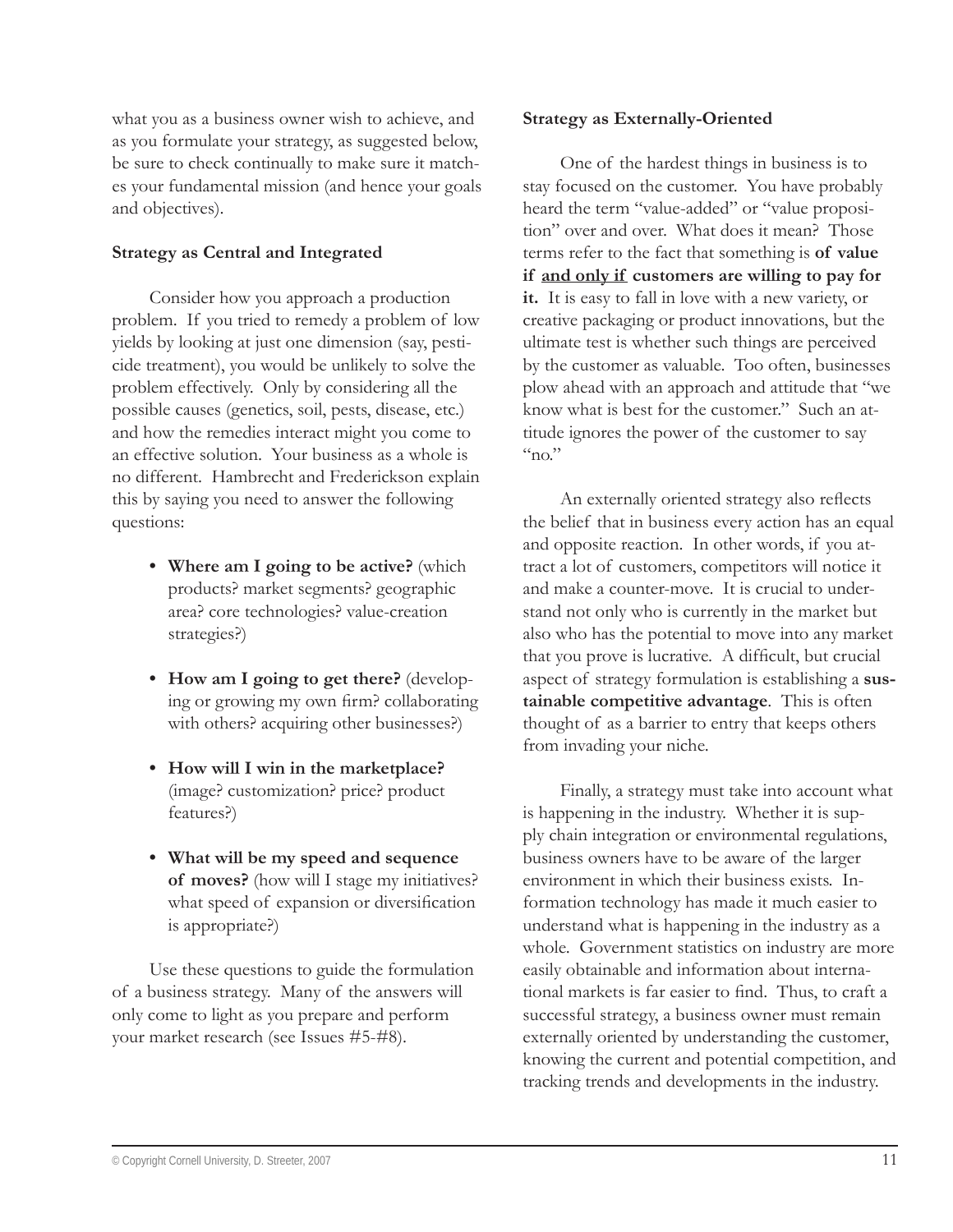what you as a business owner wish to achieve, and as you formulate your strategy, as suggested below, be sure to check continually to make sure it matches your fundamental mission (and hence your goals and objectives).

# **Strategy as Central and Integrated**

Consider how you approach a production problem. If you tried to remedy a problem of low yields by looking at just one dimension (say, pesticide treatment), you would be unlikely to solve the problem effectively. Only by considering all the possible causes (genetics, soil, pests, disease, etc.) and how the remedies interact might you come to an effective solution. Your business as a whole is no different. Hambrecht and Frederickson explain this by saying you need to answer the following questions:

- **Where am I going to be active?** (which **•** products? market segments? geographic area? core technologies? value-creation strategies?)
- **How am I going to get there?** (develop-**•** ing or growing my own firm? collaborating with others? acquiring other businesses?)
- **How will I win in the marketplace? •** (image? customization? price? product features?)
- **What will be my speed and sequence • of moves?** (how will I stage my initiatives? what speed of expansion or diversification is appropriate?)

Use these questions to guide the formulation of a business strategy. Many of the answers will only come to light as you prepare and perform your market research (see Issues #5-#8).

#### **Strategy as Externally-Oriented**

One of the hardest things in business is to stay focused on the customer. You have probably heard the term "value-added" or "value proposition" over and over. What does it mean? Those terms refer to the fact that something is **of value if and only if customers are willing to pay for it.** It is easy to fall in love with a new variety, or creative packaging or product innovations, but the ultimate test is whether such things are perceived by the customer as valuable. Too often, businesses plow ahead with an approach and attitude that "we know what is best for the customer." Such an attitude ignores the power of the customer to say  $\mathfrak{c}_{\mathsf{no}}$ "

An externally oriented strategy also reflects the belief that in business every action has an equal and opposite reaction. In other words, if you attract a lot of customers, competitors will notice it and make a counter-move. It is crucial to understand not only who is currently in the market but also who has the potential to move into any market that you prove is lucrative. A difficult, but crucial aspect of strategy formulation is establishing a **sustainable competitive advantage**. This is often thought of as a barrier to entry that keeps others from invading your niche.

Finally, a strategy must take into account what is happening in the industry. Whether it is supply chain integration or environmental regulations, business owners have to be aware of the larger environment in which their business exists. Information technology has made it much easier to understand what is happening in the industry as a whole. Government statistics on industry are more easily obtainable and information about international markets is far easier to find. Thus, to craft a successful strategy, a business owner must remain externally oriented by understanding the customer, knowing the current and potential competition, and tracking trends and developments in the industry.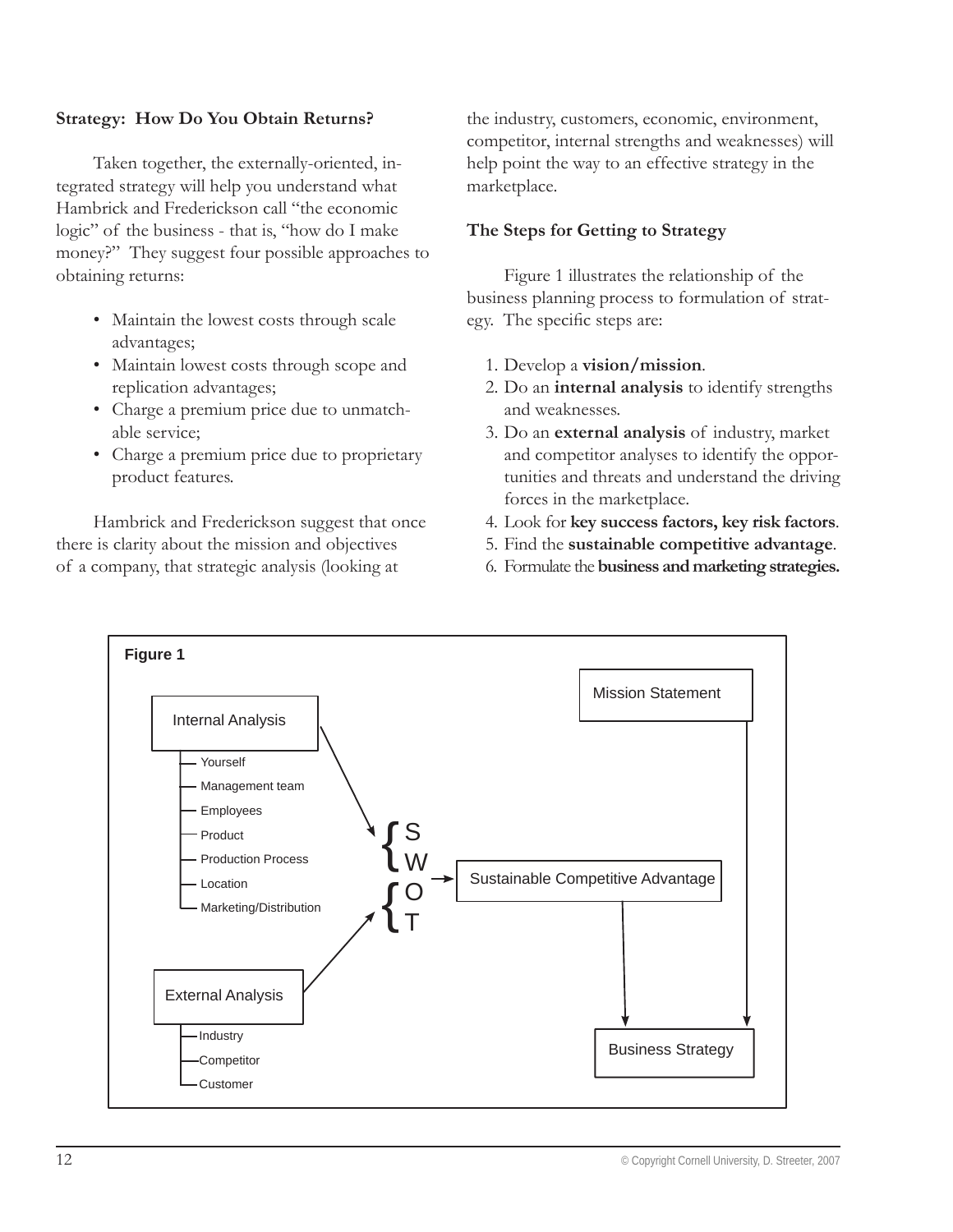#### **Strategy: How Do You Obtain Returns?**

Taken together, the externally-oriented, integrated strategy will help you understand what Hambrick and Frederickson call "the economic logic" of the business - that is, "how do I make money?" They suggest four possible approaches to obtaining returns:

- Maintain the lowest costs through scale advantages;
- Maintain lowest costs through scope and replication advantages;
- Charge a premium price due to unmatch-• able service;
- Charge a premium price due to proprietary product features.

Hambrick and Frederickson suggest that once there is clarity about the mission and objectives of a company, that strategic analysis (looking at

the industry, customers, economic, environment, competitor, internal strengths and weaknesses) will help point the way to an effective strategy in the marketplace.

#### **The Steps for Getting to Strategy**

Figure 1 illustrates the relationship of the business planning process to formulation of strategy. The specific steps are:

- 1. Develop a **vision/mission**.
- 2. Do an **internal analysis** to identify strengths and weaknesses.
- 3. Do an **external analysis** of industry, market and competitor analyses to identify the opportunities and threats and understand the driving forces in the marketplace.
- 4. Look for **key success factors, key risk factors**.
- 5. Find the **sustainable competitive advantage**.
- 6. Formulate the **business and marketing strategies.**

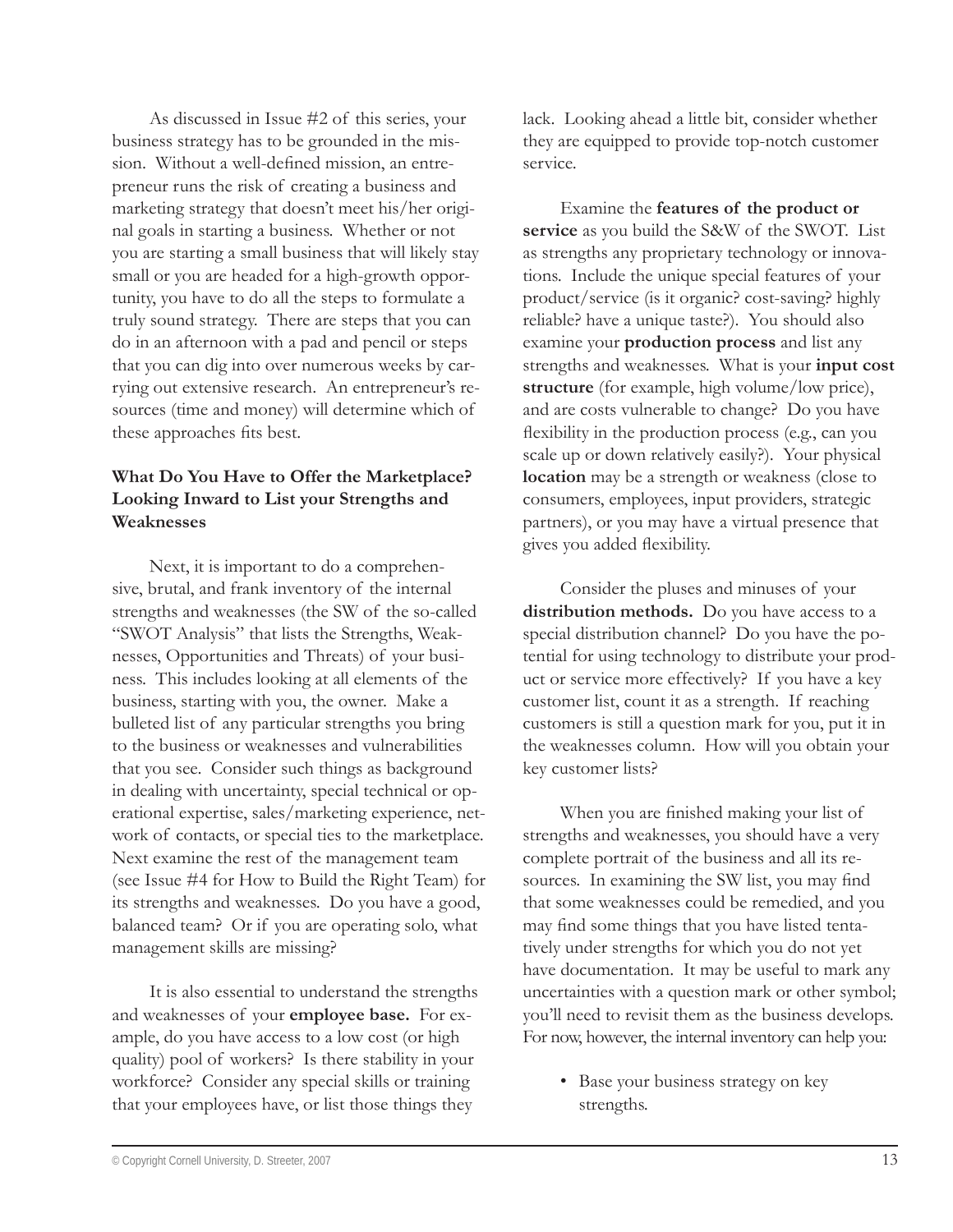As discussed in Issue #2 of this series, your business strategy has to be grounded in the mission. Without a well-defined mission, an entrepreneur runs the risk of creating a business and marketing strategy that doesn't meet his/her original goals in starting a business. Whether or not you are starting a small business that will likely stay small or you are headed for a high-growth opportunity, you have to do all the steps to formulate a truly sound strategy. There are steps that you can do in an afternoon with a pad and pencil or steps that you can dig into over numerous weeks by carrying out extensive research. An entrepreneur's resources (time and money) will determine which of these approaches fits best.

# **What Do You Have to Offer the Marketplace? Looking Inward to List your Strengths and Weaknesses**

Next, it is important to do a comprehensive, brutal, and frank inventory of the internal strengths and weaknesses (the SW of the so-called "SWOT Analysis" that lists the Strengths, Weaknesses, Opportunities and Threats) of your business. This includes looking at all elements of the business, starting with you, the owner. Make a bulleted list of any particular strengths you bring to the business or weaknesses and vulnerabilities that you see. Consider such things as background in dealing with uncertainty, special technical or operational expertise, sales/marketing experience, network of contacts, or special ties to the marketplace. Next examine the rest of the management team (see Issue #4 for How to Build the Right Team) for its strengths and weaknesses. Do you have a good, balanced team? Or if you are operating solo, what management skills are missing?

It is also essential to understand the strengths and weaknesses of your **employee base.** For example, do you have access to a low cost (or high quality) pool of workers? Is there stability in your workforce? Consider any special skills or training that your employees have, or list those things they

lack. Looking ahead a little bit, consider whether they are equipped to provide top-notch customer service.

Examine the **features of the product or service** as you build the S&W of the SWOT. List as strengths any proprietary technology or innovations. Include the unique special features of your product/service (is it organic? cost-saving? highly reliable? have a unique taste?). You should also examine your **production process** and list any strengths and weaknesses. What is your **input cost structure** (for example, high volume/low price), and are costs vulnerable to change? Do you have flexibility in the production process (e.g., can you scale up or down relatively easily?). Your physical **location** may be a strength or weakness (close to consumers, employees, input providers, strategic partners), or you may have a virtual presence that gives you added flexibility.

Consider the pluses and minuses of your **distribution methods.** Do you have access to a special distribution channel? Do you have the potential for using technology to distribute your product or service more effectively? If you have a key customer list, count it as a strength. If reaching customers is still a question mark for you, put it in the weaknesses column. How will you obtain your key customer lists?

When you are finished making your list of strengths and weaknesses, you should have a very complete portrait of the business and all its resources. In examining the SW list, you may find that some weaknesses could be remedied, and you may find some things that you have listed tentatively under strengths for which you do not yet have documentation. It may be useful to mark any uncertainties with a question mark or other symbol; you'll need to revisit them as the business develops. For now, however, the internal inventory can help you:

• Base your business strategy on key strengths.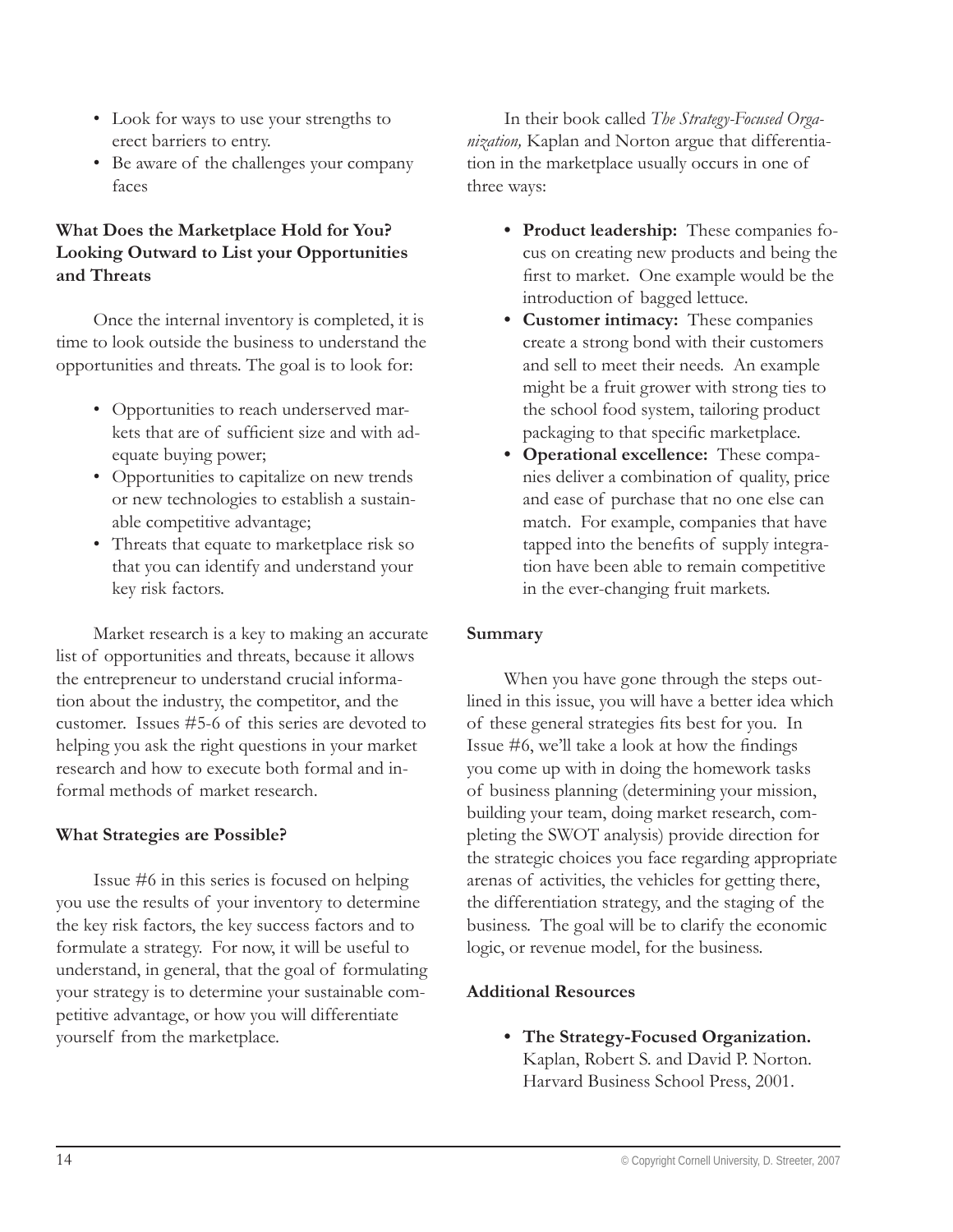- Look for ways to use your strengths to erect barriers to entry.
- Be aware of the challenges your company faces

# **What Does the Marketplace Hold for You? Looking Outward to List your Opportunities and Threats**

Once the internal inventory is completed, it is time to look outside the business to understand the opportunities and threats. The goal is to look for:

- Opportunities to reach underserved mar-• kets that are of sufficient size and with adequate buying power;
- Opportunities to capitalize on new trends or new technologies to establish a sustainable competitive advantage;
- Threats that equate to marketplace risk so that you can identify and understand your key risk factors.

Market research is a key to making an accurate list of opportunities and threats, because it allows the entrepreneur to understand crucial information about the industry, the competitor, and the customer. Issues #5-6 of this series are devoted to helping you ask the right questions in your market research and how to execute both formal and informal methods of market research.

#### **What Strategies are Possible?**

Issue #6 in this series is focused on helping you use the results of your inventory to determine the key risk factors, the key success factors and to formulate a strategy. For now, it will be useful to understand, in general, that the goal of formulating your strategy is to determine your sustainable competitive advantage, or how you will differentiate yourself from the marketplace.

In their book called *The Strategy-Focused Organization,* Kaplan and Norton argue that differentiation in the marketplace usually occurs in one of three ways:

- **Product leadership:** These companies fo-**•** cus on creating new products and being the first to market. One example would be the introduction of bagged lettuce.
- **Customer intimacy:** These companies **•** create a strong bond with their customers and sell to meet their needs. An example might be a fruit grower with strong ties to the school food system, tailoring product packaging to that specific marketplace.
- **Operational excellence:** These compa-**•** nies deliver a combination of quality, price and ease of purchase that no one else can match. For example, companies that have tapped into the benefits of supply integration have been able to remain competitive in the ever-changing fruit markets.

#### **Summary**

When you have gone through the steps outlined in this issue, you will have a better idea which of these general strategies fits best for you. In Issue  $#6$ , we'll take a look at how the findings you come up with in doing the homework tasks of business planning (determining your mission, building your team, doing market research, completing the SWOT analysis) provide direction for the strategic choices you face regarding appropriate arenas of activities, the vehicles for getting there, the differentiation strategy, and the staging of the business. The goal will be to clarify the economic logic, or revenue model, for the business.

#### **Additional Resources**

**The Strategy-Focused Organization. •**Kaplan, Robert S. and David P. Norton. Harvard Business School Press, 2001.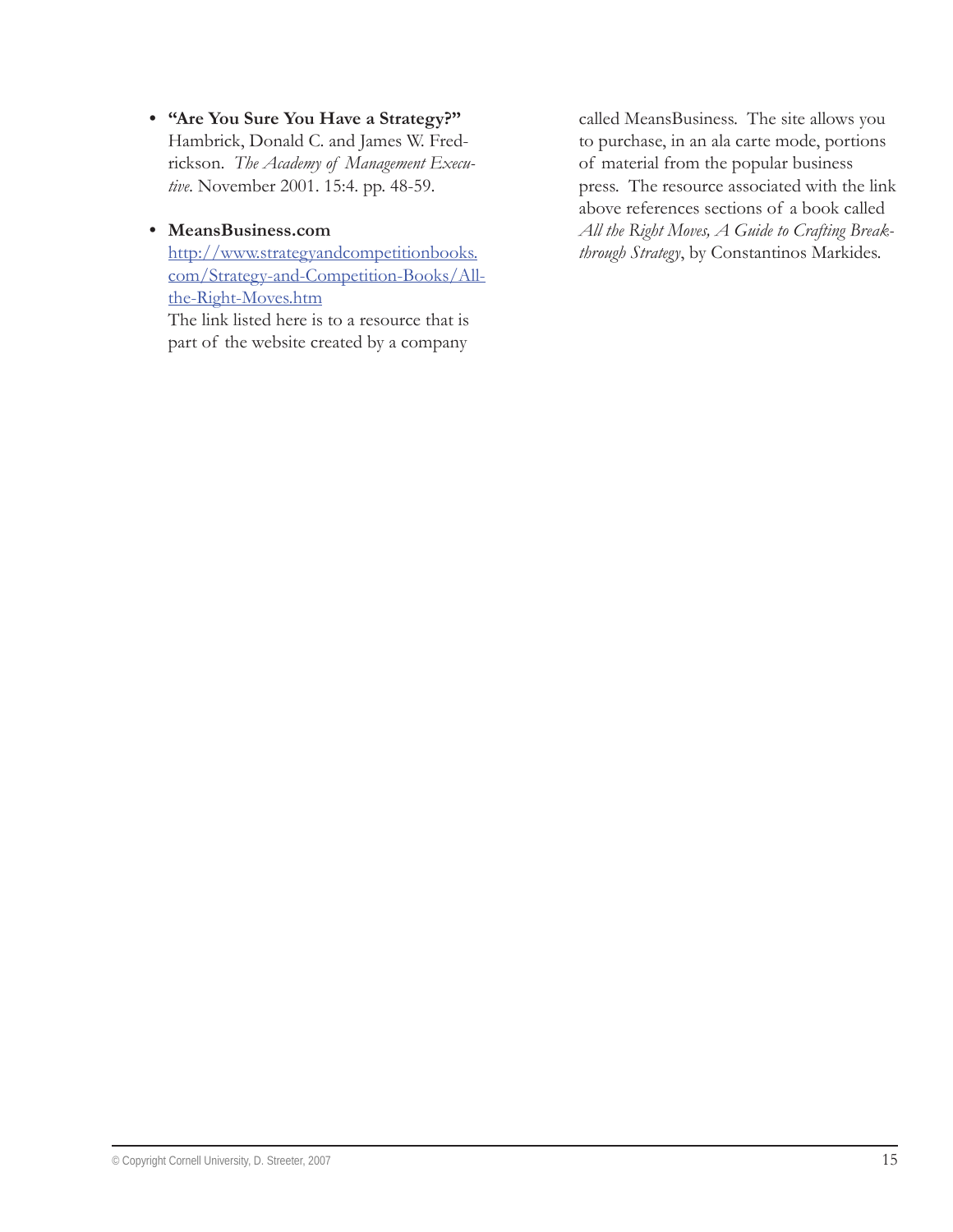**"Are You Sure You Have a Strategy?" •** Hambrick, Donald C. and James W. Fredrickson. *The Academy of Management Executive*. November 2001. 15:4. pp. 48-59.

## **MeansBusiness.com •**

http://www.strategyandcompetitionbooks. com/Strategy-and-Competition-Books/Allthe-Right-Moves.htm

The link listed here is to a resource that is part of the website created by a company called MeansBusiness. The site allows you to purchase, in an ala carte mode, portions of material from the popular business press. The resource associated with the link above references sections of a book called *All the Right Moves, A Guide to Crafting Breakthrough Strategy*, by Constantinos Markides.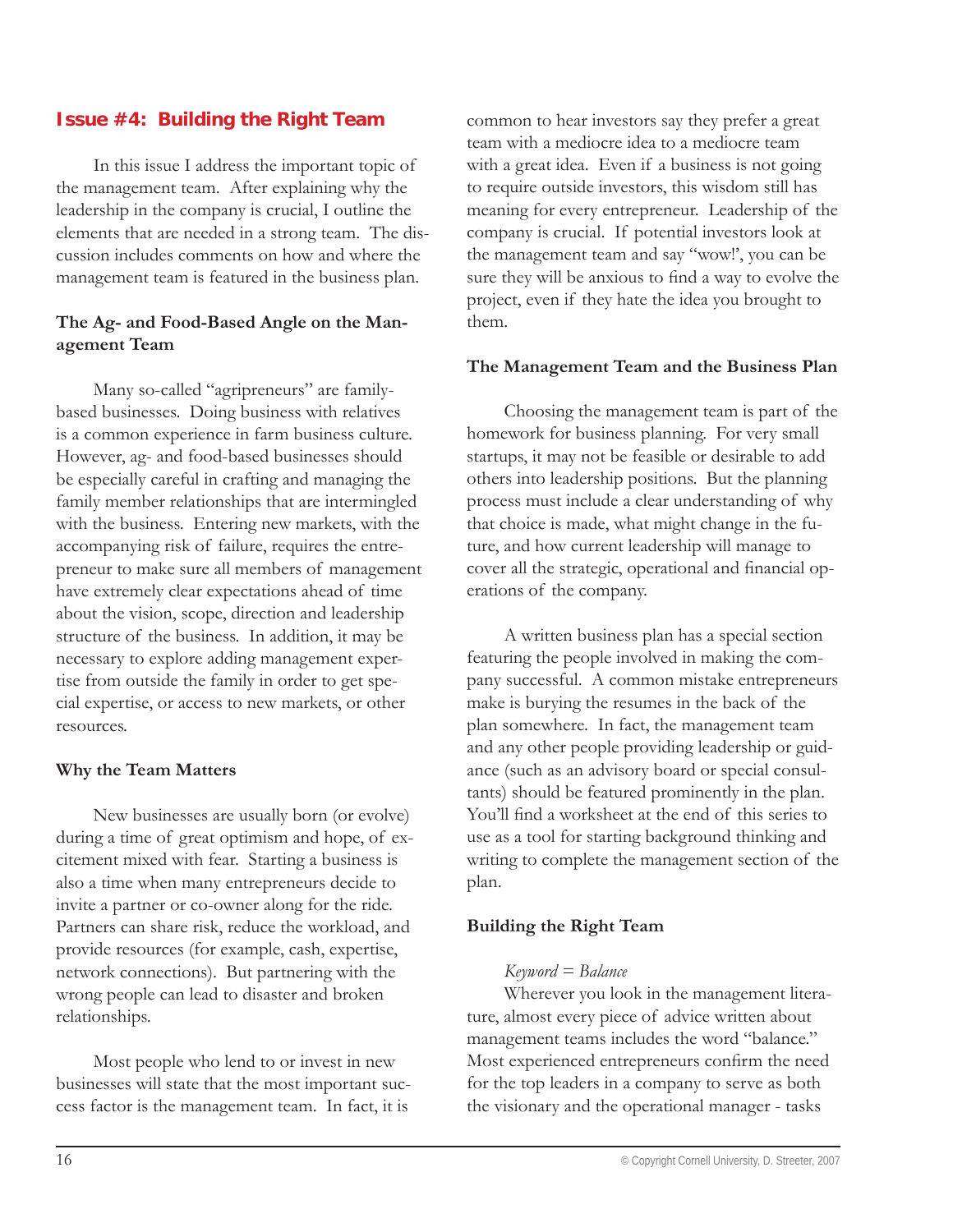# **Issue #4: Building the Right Team**

In this issue I address the important topic of the management team. After explaining why the leadership in the company is crucial, I outline the elements that are needed in a strong team. The discussion includes comments on how and where the management team is featured in the business plan.

#### **The Ag- and Food-Based Angle on the Management Team**

Many so-called "agripreneurs" are familybased businesses. Doing business with relatives is a common experience in farm business culture. However, ag- and food-based businesses should be especially careful in crafting and managing the family member relationships that are intermingled with the business. Entering new markets, with the accompanying risk of failure, requires the entrepreneur to make sure all members of management have extremely clear expectations ahead of time about the vision, scope, direction and leadership structure of the business. In addition, it may be necessary to explore adding management expertise from outside the family in order to get special expertise, or access to new markets, or other resources.

#### **Why the Team Matters**

New businesses are usually born (or evolve) during a time of great optimism and hope, of excitement mixed with fear. Starting a business is also a time when many entrepreneurs decide to invite a partner or co-owner along for the ride. Partners can share risk, reduce the workload, and provide resources (for example, cash, expertise, network connections). But partnering with the wrong people can lead to disaster and broken relationships.

Most people who lend to or invest in new businesses will state that the most important success factor is the management team. In fact, it is

common to hear investors say they prefer a great team with a mediocre idea to a mediocre team with a great idea. Even if a business is not going to require outside investors, this wisdom still has meaning for every entrepreneur. Leadership of the company is crucial. If potential investors look at the management team and say "wow!', you can be sure they will be anxious to find a way to evolve the project, even if they hate the idea you brought to them.

#### **The Management Team and the Business Plan**

Choosing the management team is part of the homework for business planning. For very small startups, it may not be feasible or desirable to add others into leadership positions. But the planning process must include a clear understanding of why that choice is made, what might change in the future, and how current leadership will manage to cover all the strategic, operational and financial operations of the company.

A written business plan has a special section featuring the people involved in making the company successful. A common mistake entrepreneurs make is burying the resumes in the back of the plan somewhere. In fact, the management team and any other people providing leadership or guidance (such as an advisory board or special consultants) should be featured prominently in the plan. You'll find a worksheet at the end of this series to use as a tool for starting background thinking and writing to complete the management section of the plan.

#### **Building the Right Team**

#### *Keyword = Balance*

Wherever you look in the management literature, almost every piece of advice written about management teams includes the word "balance." Most experienced entrepreneurs confirm the need for the top leaders in a company to serve as both the visionary and the operational manager - tasks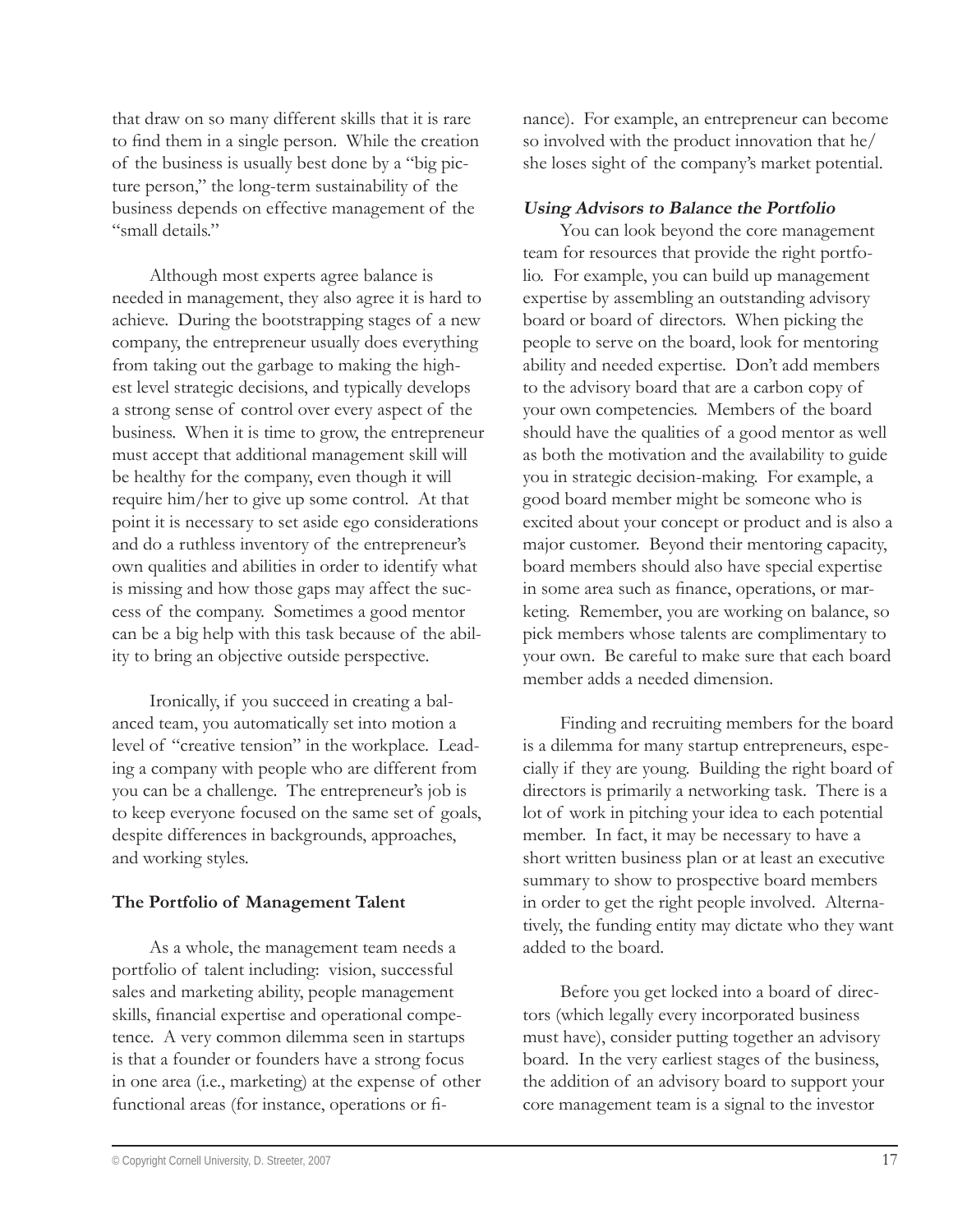that draw on so many different skills that it is rare to find them in a single person. While the creation of the business is usually best done by a "big picture person," the long-term sustainability of the business depends on effective management of the "small details"

Although most experts agree balance is needed in management, they also agree it is hard to achieve. During the bootstrapping stages of a new company, the entrepreneur usually does everything from taking out the garbage to making the highest level strategic decisions, and typically develops a strong sense of control over every aspect of the business. When it is time to grow, the entrepreneur must accept that additional management skill will be healthy for the company, even though it will require him/her to give up some control. At that point it is necessary to set aside ego considerations and do a ruthless inventory of the entrepreneur's own qualities and abilities in order to identify what is missing and how those gaps may affect the success of the company. Sometimes a good mentor can be a big help with this task because of the ability to bring an objective outside perspective.

Ironically, if you succeed in creating a balanced team, you automatically set into motion a level of "creative tension" in the workplace. Leading a company with people who are different from you can be a challenge. The entrepreneur's job is to keep everyone focused on the same set of goals, despite differences in backgrounds, approaches, and working styles.

#### **The Portfolio of Management Talent**

As a whole, the management team needs a portfolio of talent including: vision, successful sales and marketing ability, people management skills, financial expertise and operational competence. A very common dilemma seen in startups is that a founder or founders have a strong focus in one area (i.e., marketing) at the expense of other functional areas (for instance, operations or finance). For example, an entrepreneur can become so involved with the product innovation that he/ she loses sight of the company's market potential.

# **Using Advisors to Balance the Portfolio**

You can look beyond the core management team for resources that provide the right portfolio. For example, you can build up management expertise by assembling an outstanding advisory board or board of directors. When picking the people to serve on the board, look for mentoring ability and needed expertise. Don't add members to the advisory board that are a carbon copy of your own competencies. Members of the board should have the qualities of a good mentor as well as both the motivation and the availability to guide you in strategic decision-making. For example, a good board member might be someone who is excited about your concept or product and is also a major customer. Beyond their mentoring capacity, board members should also have special expertise in some area such as finance, operations, or marketing. Remember, you are working on balance, so pick members whose talents are complimentary to your own. Be careful to make sure that each board member adds a needed dimension.

Finding and recruiting members for the board is a dilemma for many startup entrepreneurs, especially if they are young. Building the right board of directors is primarily a networking task. There is a lot of work in pitching your idea to each potential member. In fact, it may be necessary to have a short written business plan or at least an executive summary to show to prospective board members in order to get the right people involved. Alternatively, the funding entity may dictate who they want added to the board.

Before you get locked into a board of directors (which legally every incorporated business must have), consider putting together an advisory board. In the very earliest stages of the business, the addition of an advisory board to support your core management team is a signal to the investor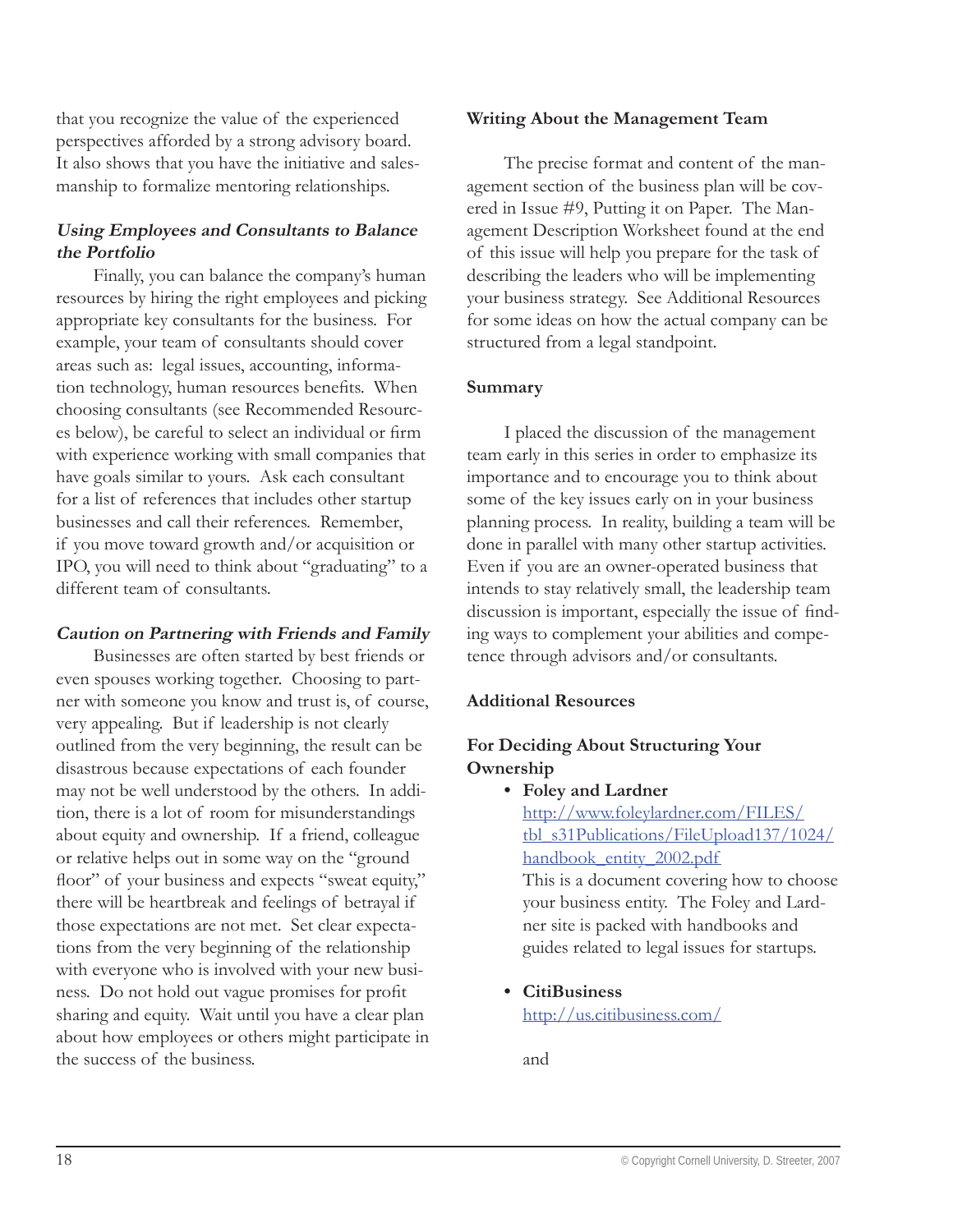that you recognize the value of the experienced perspectives afforded by a strong advisory board. It also shows that you have the initiative and salesmanship to formalize mentoring relationships.

# **Using Employees and Consultants to Balance the Portfolio**

Finally, you can balance the company's human resources by hiring the right employees and picking appropriate key consultants for the business. For example, your team of consultants should cover areas such as: legal issues, accounting, information technology, human resources benefits. When choosing consultants (see Recommended Resources below), be careful to select an individual or firm with experience working with small companies that have goals similar to yours. Ask each consultant for a list of references that includes other startup businesses and call their references. Remember, if you move toward growth and/or acquisition or IPO, you will need to think about "graduating" to a different team of consultants.

#### **Caution on Partnering with Friends and Family**

Businesses are often started by best friends or even spouses working together. Choosing to partner with someone you know and trust is, of course, very appealing. But if leadership is not clearly outlined from the very beginning, the result can be disastrous because expectations of each founder may not be well understood by the others. In addition, there is a lot of room for misunderstandings about equity and ownership. If a friend, colleague or relative helps out in some way on the "ground floor" of your business and expects "sweat equity," there will be heartbreak and feelings of betrayal if those expectations are not met. Set clear expectations from the very beginning of the relationship with everyone who is involved with your new business. Do not hold out vague promises for profit sharing and equity. Wait until you have a clear plan about how employees or others might participate in the success of the business.

#### **Writing About the Management Team**

The precise format and content of the management section of the business plan will be covered in Issue #9, Putting it on Paper. The Management Description Worksheet found at the end of this issue will help you prepare for the task of describing the leaders who will be implementing your business strategy. See Additional Resources for some ideas on how the actual company can be structured from a legal standpoint.

#### **Summary**

I placed the discussion of the management team early in this series in order to emphasize its importance and to encourage you to think about some of the key issues early on in your business planning process. In reality, building a team will be done in parallel with many other startup activities. Even if you are an owner-operated business that intends to stay relatively small, the leadership team discussion is important, especially the issue of finding ways to complement your abilities and competence through advisors and/or consultants.

#### **Additional Resources**

# **For Deciding About Structuring Your Ownership**

**Foley and Lardner •**

http://www.foleylardner.com/FILES/ tbl\_s31Publications/FileUpload137/1024/ handbook\_entity\_2002.pdf

This is a document covering how to choose your business entity. The Foley and Lardner site is packed with handbooks and guides related to legal issues for startups.

**CitiBusiness •**

http://us.citibusiness.com/

and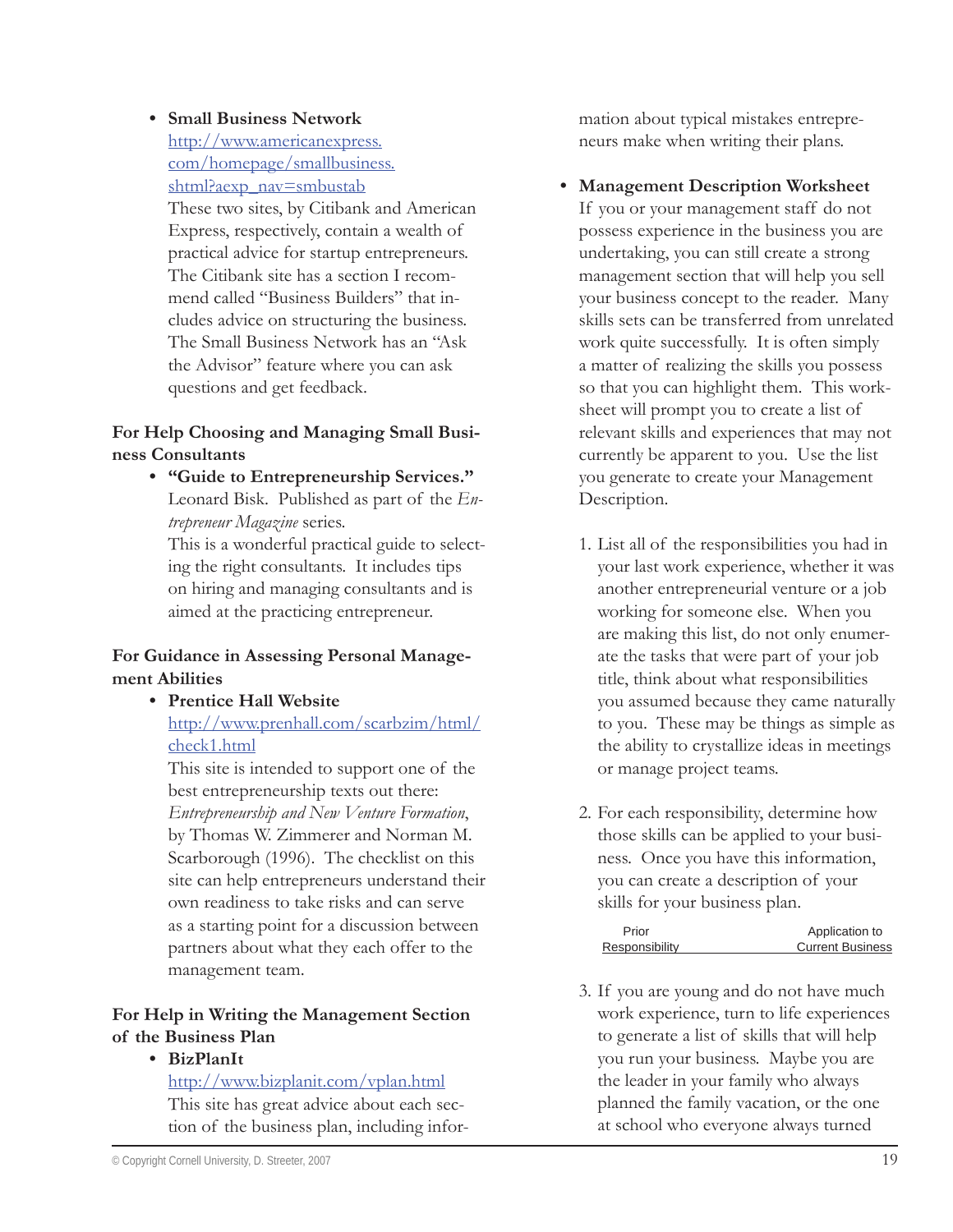#### **Small Business Network •**

http://www.americanexpress. com/homepage/smallbusiness. shtml?aexp\_nav=smbustab These two sites, by Citibank and American Express, respectively, contain a wealth of practical advice for startup entrepreneurs. The Citibank site has a section I recommend called "Business Builders" that includes advice on structuring the business. The Small Business Network has an "Ask the Advisor" feature where you can ask questions and get feedback.

# **For Help Choosing and Managing Small Business Consultants**

**"Guide to Entrepreneurship Services." •** Leonard Bisk. Published as part of the *Entrepreneur Magazine* series.

This is a wonderful practical guide to selecting the right consultants. It includes tips on hiring and managing consultants and is aimed at the practicing entrepreneur.

#### **For Guidance in Assessing Personal Management Abilities**

**Prentice Hall Website •** http://www.prenhall.com/scarbzim/html/ check1.html

This site is intended to support one of the best entrepreneurship texts out there: *Entrepreneurship and New Venture Formation*, by Thomas W. Zimmerer and Norman M. Scarborough (1996). The checklist on this site can help entrepreneurs understand their own readiness to take risks and can serve as a starting point for a discussion between partners about what they each offer to the management team.

# **For Help in Writing the Management Section of the Business Plan**

**BizPlanIt •**

http://www.bizplanit.com/vplan.html This site has great advice about each section of the business plan, including information about typical mistakes entrepreneurs make when writing their plans.

**Management Description Worksheet •**

If you or your management staff do not possess experience in the business you are undertaking, you can still create a strong management section that will help you sell your business concept to the reader. Many skills sets can be transferred from unrelated work quite successfully. It is often simply a matter of realizing the skills you possess so that you can highlight them. This worksheet will prompt you to create a list of relevant skills and experiences that may not currently be apparent to you. Use the list you generate to create your Management Description.

- 1. List all of the responsibilities you had in your last work experience, whether it was another entrepreneurial venture or a job working for someone else. When you are making this list, do not only enumerate the tasks that were part of your job title, think about what responsibilities you assumed because they came naturally to you. These may be things as simple as the ability to crystallize ideas in meetings or manage project teams.
- 2. For each responsibility, determine how those skills can be applied to your business. Once you have this information, you can create a description of your skills for your business plan.

| Application to          |
|-------------------------|
| <b>Current Business</b> |
|                         |

3. If you are young and do not have much work experience, turn to life experiences to generate a list of skills that will help you run your business. Maybe you are the leader in your family who always planned the family vacation, or the one at school who everyone always turned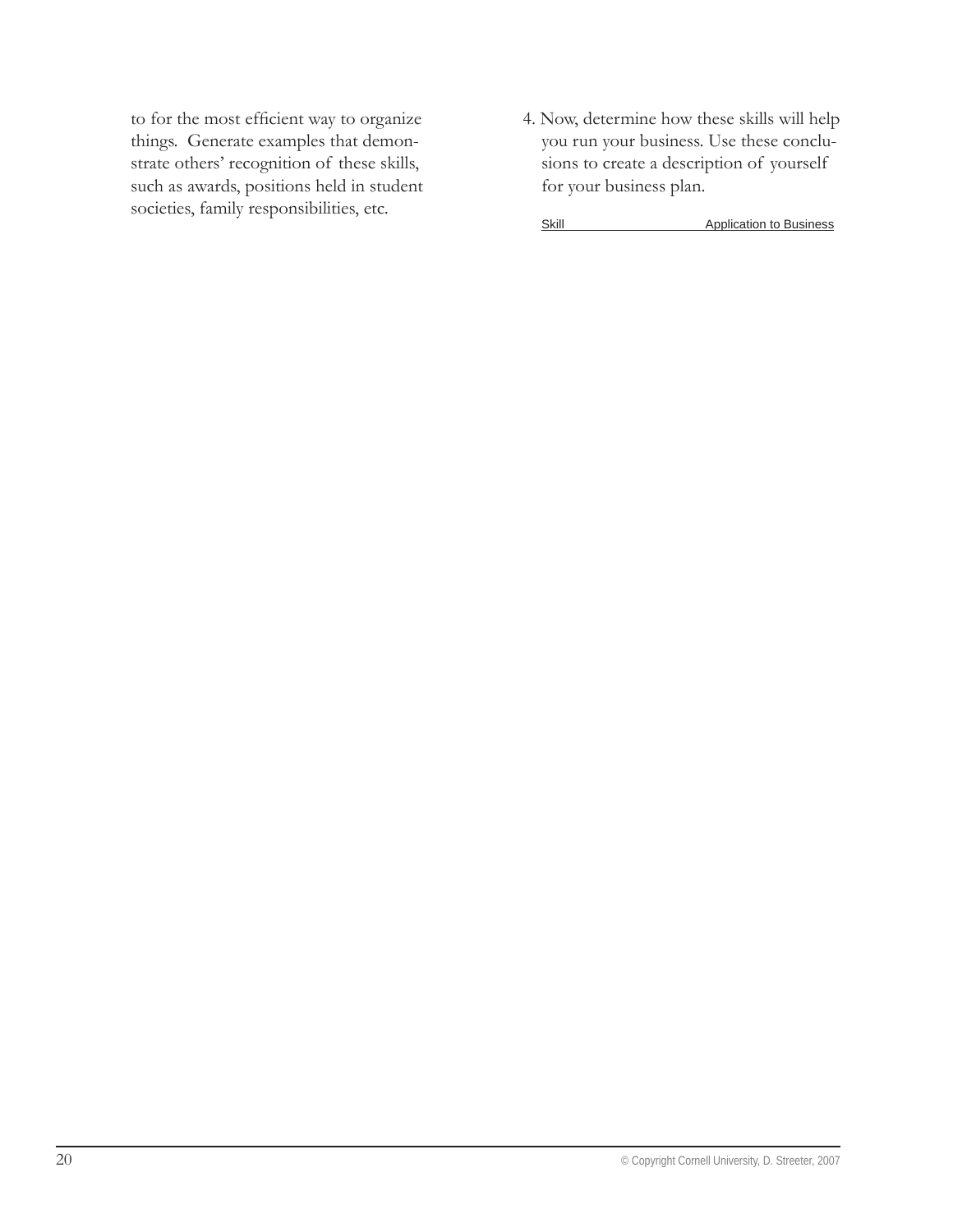to for the most efficient way to organize things. Generate examples that demonstrate others' recognition of these skills, such as awards, positions held in student societies, family responsibilities, etc.

4. Now, determine how these skills will help you run your business. Use these conclusions to create a description of yourself for your business plan.

Skill Application to Business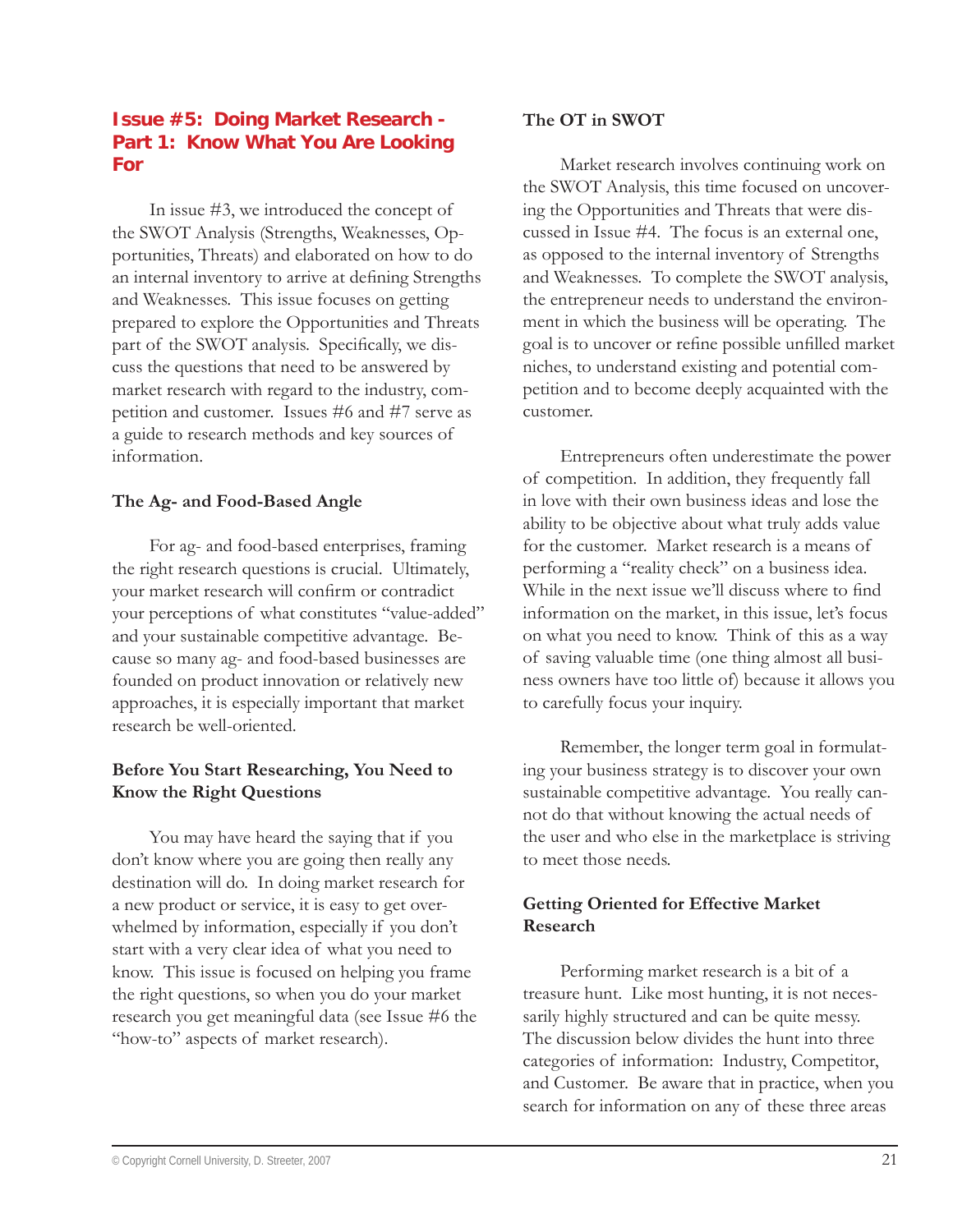## **Issue #5: Doing Market Research - Part 1: Know What You Are Looking For**

In issue #3, we introduced the concept of the SWOT Analysis (Strengths, Weaknesses, Opportunities, Threats) and elaborated on how to do an internal inventory to arrive at defining Strengths and Weaknesses. This issue focuses on getting prepared to explore the Opportunities and Threats part of the SWOT analysis. Specifically, we discuss the questions that need to be answered by market research with regard to the industry, competition and customer. Issues #6 and #7 serve as a guide to research methods and key sources of information.

#### **The Ag- and Food-Based Angle**

For ag- and food-based enterprises, framing the right research questions is crucial. Ultimately, your market research will confirm or contradict your perceptions of what constitutes "value-added" and your sustainable competitive advantage. Because so many ag- and food-based businesses are founded on product innovation or relatively new approaches, it is especially important that market research be well-oriented.

# **Before You Start Researching, You Need to Know the Right Questions**

You may have heard the saying that if you don't know where you are going then really any destination will do. In doing market research for a new product or service, it is easy to get overwhelmed by information, especially if you don't start with a very clear idea of what you need to know. This issue is focused on helping you frame the right questions, so when you do your market research you get meaningful data (see Issue #6 the "how-to" aspects of market research).

#### **The OT in SWOT**

Market research involves continuing work on the SWOT Analysis, this time focused on uncovering the Opportunities and Threats that were discussed in Issue #4. The focus is an external one, as opposed to the internal inventory of Strengths and Weaknesses. To complete the SWOT analysis, the entrepreneur needs to understand the environment in which the business will be operating. The goal is to uncover or refine possible unfilled market niches, to understand existing and potential competition and to become deeply acquainted with the customer.

Entrepreneurs often underestimate the power of competition. In addition, they frequently fall in love with their own business ideas and lose the ability to be objective about what truly adds value for the customer. Market research is a means of performing a "reality check" on a business idea. While in the next issue we'll discuss where to find information on the market, in this issue, let's focus on what you need to know. Think of this as a way of saving valuable time (one thing almost all business owners have too little of) because it allows you to carefully focus your inquiry.

Remember, the longer term goal in formulating your business strategy is to discover your own sustainable competitive advantage. You really cannot do that without knowing the actual needs of the user and who else in the marketplace is striving to meet those needs.

#### **Getting Oriented for Effective Market Research**

Performing market research is a bit of a treasure hunt. Like most hunting, it is not necessarily highly structured and can be quite messy. The discussion below divides the hunt into three categories of information: Industry, Competitor, and Customer. Be aware that in practice, when you search for information on any of these three areas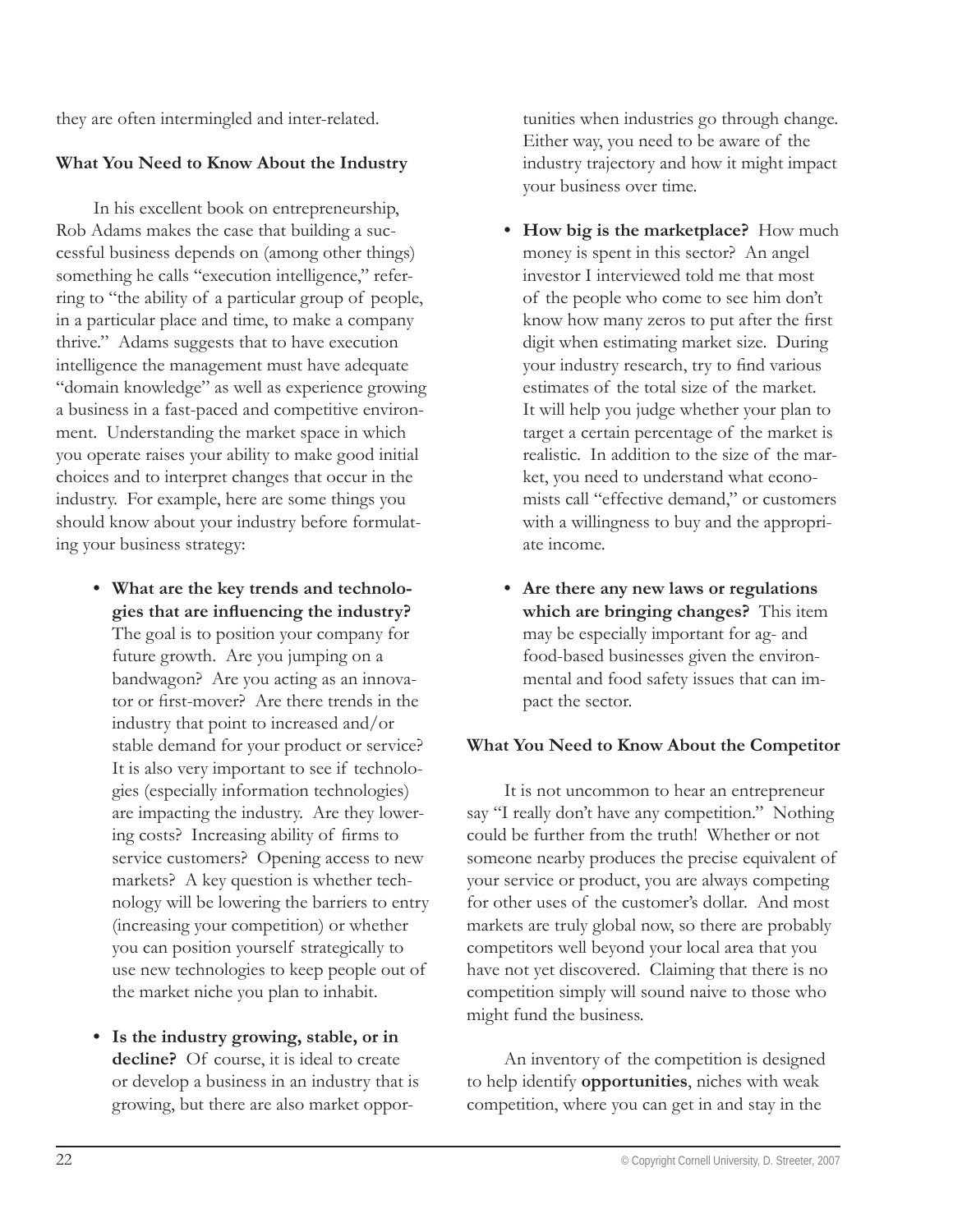they are often intermingled and inter-related.

#### **What You Need to Know About the Industry**

In his excellent book on entrepreneurship, Rob Adams makes the case that building a successful business depends on (among other things) something he calls "execution intelligence," referring to "the ability of a particular group of people, in a particular place and time, to make a company thrive." Adams suggests that to have execution intelligence the management must have adequate "domain knowledge" as well as experience growing a business in a fast-paced and competitive environment. Understanding the market space in which you operate raises your ability to make good initial choices and to interpret changes that occur in the industry. For example, here are some things you should know about your industry before formulating your business strategy:

- **What are the key trends and technolo-•** gies that are influencing the industry? The goal is to position your company for future growth. Are you jumping on a bandwagon? Are you acting as an innovator or first-mover? Are there trends in the industry that point to increased and/or stable demand for your product or service? It is also very important to see if technologies (especially information technologies) are impacting the industry. Are they lowering costs? Increasing ability of firms to service customers? Opening access to new markets? A key question is whether technology will be lowering the barriers to entry (increasing your competition) or whether you can position yourself strategically to use new technologies to keep people out of the market niche you plan to inhabit.
- **Is the industry growing, stable, or in • decline?** Of course, it is ideal to create or develop a business in an industry that is growing, but there are also market oppor-

tunities when industries go through change. Either way, you need to be aware of the industry trajectory and how it might impact your business over time.

- How big is the marketplace? How much money is spent in this sector? An angel investor I interviewed told me that most of the people who come to see him don't know how many zeros to put after the first digit when estimating market size. During your industry research, try to find various estimates of the total size of the market. It will help you judge whether your plan to target a certain percentage of the market is realistic. In addition to the size of the market, you need to understand what economists call "effective demand," or customers with a willingness to buy and the appropriate income.
- **Are there any new laws or regulations •which are bringing changes?** This item may be especially important for ag- and food-based businesses given the environmental and food safety issues that can impact the sector.

#### **What You Need to Know About the Competitor**

It is not uncommon to hear an entrepreneur say "I really don't have any competition." Nothing could be further from the truth! Whether or not someone nearby produces the precise equivalent of your service or product, you are always competing for other uses of the customer's dollar. And most markets are truly global now, so there are probably competitors well beyond your local area that you have not yet discovered. Claiming that there is no competition simply will sound naive to those who might fund the business.

An inventory of the competition is designed to help identify **opportunities**, niches with weak competition, where you can get in and stay in the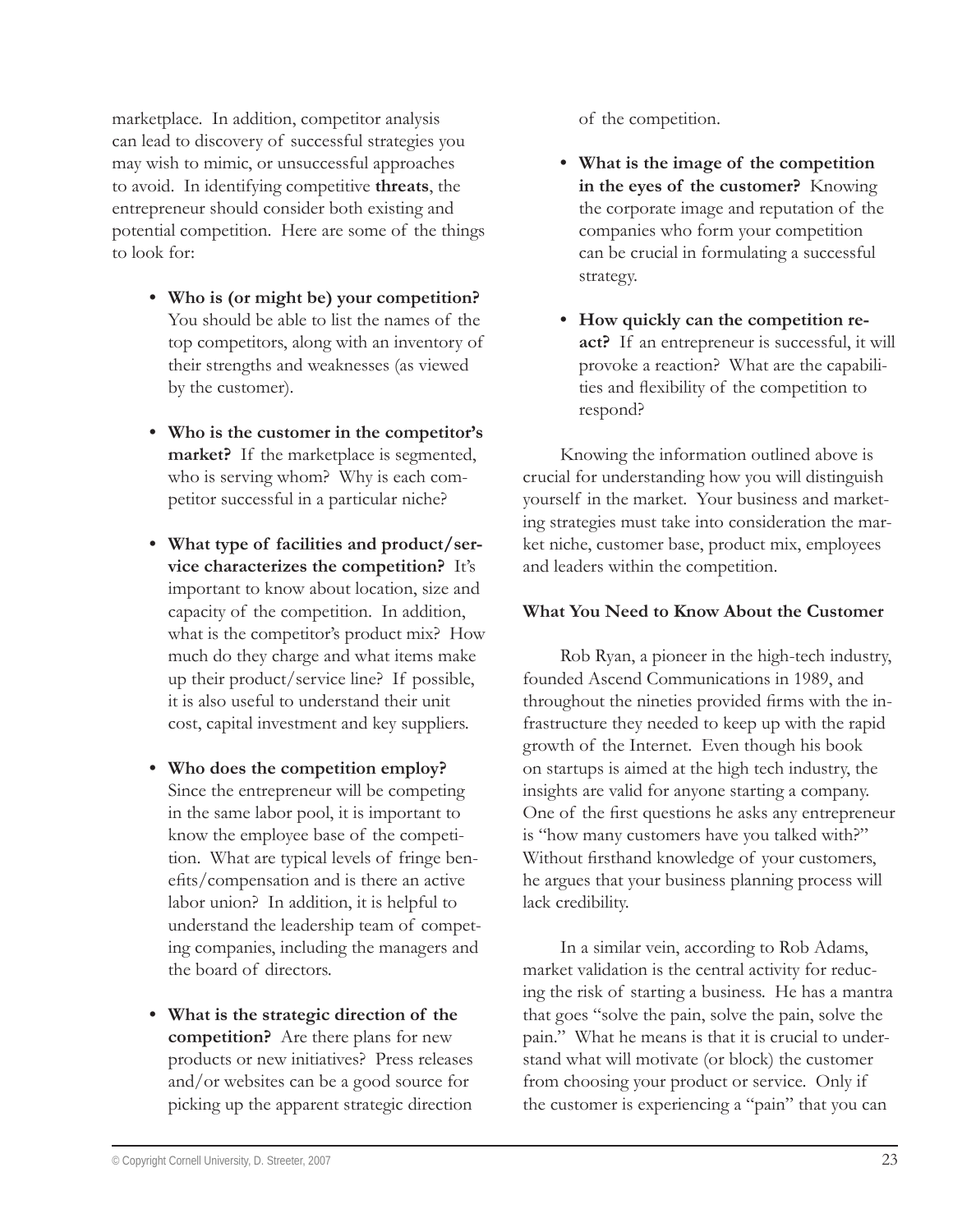marketplace. In addition, competitor analysis can lead to discovery of successful strategies you may wish to mimic, or unsuccessful approaches to avoid. In identifying competitive **threats**, the entrepreneur should consider both existing and potential competition. Here are some of the things to look for:

- **Who is (or might be) your competition? •** You should be able to list the names of the top competitors, along with an inventory of their strengths and weaknesses (as viewed by the customer).
- **Who is the customer in the competitor's • market?** If the marketplace is segmented, who is serving whom? Why is each competitor successful in a particular niche?
- **What type of facilities and product/ser-• vice characterizes the competition?** It's important to know about location, size and capacity of the competition. In addition, what is the competitor's product mix? How much do they charge and what items make up their product/service line? If possible, it is also useful to understand their unit cost, capital investment and key suppliers.
- **Who does the competition employ? •** Since the entrepreneur will be competing in the same labor pool, it is important to know the employee base of the competition. What are typical levels of fringe benefits/compensation and is there an active labor union? In addition, it is helpful to understand the leadership team of competing companies, including the managers and the board of directors.
- **What is the strategic direction of the • competition?** Are there plans for new products or new initiatives? Press releases and/or websites can be a good source for picking up the apparent strategic direction

of the competition.

- **What is the image of the competition • in the eyes of the customer?** Knowing the corporate image and reputation of the companies who form your competition can be crucial in formulating a successful strategy.
- **How quickly can the competition re-•act?** If an entrepreneur is successful, it will provoke a reaction? What are the capabilities and flexibility of the competition to respond?

Knowing the information outlined above is crucial for understanding how you will distinguish yourself in the market. Your business and marketing strategies must take into consideration the market niche, customer base, product mix, employees and leaders within the competition.

# **What You Need to Know About the Customer**

Rob Ryan, a pioneer in the high-tech industry, founded Ascend Communications in 1989, and throughout the nineties provided firms with the infrastructure they needed to keep up with the rapid growth of the Internet. Even though his book on startups is aimed at the high tech industry, the insights are valid for anyone starting a company. One of the first questions he asks any entrepreneur is "how many customers have you talked with?" Without firsthand knowledge of your customers, he argues that your business planning process will lack credibility.

In a similar vein, according to Rob Adams, market validation is the central activity for reducing the risk of starting a business. He has a mantra that goes "solve the pain, solve the pain, solve the pain." What he means is that it is crucial to understand what will motivate (or block) the customer from choosing your product or service. Only if the customer is experiencing a "pain" that you can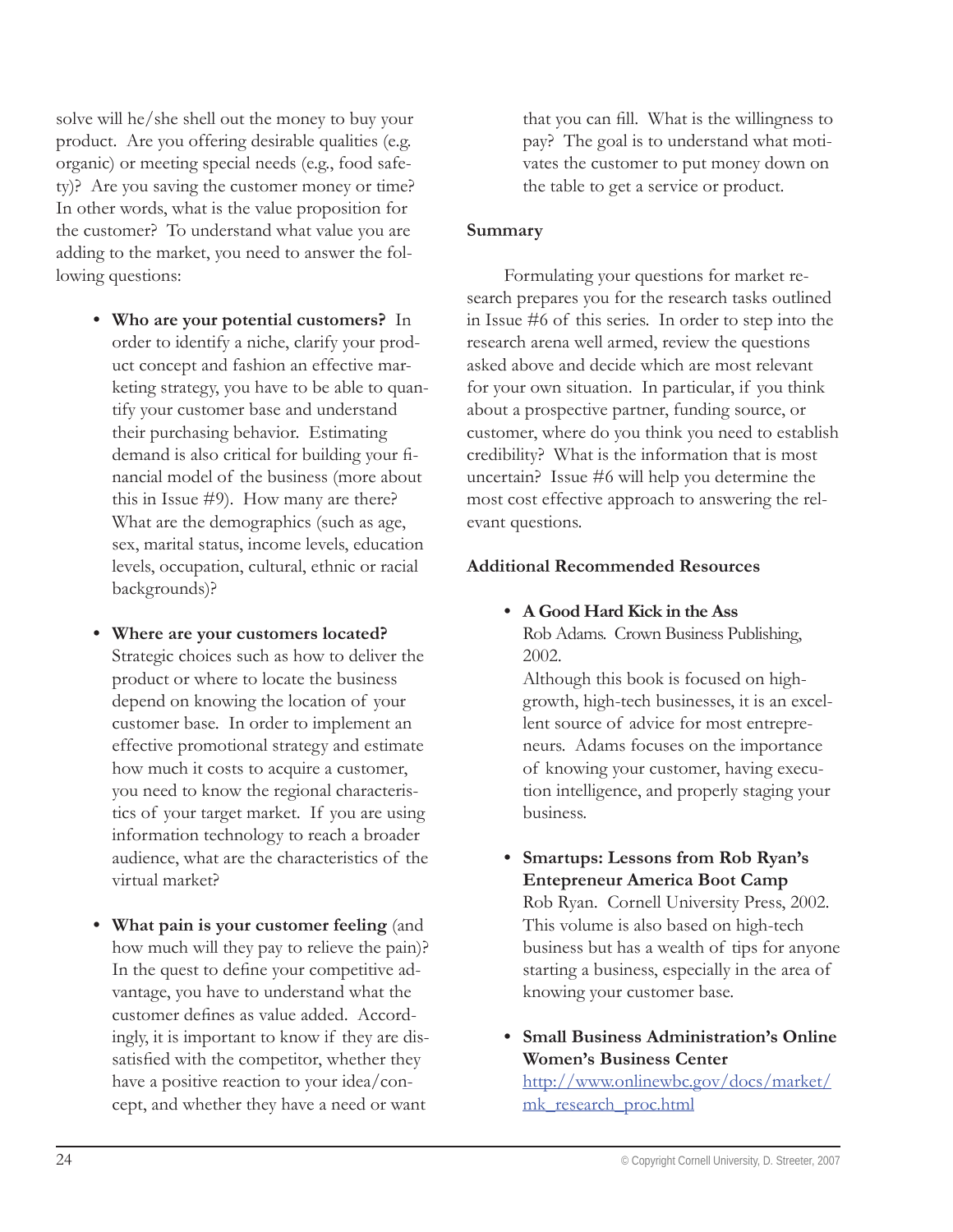solve will he/she shell out the money to buy your product. Are you offering desirable qualities (e.g. organic) or meeting special needs (e.g., food safety)? Are you saving the customer money or time? In other words, what is the value proposition for the customer? To understand what value you are adding to the market, you need to answer the following questions:

- **Who are your potential customers?** In **•** order to identify a niche, clarify your product concept and fashion an effective marketing strategy, you have to be able to quantify your customer base and understand their purchasing behavior. Estimating demand is also critical for building your financial model of the business (more about this in Issue #9). How many are there? What are the demographics (such as age, sex, marital status, income levels, education levels, occupation, cultural, ethnic or racial backgrounds)?
- **Where are your customers located? •** Strategic choices such as how to deliver the product or where to locate the business depend on knowing the location of your customer base. In order to implement an effective promotional strategy and estimate how much it costs to acquire a customer, you need to know the regional characteristics of your target market. If you are using information technology to reach a broader audience, what are the characteristics of the virtual market?
- **What pain is your customer feeling** (and **•** how much will they pay to relieve the pain)? In the quest to define your competitive advantage, you have to understand what the customer defines as value added. Accordingly, it is important to know if they are dissatisfied with the competitor, whether they have a positive reaction to your idea/concept, and whether they have a need or want

that you can fill. What is the willingness to pay? The goal is to understand what motivates the customer to put money down on the table to get a service or product.

#### **Summary**

Formulating your questions for market research prepares you for the research tasks outlined in Issue #6 of this series. In order to step into the research arena well armed, review the questions asked above and decide which are most relevant for your own situation. In particular, if you think about a prospective partner, funding source, or customer, where do you think you need to establish credibility? What is the information that is most uncertain? Issue #6 will help you determine the most cost effective approach to answering the relevant questions.

#### **Additional Recommended Resources**

**A Good Hard Kick in the Ass •** Rob Adams. Crown Business Publishing, 2002.

Although this book is focused on highgrowth, high-tech businesses, it is an excellent source of advice for most entrepreneurs. Adams focuses on the importance of knowing your customer, having execution intelligence, and properly staging your business.

- **Smartups: Lessons from Rob Ryan's • Entepreneur America Boot Camp** Rob Ryan. Cornell University Press, 2002. This volume is also based on high-tech business but has a wealth of tips for anyone starting a business, especially in the area of knowing your customer base.
- **Small Business Administration's Online •Women's Business Center**

http://www.onlinewbc.gov/docs/market/ mk\_research\_proc.html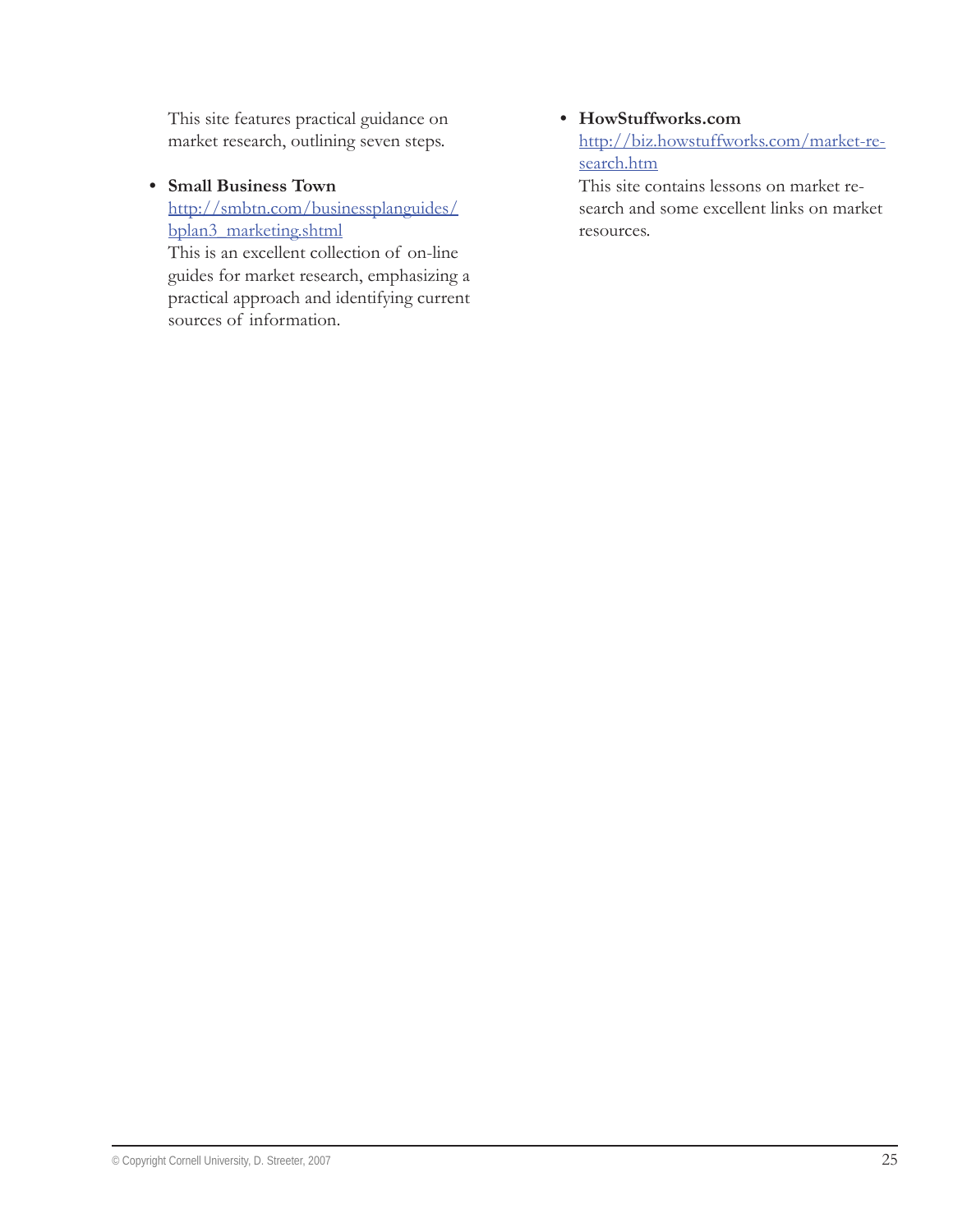This site features practical guidance on market research, outlining seven steps.

**Small Business Town •**

http://smbtn.com/businessplanguides/ bplan3\_marketing.shtml

This is an excellent collection of on-line guides for market research, emphasizing a practical approach and identifying current sources of information.

# **HowStuffworks.com •**

http://biz.howstuffworks.com/market-research.htm

This site contains lessons on market research and some excellent links on market resources.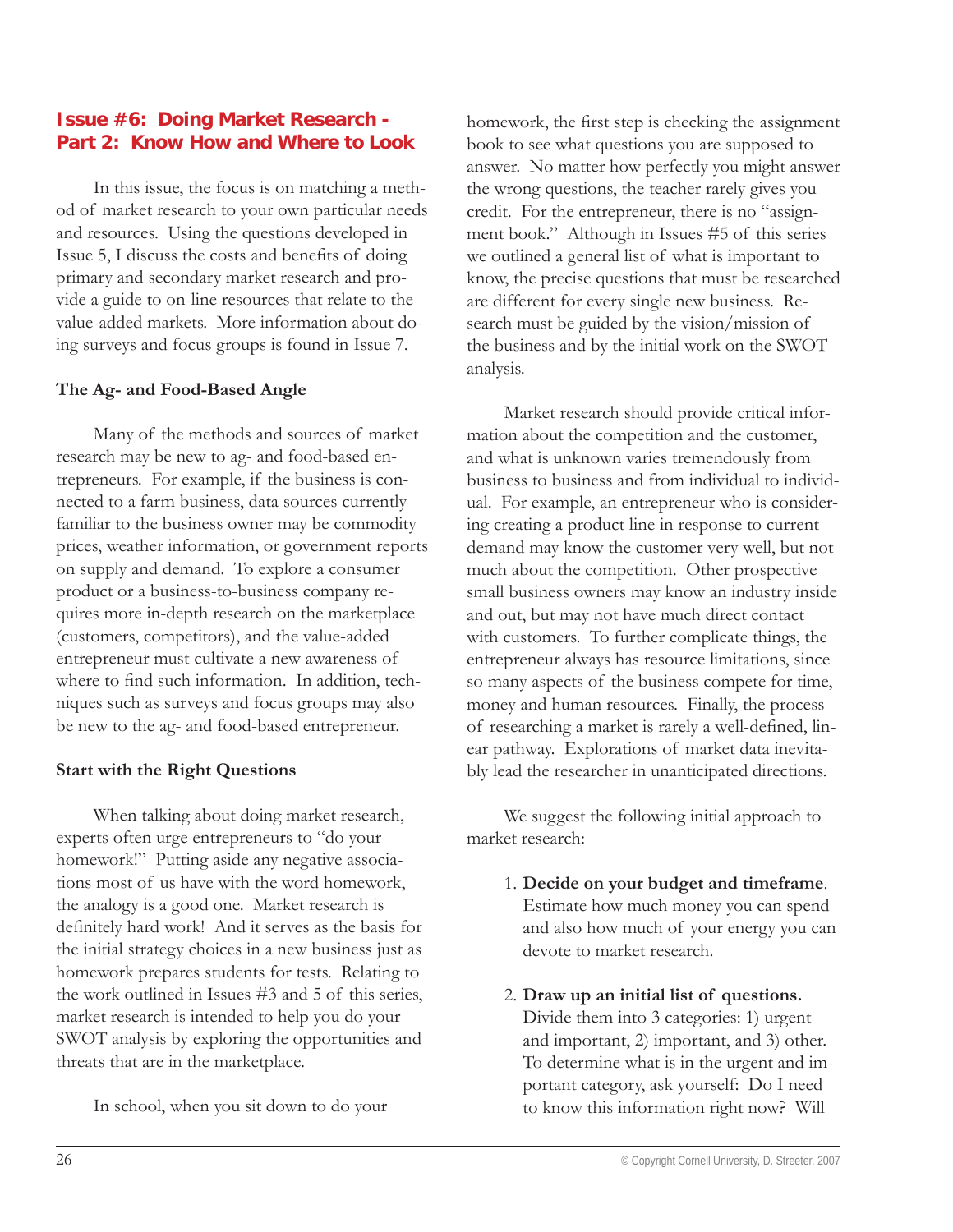# **Issue #6: Doing Market Research - Part 2: Know How and Where to Look**

In this issue, the focus is on matching a method of market research to your own particular needs and resources. Using the questions developed in Issue 5, I discuss the costs and benefits of doing primary and secondary market research and provide a guide to on-line resources that relate to the value-added markets. More information about doing surveys and focus groups is found in Issue 7.

#### **The Ag- and Food-Based Angle**

Many of the methods and sources of market research may be new to ag- and food-based entrepreneurs. For example, if the business is connected to a farm business, data sources currently familiar to the business owner may be commodity prices, weather information, or government reports on supply and demand. To explore a consumer product or a business-to-business company requires more in-depth research on the marketplace (customers, competitors), and the value-added entrepreneur must cultivate a new awareness of where to find such information. In addition, techniques such as surveys and focus groups may also be new to the ag- and food-based entrepreneur.

#### **Start with the Right Questions**

When talking about doing market research, experts often urge entrepreneurs to "do your homework!" Putting aside any negative associations most of us have with the word homework, the analogy is a good one. Market research is definitely hard work! And it serves as the basis for the initial strategy choices in a new business just as homework prepares students for tests. Relating to the work outlined in Issues #3 and 5 of this series, market research is intended to help you do your SWOT analysis by exploring the opportunities and threats that are in the marketplace.

In school, when you sit down to do your

homework, the first step is checking the assignment book to see what questions you are supposed to answer. No matter how perfectly you might answer the wrong questions, the teacher rarely gives you credit. For the entrepreneur, there is no "assignment book." Although in Issues #5 of this series we outlined a general list of what is important to know, the precise questions that must be researched are different for every single new business. Research must be guided by the vision/mission of the business and by the initial work on the SWOT analysis.

Market research should provide critical information about the competition and the customer, and what is unknown varies tremendously from business to business and from individual to individual. For example, an entrepreneur who is considering creating a product line in response to current demand may know the customer very well, but not much about the competition. Other prospective small business owners may know an industry inside and out, but may not have much direct contact with customers. To further complicate things, the entrepreneur always has resource limitations, since so many aspects of the business compete for time, money and human resources. Finally, the process of researching a market is rarely a well-defined, linear pathway. Explorations of market data inevitably lead the researcher in unanticipated directions.

We suggest the following initial approach to market research:

- 1. **Decide on your budget and timeframe**. Estimate how much money you can spend and also how much of your energy you can devote to market research.
- 2. **Draw up an initial list of questions.** Divide them into 3 categories: 1) urgent and important, 2) important, and 3) other. To determine what is in the urgent and important category, ask yourself: Do I need to know this information right now? Will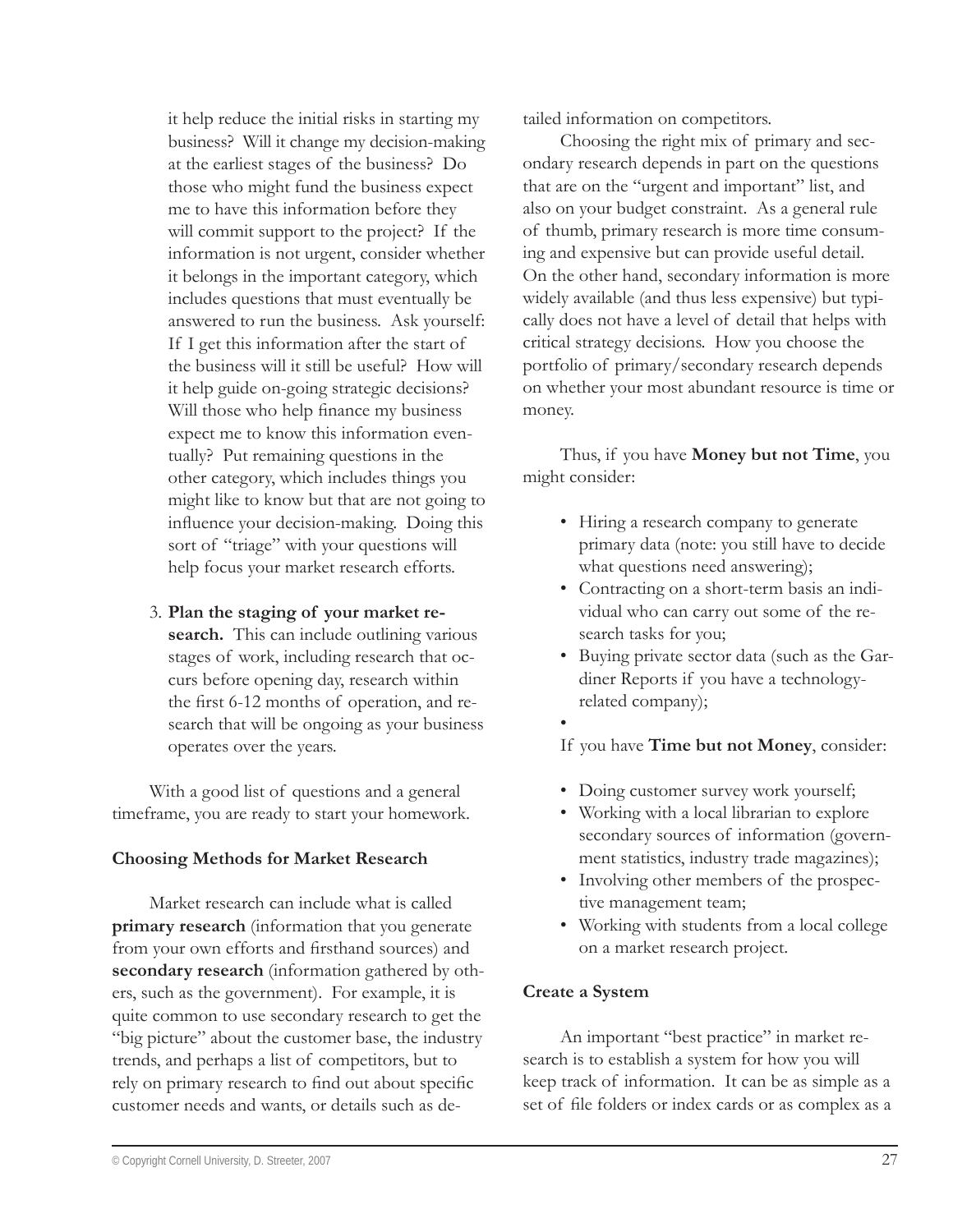it help reduce the initial risks in starting my business? Will it change my decision-making at the earliest stages of the business? Do those who might fund the business expect me to have this information before they will commit support to the project? If the information is not urgent, consider whether it belongs in the important category, which includes questions that must eventually be answered to run the business. Ask yourself: If I get this information after the start of the business will it still be useful? How will it help guide on-going strategic decisions? Will those who help finance my business expect me to know this information eventually? Put remaining questions in the other category, which includes things you might like to know but that are not going to influence your decision-making. Doing this sort of "triage" with your questions will help focus your market research efforts.

3. **Plan the staging of your market re-**

**search.** This can include outlining various stages of work, including research that occurs before opening day, research within the first 6-12 months of operation, and research that will be ongoing as your business operates over the years.

With a good list of questions and a general timeframe, you are ready to start your homework.

#### **Choosing Methods for Market Research**

Market research can include what is called **primary research** (information that you generate from your own efforts and firsthand sources) and **secondary research** (information gathered by others, such as the government). For example, it is quite common to use secondary research to get the "big picture" about the customer base, the industry trends, and perhaps a list of competitors, but to rely on primary research to find out about specific customer needs and wants, or details such as detailed information on competitors.

Choosing the right mix of primary and secondary research depends in part on the questions that are on the "urgent and important" list, and also on your budget constraint. As a general rule of thumb, primary research is more time consuming and expensive but can provide useful detail. On the other hand, secondary information is more widely available (and thus less expensive) but typically does not have a level of detail that helps with critical strategy decisions. How you choose the portfolio of primary/secondary research depends on whether your most abundant resource is time or money.

Thus, if you have **Money but not Time**, you might consider:

- Hiring a research company to generate primary data (note: you still have to decide what questions need answering);
- Contracting on a short-term basis an indi-• vidual who can carry out some of the research tasks for you;
- Buying private sector data (such as the Gar-• diner Reports if you have a technologyrelated company);
- •

If you have **Time but not Money**, consider:

- Doing customer survey work yourself; •
- Working with a local librarian to explore secondary sources of information (government statistics, industry trade magazines);
- Involving other members of the prospective management team;
- Working with students from a local college •on a market research project.

#### **Create a System**

An important "best practice" in market research is to establish a system for how you will keep track of information. It can be as simple as a set of file folders or index cards or as complex as a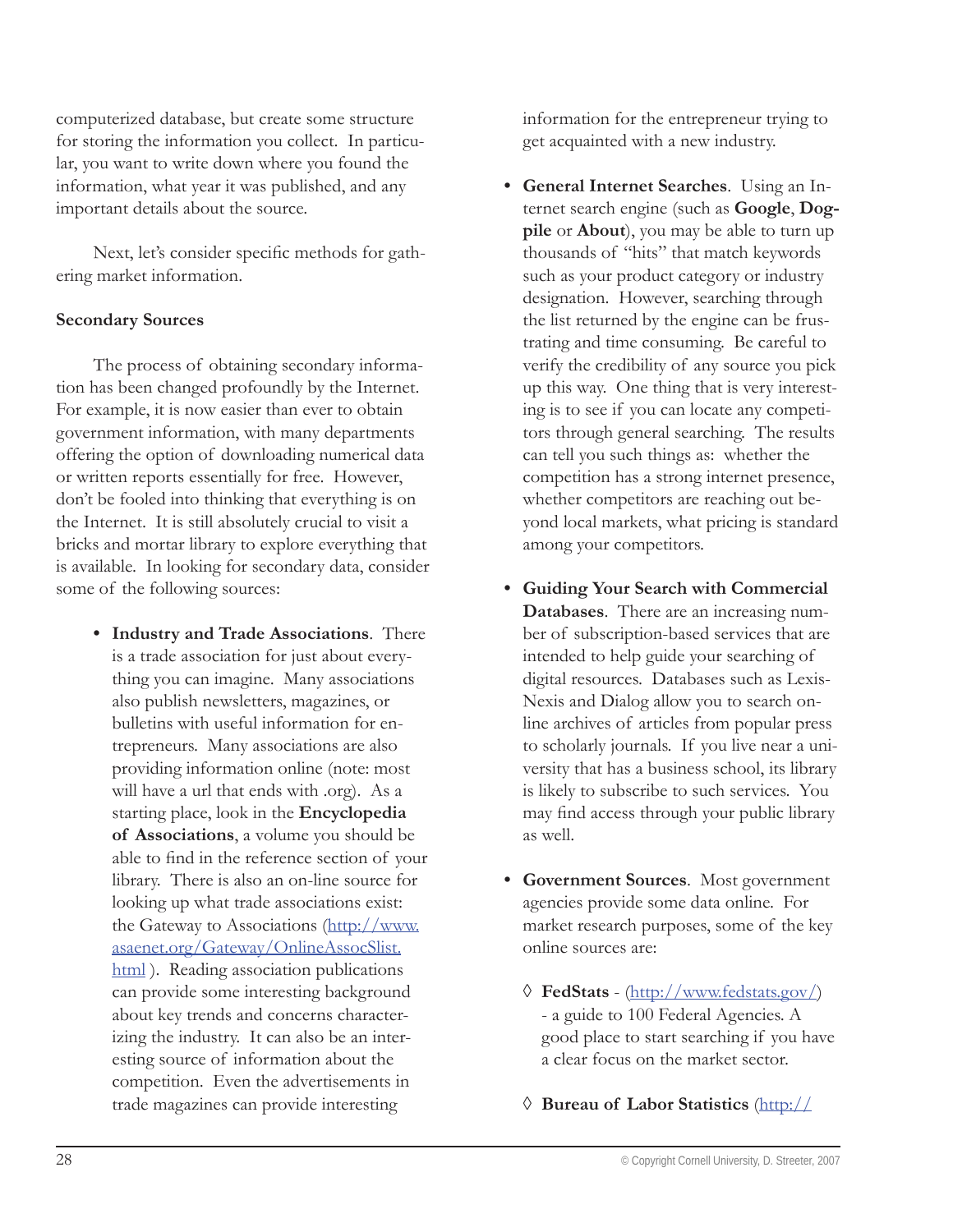computerized database, but create some structure for storing the information you collect. In particular, you want to write down where you found the information, what year it was published, and any important details about the source.

Next, let's consider specific methods for gathering market information.

#### **Secondary Sources**

The process of obtaining secondary information has been changed profoundly by the Internet. For example, it is now easier than ever to obtain government information, with many departments offering the option of downloading numerical data or written reports essentially for free. However, don't be fooled into thinking that everything is on the Internet. It is still absolutely crucial to visit a bricks and mortar library to explore everything that is available. In looking for secondary data, consider some of the following sources:

**Industry and Trade Associations**. There **•** is a trade association for just about everything you can imagine. Many associations also publish newsletters, magazines, or bulletins with useful information for entrepreneurs. Many associations are also providing information online (note: most will have a url that ends with .org). As a starting place, look in the **Encyclopedia of Associations**, a volume you should be able to find in the reference section of your library. There is also an on-line source for looking up what trade associations exist: the Gateway to Associations (http://www. asaenet.org/Gateway/OnlineAssocSlist. html ). Reading association publications can provide some interesting background about key trends and concerns characterizing the industry. It can also be an interesting source of information about the competition. Even the advertisements in trade magazines can provide interesting

information for the entrepreneur trying to get acquainted with a new industry.

- **General Internet Searches**. Using an In-**•** ternet search engine (such as **Google**, **Dogpile** or **About**), you may be able to turn up thousands of "hits" that match keywords such as your product category or industry designation. However, searching through the list returned by the engine can be frustrating and time consuming. Be careful to verify the credibility of any source you pick up this way. One thing that is very interesting is to see if you can locate any competitors through general searching. The results can tell you such things as: whether the competition has a strong internet presence, whether competitors are reaching out beyond local markets, what pricing is standard among your competitors.
- **Guiding Your Search with Commercial • Databases**. There are an increasing number of subscription-based services that are intended to help guide your searching of digital resources. Databases such as Lexis-Nexis and Dialog allow you to search online archives of articles from popular press to scholarly journals. If you live near a university that has a business school, its library is likely to subscribe to such services. You may find access through your public library as well.
- **Government Sources**. Most government **•** agencies provide some data online. For market research purposes, some of the key online sources are:
	- **FedStats** (http://www.fedstats.gov/) ◊ - a guide to 100 Federal Agencies. A good place to start searching if you have a clear focus on the market sector.
	- **Bureau of Labor Statistics** (http:// ◊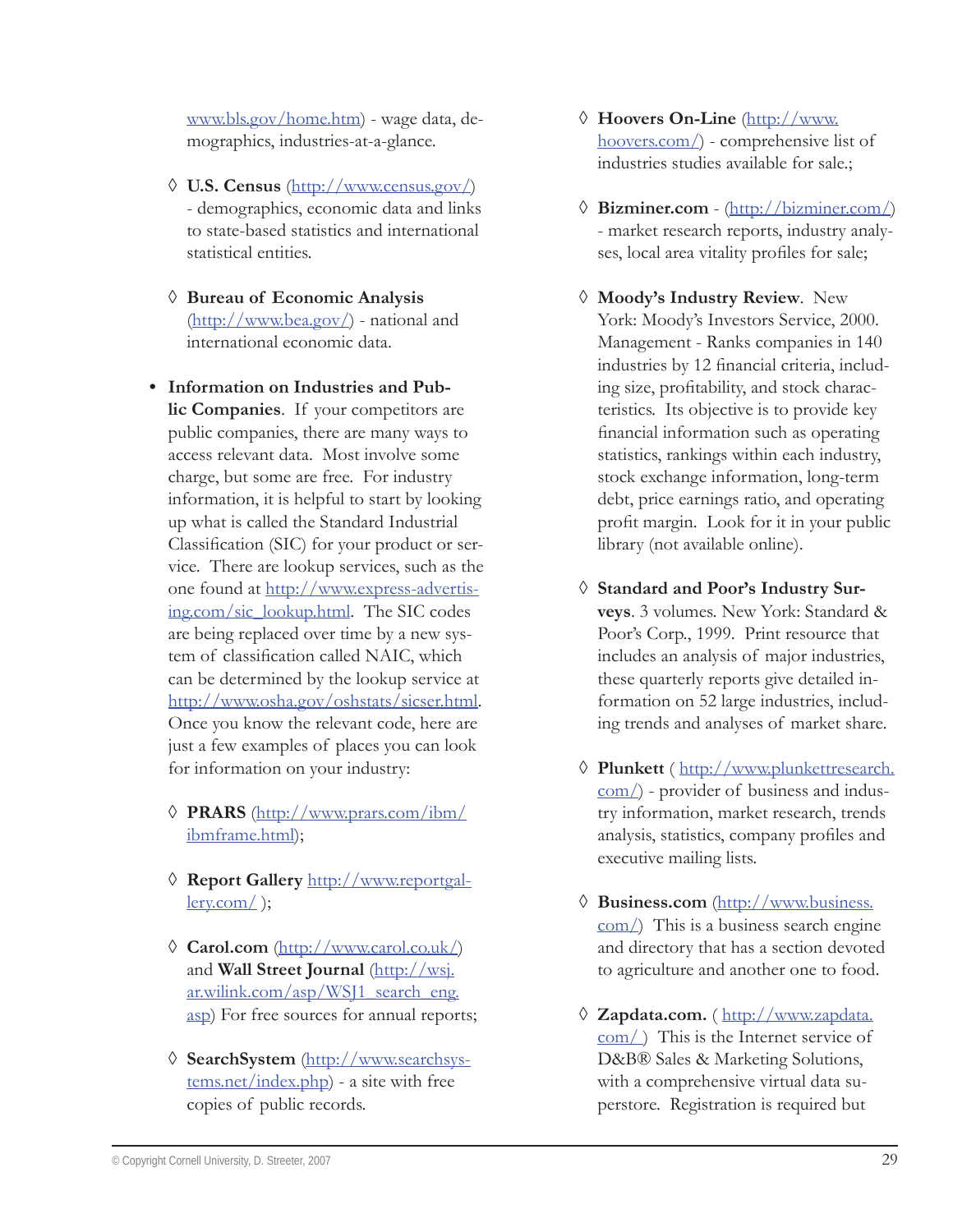www.bls.gov/home.htm) - wage data, demographics, industries-at-a-glance.

- **U.S. Census** (http://www.census.gov/) ◊ - demographics, economic data and links to state-based statistics and international statistical entities.
- **Bureau of Economic Analysis**  ◊ (http://www.bea.gov/) - national and international economic data.
- **Information on Industries and Pub-• lic Companies**. If your competitors are public companies, there are many ways to access relevant data. Most involve some charge, but some are free. For industry information, it is helpful to start by looking up what is called the Standard Industrial Classification (SIC) for your product or service. There are lookup services, such as the one found at http://www.express-advertising.com/sic\_lookup.html. The SIC codes are being replaced over time by a new system of classification called NAIC, which can be determined by the lookup service at http://www.osha.gov/oshstats/sicser.html. Once you know the relevant code, here are just a few examples of places you can look for information on your industry:
	- **PRARS** (http://www.prars.com/ibm/ ◊ ibmframe.html);
	- **Report Gallery** http://www.reportgal-◊  $\text{lev.com/}$  );
	- **Carol.com** (http://www.carol.co.uk/) ◊ and **Wall Street Journal** (http://wsj. ar.wilink.com/asp/WSJ1\_search\_eng. asp) For free sources for annual reports;
	- **SearchSystem** (http://www.searchsys-◊ tems.net/index.php) - a site with free copies of public records.
- **Hoovers On-Line** (http://www. ◊ hoovers.com/) - comprehensive list of industries studies available for sale.;
- **Bizminer.com** (http://bizminer.com/) ◊ - market research reports, industry analyses, local area vitality profiles for sale;
- **Moody's Industry Review**. New ◊ York: Moody's Investors Service, 2000. Management - Ranks companies in 140 industries by 12 financial criteria, including size, profitability, and stock characteristics. Its objective is to provide key financial information such as operating statistics, rankings within each industry, stock exchange information, long-term debt, price earnings ratio, and operating profit margin. Look for it in your public library (not available online).
- **Standard and Poor's Industry Sur-**◊ **veys**. 3 volumes. New York: Standard & Poor's Corp., 1999. Print resource that includes an analysis of major industries, these quarterly reports give detailed information on 52 large industries, including trends and analyses of market share.
- **Plunkett** ( http://www.plunkettresearch. ◊ com/) - provider of business and industry information, market research, trends analysis, statistics, company profiles and executive mailing lists.
- **Business.com** (http://www.business. ◊ com/) This is a business search engine and directory that has a section devoted to agriculture and another one to food.
- **Zapdata.com.** ( http://www.zapdata. ◊com/ ) This is the Internet service of D&B® Sales & Marketing Solutions, with a comprehensive virtual data superstore. Registration is required but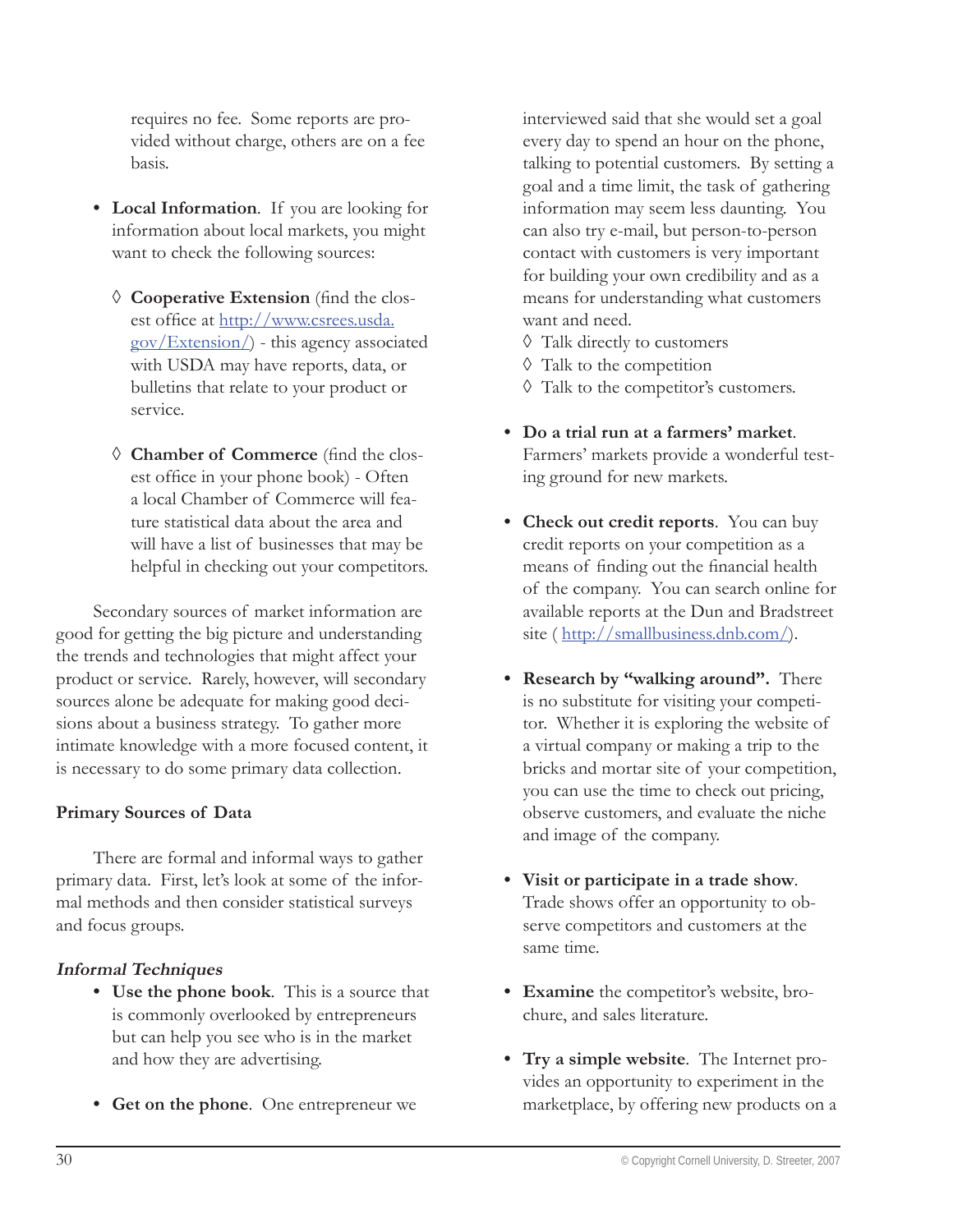requires no fee. Some reports are provided without charge, others are on a fee basis.

- **Local Information**. If you are looking for **•** information about local markets, you might want to check the following sources:
	- $\Diamond$  Cooperative Extension (find the closest office at http://www.csrees.usda. gov/Extension/) - this agency associated with USDA may have reports, data, or bulletins that relate to your product or service.
	- $\Diamond$  **Chamber of Commerce** (find the closest office in your phone book) - Often a local Chamber of Commerce will feature statistical data about the area and will have a list of businesses that may be helpful in checking out your competitors.

Secondary sources of market information are good for getting the big picture and understanding the trends and technologies that might affect your product or service. Rarely, however, will secondary sources alone be adequate for making good decisions about a business strategy. To gather more intimate knowledge with a more focused content, it is necessary to do some primary data collection.

#### **Primary Sources of Data**

There are formal and informal ways to gather primary data. First, let's look at some of the informal methods and then consider statistical surveys and focus groups.

#### **Informal Techniques**

- **Use the phone book**. This is a source that **•** is commonly overlooked by entrepreneurs but can help you see who is in the market and how they are advertising.
- **Get on the phone**. One entrepreneur we **•**

interviewed said that she would set a goal every day to spend an hour on the phone, talking to potential customers. By setting a goal and a time limit, the task of gathering information may seem less daunting. You can also try e-mail, but person-to-person contact with customers is very important for building your own credibility and as a means for understanding what customers want and need.

- Talk directly to customers ◊
- Talk to the competition ◊
- Talk to the competitor's customers. ◊
- **Do a trial run at a farmers' market**. **•** Farmers' markets provide a wonderful testing ground for new markets.
- **Check out credit reports**. You can buy **•** credit reports on your competition as a means of finding out the financial health of the company. You can search online for available reports at the Dun and Bradstreet site (http://smallbusiness.dnb.com/).
- **Research by "walking around".** There **•** is no substitute for visiting your competitor. Whether it is exploring the website of a virtual company or making a trip to the bricks and mortar site of your competition, you can use the time to check out pricing, observe customers, and evaluate the niche and image of the company.
- **Visit or participate in a trade show**. **•** Trade shows offer an opportunity to observe competitors and customers at the same time.
- **Examine** the competitor's website, bro-**•** chure, and sales literature.
- **Try a simple website**. The Internet pro-**•**vides an opportunity to experiment in the marketplace, by offering new products on a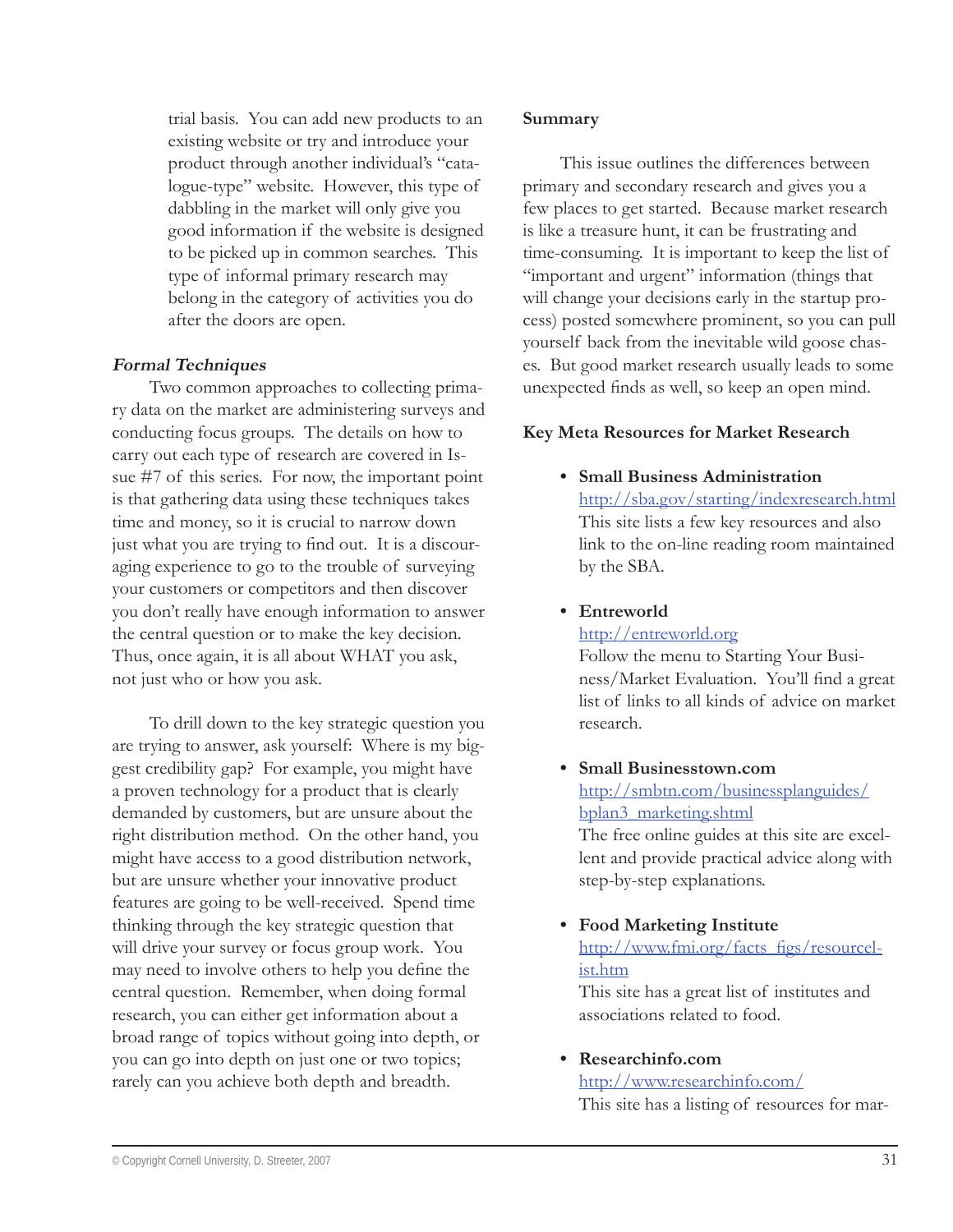trial basis. You can add new products to an existing website or try and introduce your product through another individual's "catalogue-type" website. However, this type of dabbling in the market will only give you good information if the website is designed to be picked up in common searches. This type of informal primary research may belong in the category of activities you do after the doors are open.

#### **Formal Techniques**

Two common approaches to collecting primary data on the market are administering surveys and conducting focus groups. The details on how to carry out each type of research are covered in Issue #7 of this series. For now, the important point is that gathering data using these techniques takes time and money, so it is crucial to narrow down just what you are trying to find out. It is a discouraging experience to go to the trouble of surveying your customers or competitors and then discover you don't really have enough information to answer the central question or to make the key decision. Thus, once again, it is all about WHAT you ask, not just who or how you ask.

To drill down to the key strategic question you are trying to answer, ask yourself: Where is my biggest credibility gap? For example, you might have a proven technology for a product that is clearly demanded by customers, but are unsure about the right distribution method. On the other hand, you might have access to a good distribution network, but are unsure whether your innovative product features are going to be well-received. Spend time thinking through the key strategic question that will drive your survey or focus group work. You may need to involve others to help you define the central question. Remember, when doing formal research, you can either get information about a broad range of topics without going into depth, or you can go into depth on just one or two topics; rarely can you achieve both depth and breadth.

#### **Summary**

This issue outlines the differences between primary and secondary research and gives you a few places to get started. Because market research is like a treasure hunt, it can be frustrating and time-consuming. It is important to keep the list of "important and urgent" information (things that will change your decisions early in the startup process) posted somewhere prominent, so you can pull yourself back from the inevitable wild goose chases. But good market research usually leads to some unexpected finds as well, so keep an open mind.

#### **Key Meta Resources for Market Research**

**Small Business Administration •** http://sba.gov/starting/indexresearch.html This site lists a few key resources and also link to the on-line reading room maintained by the SBA.

# **Entreworld •**

http://entreworld.org

Follow the menu to Starting Your Business/Market Evaluation. You'll find a great list of links to all kinds of advice on market research.

**Small Businesstown.com •** http://smbtn.com/businessplanguides/ bplan3\_marketing.shtml

The free online guides at this site are excellent and provide practical advice along with step-by-step explanations.

**Food Marketing Institute •** http://www.fmi.org/facts\_figs/resourcelist.htm

This site has a great list of institutes and associations related to food.

#### **Researchinfo.com •**

# http://www.researchinfo.com/

This site has a listing of resources for mar-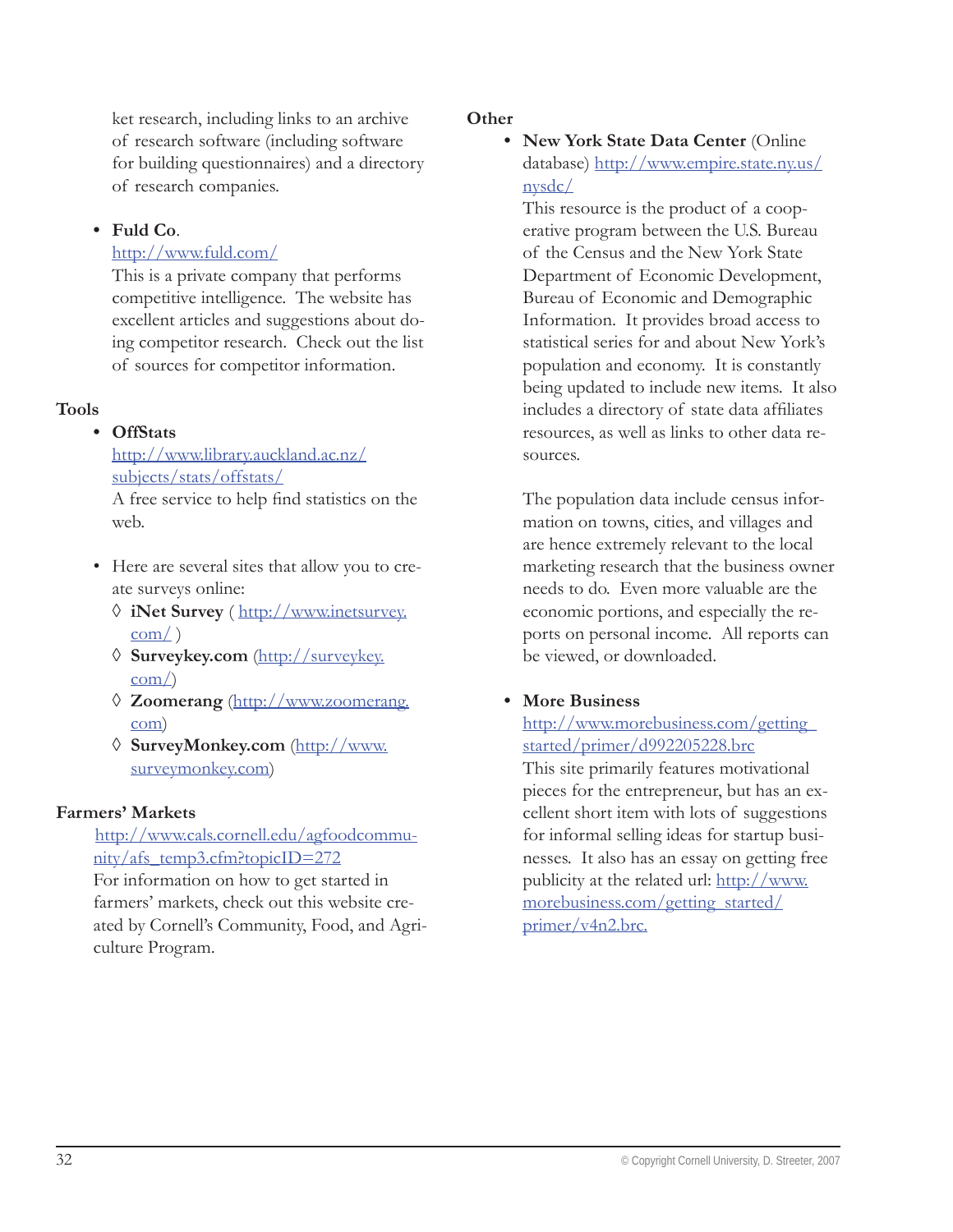ket research, including links to an archive of research software (including software for building questionnaires) and a directory of research companies.

# **Fuld Co**. **•**

#### http://www.fuld.com/

This is a private company that performs competitive intelligence. The website has excellent articles and suggestions about doing competitor research. Check out the list of sources for competitor information.

#### **Tools**

#### **OffStats •**

http://www.library.auckland.ac.nz/ subjects/stats/offstats/ A free service to help find statistics on the web.

- Here are several sites that allow you to cre-• ate surveys online:
	- **iNet Survey** ( http://www.inetsurvey. ◊  $com()$
	- **Surveykey.com** (http://surveykey. ◊ com/)
	- **Zoomerang** (http://www.zoomerang. ◊ com)
	- **SurveyMonkey.com** (http://www. ◊ surveymonkey.com)

#### **Farmers' Markets**

http://www.cals.cornell.edu/agfoodcommunity/afs\_temp3.cfm?topicID=272

For information on how to get started in farmers' markets, check out this website created by Cornell's Community, Food, and Agriculture Program.

#### **Other**

**New York State Data Center** (Online **•** database) http://www.empire.state.ny.us/ nysdc/

This resource is the product of a cooperative program between the U.S. Bureau of the Census and the New York State Department of Economic Development, Bureau of Economic and Demographic Information. It provides broad access to statistical series for and about New York's population and economy. It is constantly being updated to include new items. It also includes a directory of state data affiliates resources, as well as links to other data resources.

The population data include census information on towns, cities, and villages and are hence extremely relevant to the local marketing research that the business owner needs to do. Even more valuable are the economic portions, and especially the reports on personal income. All reports can be viewed, or downloaded.

#### **More Business •**

http://www.morebusiness.com/getting\_ started/primer/d992205228.brc

This site primarily features motivational pieces for the entrepreneur, but has an excellent short item with lots of suggestions for informal selling ideas for startup businesses. It also has an essay on getting free publicity at the related url: http://www. morebusiness.com/getting\_started/ primer/v4n2.brc.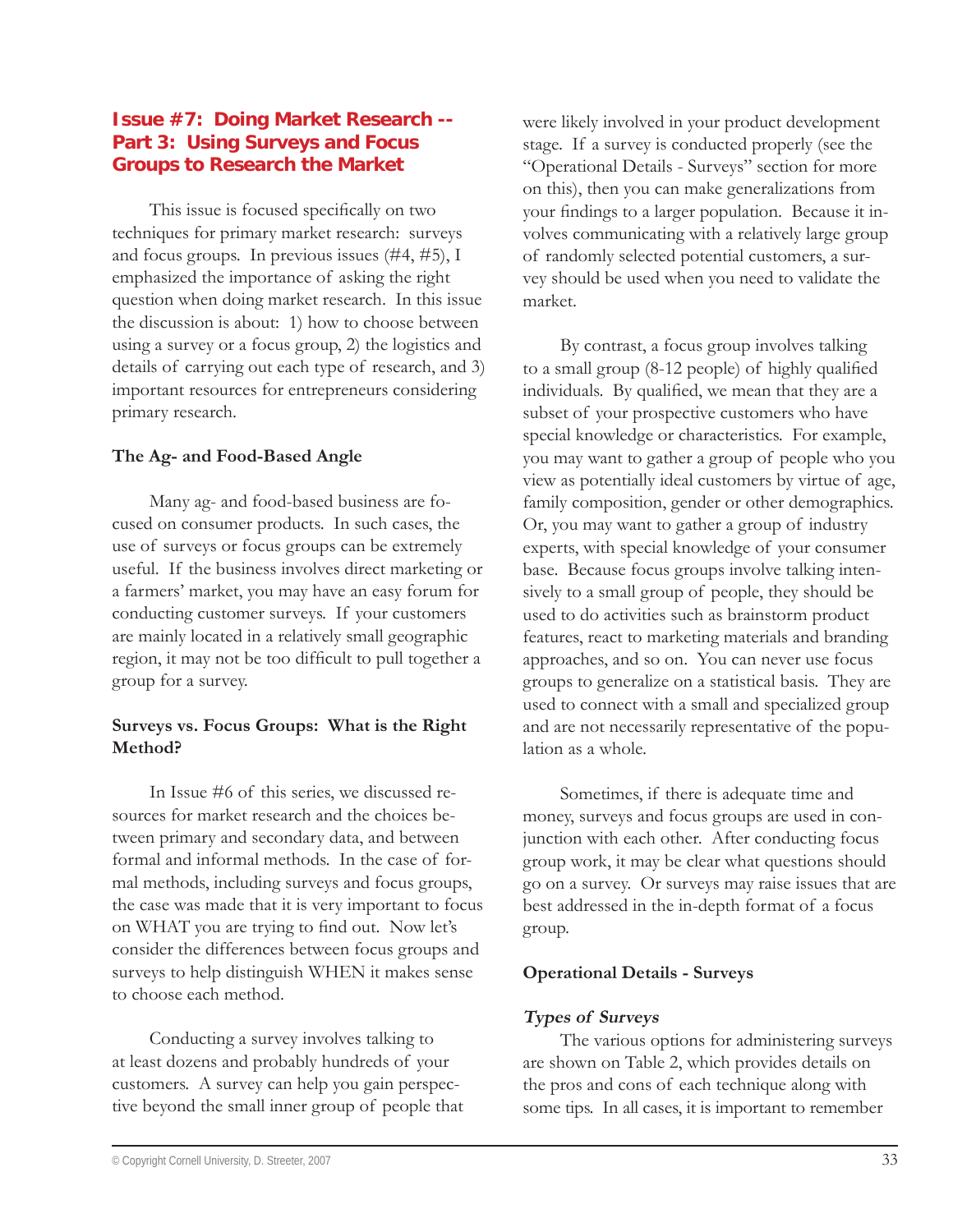# **Issue #7: Doing Market Research -- Part 3: Using Surveys and Focus Groups to Research the Market**

This issue is focused specifically on two techniques for primary market research: surveys and focus groups. In previous issues (#4, #5), I emphasized the importance of asking the right question when doing market research. In this issue the discussion is about: 1) how to choose between using a survey or a focus group, 2) the logistics and details of carrying out each type of research, and 3) important resources for entrepreneurs considering primary research.

#### **The Ag- and Food-Based Angle**

Many ag- and food-based business are focused on consumer products. In such cases, the use of surveys or focus groups can be extremely useful. If the business involves direct marketing or a farmers' market, you may have an easy forum for conducting customer surveys. If your customers are mainly located in a relatively small geographic region, it may not be too difficult to pull together a group for a survey.

#### **Surveys vs. Focus Groups: What is the Right Method?**

In Issue #6 of this series, we discussed resources for market research and the choices between primary and secondary data, and between formal and informal methods. In the case of formal methods, including surveys and focus groups, the case was made that it is very important to focus on WHAT you are trying to find out. Now let's consider the differences between focus groups and surveys to help distinguish WHEN it makes sense to choose each method.

Conducting a survey involves talking to at least dozens and probably hundreds of your customers. A survey can help you gain perspective beyond the small inner group of people that

were likely involved in your product development stage. If a survey is conducted properly (see the "Operational Details - Surveys" section for more on this), then you can make generalizations from your findings to a larger population. Because it involves communicating with a relatively large group of randomly selected potential customers, a survey should be used when you need to validate the market.

By contrast, a focus group involves talking to a small group  $(8-12 \text{ people})$  of highly qualified individuals. By qualified, we mean that they are a subset of your prospective customers who have special knowledge or characteristics. For example, you may want to gather a group of people who you view as potentially ideal customers by virtue of age, family composition, gender or other demographics. Or, you may want to gather a group of industry experts, with special knowledge of your consumer base. Because focus groups involve talking intensively to a small group of people, they should be used to do activities such as brainstorm product features, react to marketing materials and branding approaches, and so on. You can never use focus groups to generalize on a statistical basis. They are used to connect with a small and specialized group and are not necessarily representative of the population as a whole.

Sometimes, if there is adequate time and money, surveys and focus groups are used in conjunction with each other. After conducting focus group work, it may be clear what questions should go on a survey. Or surveys may raise issues that are best addressed in the in-depth format of a focus group.

#### **Operational Details - Surveys**

# **Types of Surveys**

The various options for administering surveys are shown on Table 2, which provides details on the pros and cons of each technique along with some tips. In all cases, it is important to remember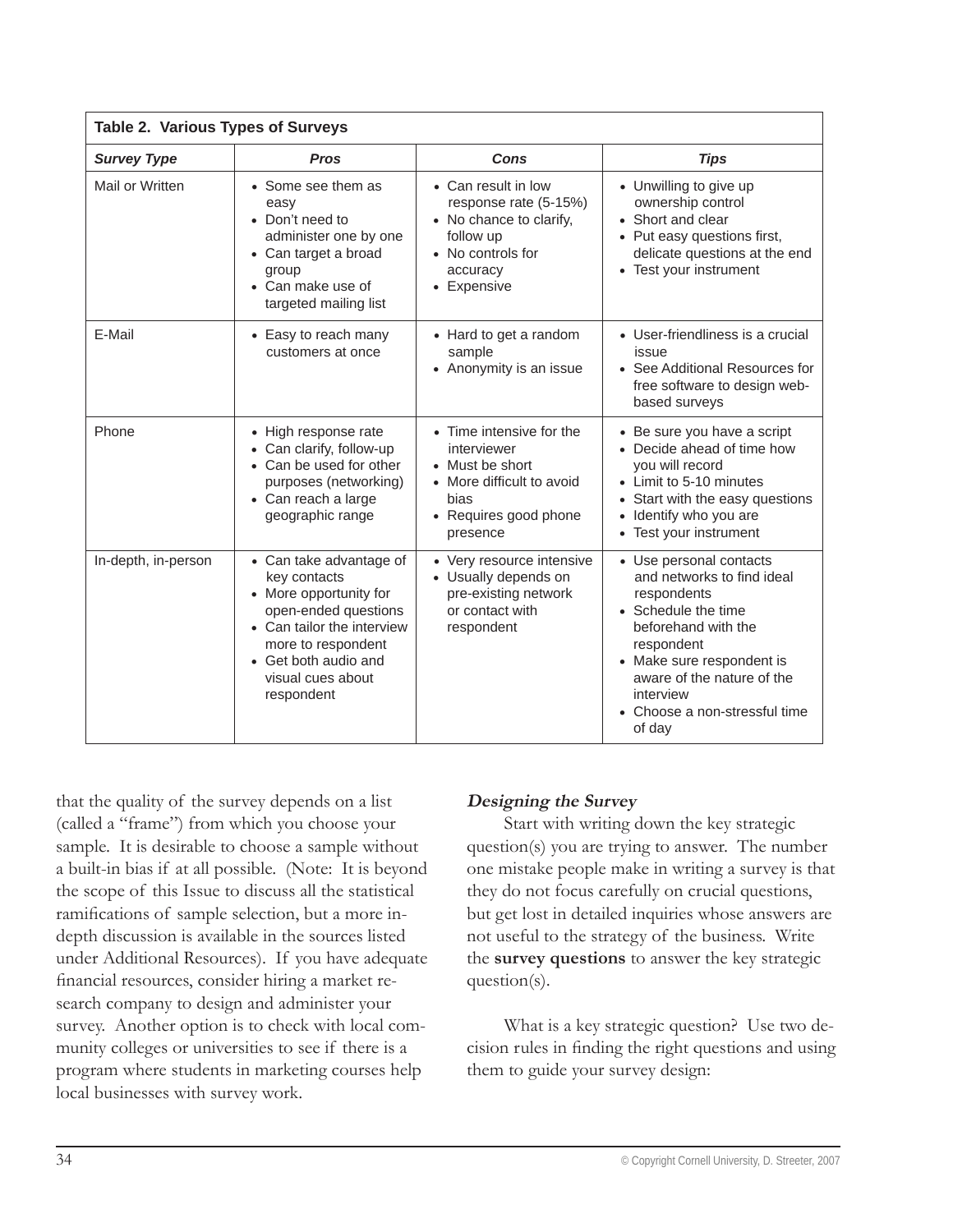| <b>Table 2. Various Types of Surveys</b> |                                                                                                                                                                                                          |                                                                                                                                      |                                                                                                                                                                                                                                                     |
|------------------------------------------|----------------------------------------------------------------------------------------------------------------------------------------------------------------------------------------------------------|--------------------------------------------------------------------------------------------------------------------------------------|-----------------------------------------------------------------------------------------------------------------------------------------------------------------------------------------------------------------------------------------------------|
| <b>Survey Type</b>                       | <b>Pros</b>                                                                                                                                                                                              | Cons                                                                                                                                 | <b>Tips</b>                                                                                                                                                                                                                                         |
| Mail or Written                          | • Some see them as<br>easy<br>• Don't need to<br>administer one by one<br>• Can target a broad<br>group<br>• Can make use of<br>targeted mailing list                                                    | • Can result in low<br>response rate (5-15%)<br>• No chance to clarify,<br>follow up<br>• No controls for<br>accuracy<br>• Expensive | • Unwilling to give up<br>ownership control<br>• Short and clear<br>• Put easy questions first,<br>delicate questions at the end<br>• Test your instrument                                                                                          |
| E-Mail                                   | • Easy to reach many<br>customers at once                                                                                                                                                                | • Hard to get a random<br>sample<br>• Anonymity is an issue                                                                          | • User-friendliness is a crucial<br>issue<br>• See Additional Resources for<br>free software to design web-<br>based surveys                                                                                                                        |
| Phone                                    | • High response rate<br>• Can clarify, follow-up<br>• Can be used for other<br>purposes (networking)<br>• Can reach a large<br>geographic range                                                          | • Time intensive for the<br>interviewer<br>• Must be short<br>More difficult to avoid<br>bias<br>• Requires good phone<br>presence   | • Be sure you have a script<br>• Decide ahead of time how<br>you will record<br>• Limit to 5-10 minutes<br>• Start with the easy questions<br>• Identify who you are<br>• Test your instrument                                                      |
| In-depth, in-person                      | • Can take advantage of<br>key contacts<br>• More opportunity for<br>open-ended questions<br>• Can tailor the interview<br>more to respondent<br>• Get both audio and<br>visual cues about<br>respondent | • Very resource intensive<br>• Usually depends on<br>pre-existing network<br>or contact with<br>respondent                           | • Use personal contacts<br>and networks to find ideal<br>respondents<br>• Schedule the time<br>beforehand with the<br>respondent<br>• Make sure respondent is<br>aware of the nature of the<br>interview<br>• Choose a non-stressful time<br>of day |

that the quality of the survey depends on a list (called a "frame") from which you choose your sample. It is desirable to choose a sample without a built-in bias if at all possible. (Note: It is beyond the scope of this Issue to discuss all the statistical ramifications of sample selection, but a more indepth discussion is available in the sources listed under Additional Resources). If you have adequate financial resources, consider hiring a market research company to design and administer your survey. Another option is to check with local community colleges or universities to see if there is a program where students in marketing courses help local businesses with survey work.

#### **Designing the Survey**

Start with writing down the key strategic question(s) you are trying to answer. The number one mistake people make in writing a survey is that they do not focus carefully on crucial questions, but get lost in detailed inquiries whose answers are not useful to the strategy of the business. Write the **survey questions** to answer the key strategic question(s).

What is a key strategic question? Use two decision rules in finding the right questions and using them to guide your survey design: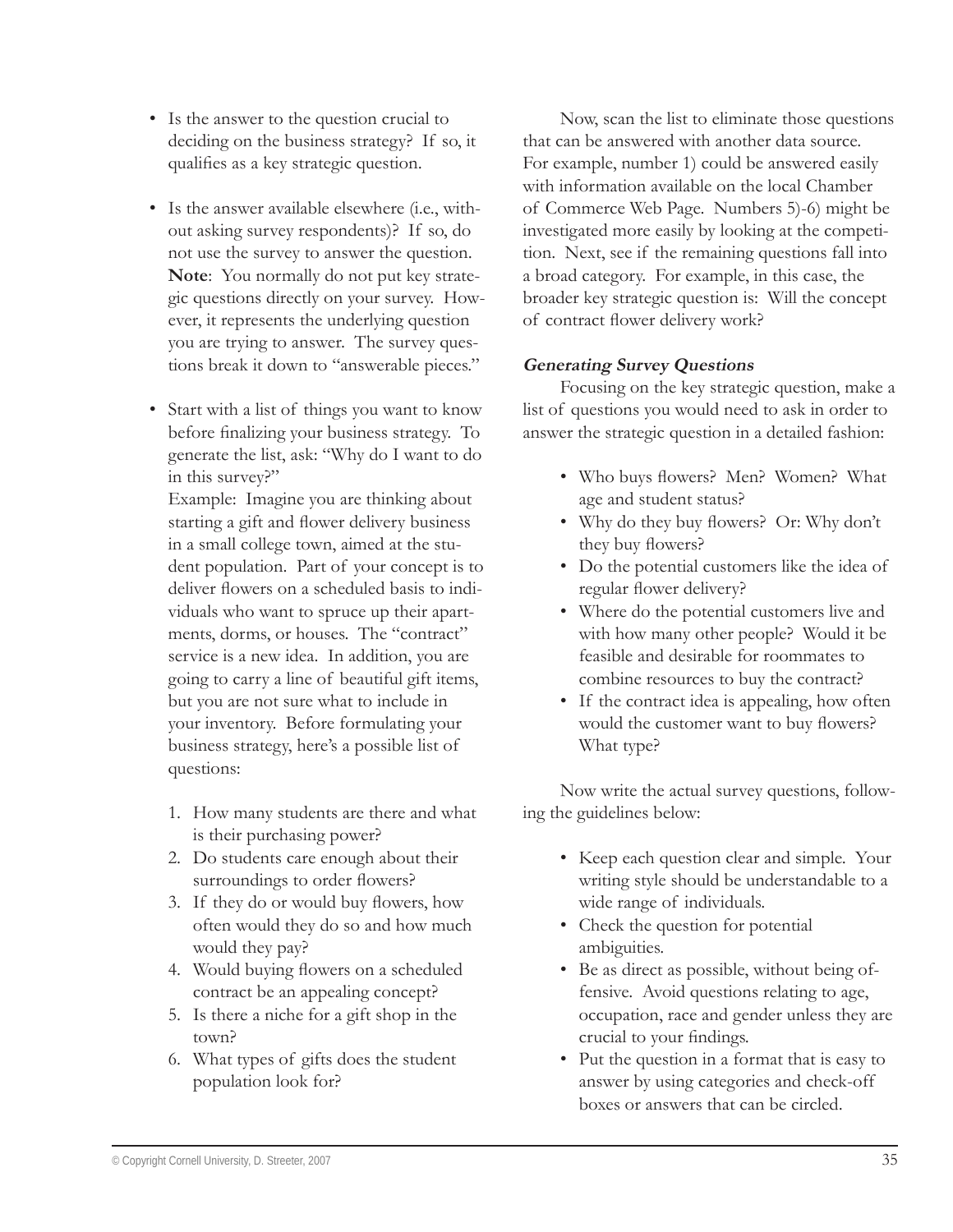- Is the answer to the question crucial to deciding on the business strategy? If so, it qualifies as a key strategic question.
- Is the answer available elsewhere (i.e., with-• out asking survey respondents)? If so, do not use the survey to answer the question. **Note**: You normally do not put key strategic questions directly on your survey. However, it represents the underlying question you are trying to answer. The survey questions break it down to "answerable pieces."
- Start with a list of things you want to know before finalizing your business strategy. To generate the list, ask: "Why do I want to do in this survey?"

Example: Imagine you are thinking about starting a gift and flower delivery business in a small college town, aimed at the student population. Part of your concept is to deliver flowers on a scheduled basis to individuals who want to spruce up their apartments, dorms, or houses. The "contract" service is a new idea. In addition, you are going to carry a line of beautiful gift items, but you are not sure what to include in your inventory. Before formulating your business strategy, here's a possible list of questions:

- 1. How many students are there and what is their purchasing power?
- 2. Do students care enough about their surroundings to order flowers?
- 3. If they do or would buy flowers, how often would they do so and how much would they pay?
- 4. Would buying flowers on a scheduled contract be an appealing concept?
- 5. Is there a niche for a gift shop in the town?
- 6. What types of gifts does the student population look for?

Now, scan the list to eliminate those questions that can be answered with another data source. For example, number 1) could be answered easily with information available on the local Chamber of Commerce Web Page. Numbers 5)-6) might be investigated more easily by looking at the competition. Next, see if the remaining questions fall into a broad category. For example, in this case, the broader key strategic question is: Will the concept of contract flower delivery work?

#### **Generating Survey Questions**

Focusing on the key strategic question, make a list of questions you would need to ask in order to answer the strategic question in a detailed fashion:

- Who buys flowers? Men? Women? What age and student status?
- Why do they buy flowers? Or: Why don't they buy flowers?
- Do the potential customers like the idea of regular flower delivery?
- Where do the potential customers live and with how many other people? Would it be feasible and desirable for roommates to combine resources to buy the contract?
- If the contract idea is appealing, how often would the customer want to buy flowers? What type?

Now write the actual survey questions, following the guidelines below:

- Keep each question clear and simple. Your writing style should be understandable to a wide range of individuals.
- Check the question for potential ambiguities.
- Be as direct as possible, without being of-• fensive. Avoid questions relating to age, occupation, race and gender unless they are crucial to your findings.
- Put the question in a format that is easy to answer by using categories and check-off boxes or answers that can be circled.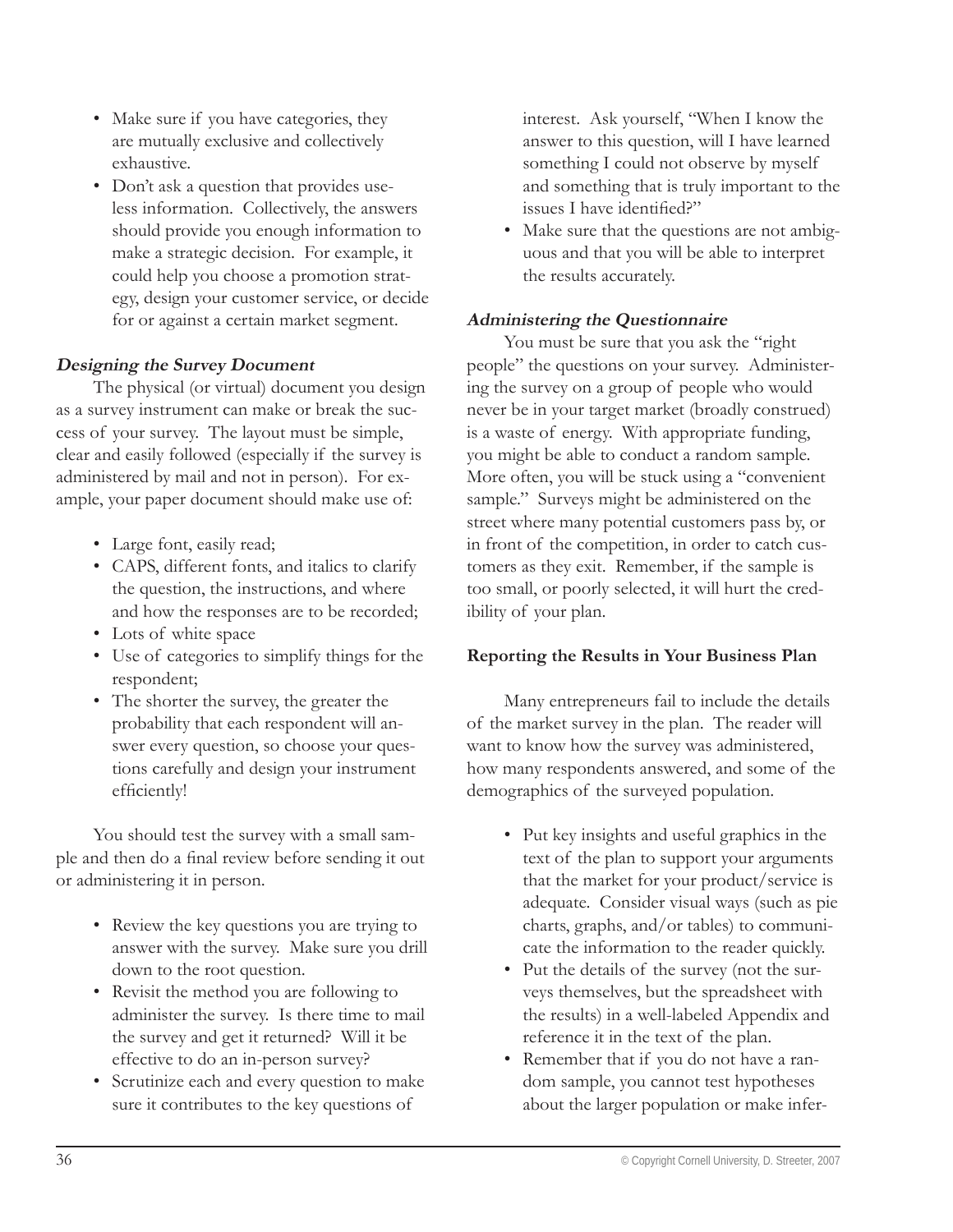- Make sure if you have categories, they are mutually exclusive and collectively exhaustive.
- Don't ask a question that provides useless information. Collectively, the answers should provide you enough information to make a strategic decision. For example, it could help you choose a promotion strategy, design your customer service, or decide for or against a certain market segment.

#### **Designing the Survey Document**

The physical (or virtual) document you design as a survey instrument can make or break the success of your survey. The layout must be simple, clear and easily followed (especially if the survey is administered by mail and not in person). For example, your paper document should make use of:

- Large font, easily read; •
- CAPS, different fonts, and italics to clarify the question, the instructions, and where and how the responses are to be recorded;
- Lots of white space
- Use of categories to simplify things for the respondent;
- The shorter the survey, the greater the probability that each respondent will answer every question, so choose your questions carefully and design your instrument efficiently!

You should test the survey with a small sample and then do a final review before sending it out or administering it in person.

- Review the key questions you are trying to answer with the survey. Make sure you drill down to the root question.
- Revisit the method you are following to administer the survey. Is there time to mail the survey and get it returned? Will it be effective to do an in-person survey?
- Scrutinize each and every question to make sure it contributes to the key questions of

interest. Ask yourself, "When I know the answer to this question, will I have learned something I could not observe by myself and something that is truly important to the issues I have identified?"

Make sure that the questions are not ambig-• uous and that you will be able to interpret the results accurately.

#### **Administering the Questionnaire**

You must be sure that you ask the "right" people" the questions on your survey. Administering the survey on a group of people who would never be in your target market (broadly construed) is a waste of energy. With appropriate funding, you might be able to conduct a random sample. More often, you will be stuck using a "convenient sample." Surveys might be administered on the street where many potential customers pass by, or in front of the competition, in order to catch customers as they exit. Remember, if the sample is too small, or poorly selected, it will hurt the credibility of your plan.

#### **Reporting the Results in Your Business Plan**

Many entrepreneurs fail to include the details of the market survey in the plan. The reader will want to know how the survey was administered, how many respondents answered, and some of the demographics of the surveyed population.

- Put key insights and useful graphics in the text of the plan to support your arguments that the market for your product/service is adequate. Consider visual ways (such as pie charts, graphs, and/or tables) to communicate the information to the reader quickly.
- Put the details of the survey (not the surveys themselves, but the spreadsheet with the results) in a well-labeled Appendix and reference it in the text of the plan.
- Remember that if you do not have a random sample, you cannot test hypotheses about the larger population or make infer-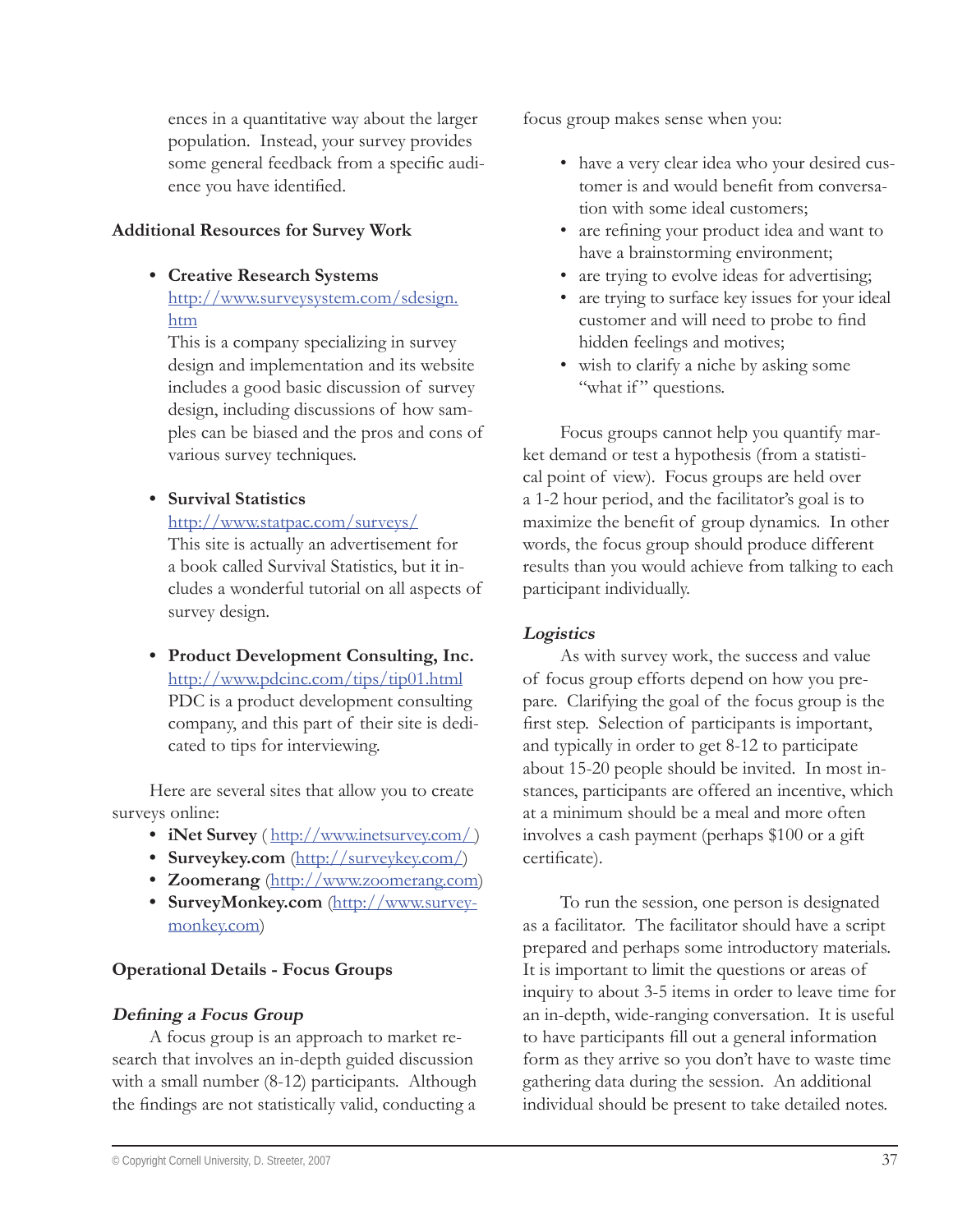ences in a quantitative way about the larger population. Instead, your survey provides some general feedback from a specific audience you have identified.

#### **Additional Resources for Survey Work**

**Creative Research Systems •**

http://www.surveysystem.com/sdesign. htm

This is a company specializing in survey design and implementation and its website includes a good basic discussion of survey design, including discussions of how samples can be biased and the pros and cons of various survey techniques.

**Survival Statistics •**

http://www.statpac.com/surveys/

This site is actually an advertisement for a book called Survival Statistics, but it includes a wonderful tutorial on all aspects of survey design.

**Product Development Consulting, Inc. •** http://www.pdcinc.com/tips/tip01.html PDC is a product development consulting company, and this part of their site is dedicated to tips for interviewing.

Here are several sites that allow you to create surveys online:

- **iNet Survey** ( http://www.inetsurvey.com/)
- Surveykey.com (http://surveykey.com/)
- **Zoomerang** (http://www.zoomerang.com) **•**
- **SurveyMonkey.com** (http://www.survey-**•** monkey.com)

# **Operational Details - Focus Groups**

#### **Defining a Focus Group**

A focus group is an approach to market research that involves an in-depth guided discussion with a small number (8-12) participants. Although the findings are not statistically valid, conducting a

focus group makes sense when you:

- have a very clear idea who your desired cus-• tomer is and would benefit from conversation with some ideal customers;
- are refining your product idea and want to have a brainstorming environment;
- are trying to evolve ideas for advertising;
- are trying to surface key issues for your ideal customer and will need to probe to find hidden feelings and motives; •
- wish to clarify a niche by asking some "what if" questions.

Focus groups cannot help you quantify market demand or test a hypothesis (from a statistical point of view). Focus groups are held over a 1-2 hour period, and the facilitator's goal is to maximize the benefit of group dynamics. In other words, the focus group should produce different results than you would achieve from talking to each participant individually.

# **Logistics**

As with survey work, the success and value of focus group efforts depend on how you prepare. Clarifying the goal of the focus group is the first step. Selection of participants is important, and typically in order to get 8-12 to participate about 15-20 people should be invited. In most instances, participants are offered an incentive, which at a minimum should be a meal and more often involves a cash payment (perhaps \$100 or a gift certificate).

To run the session, one person is designated as a facilitator. The facilitator should have a script prepared and perhaps some introductory materials. It is important to limit the questions or areas of inquiry to about 3-5 items in order to leave time for an in-depth, wide-ranging conversation. It is useful to have participants fill out a general information form as they arrive so you don't have to waste time gathering data during the session. An additional individual should be present to take detailed notes.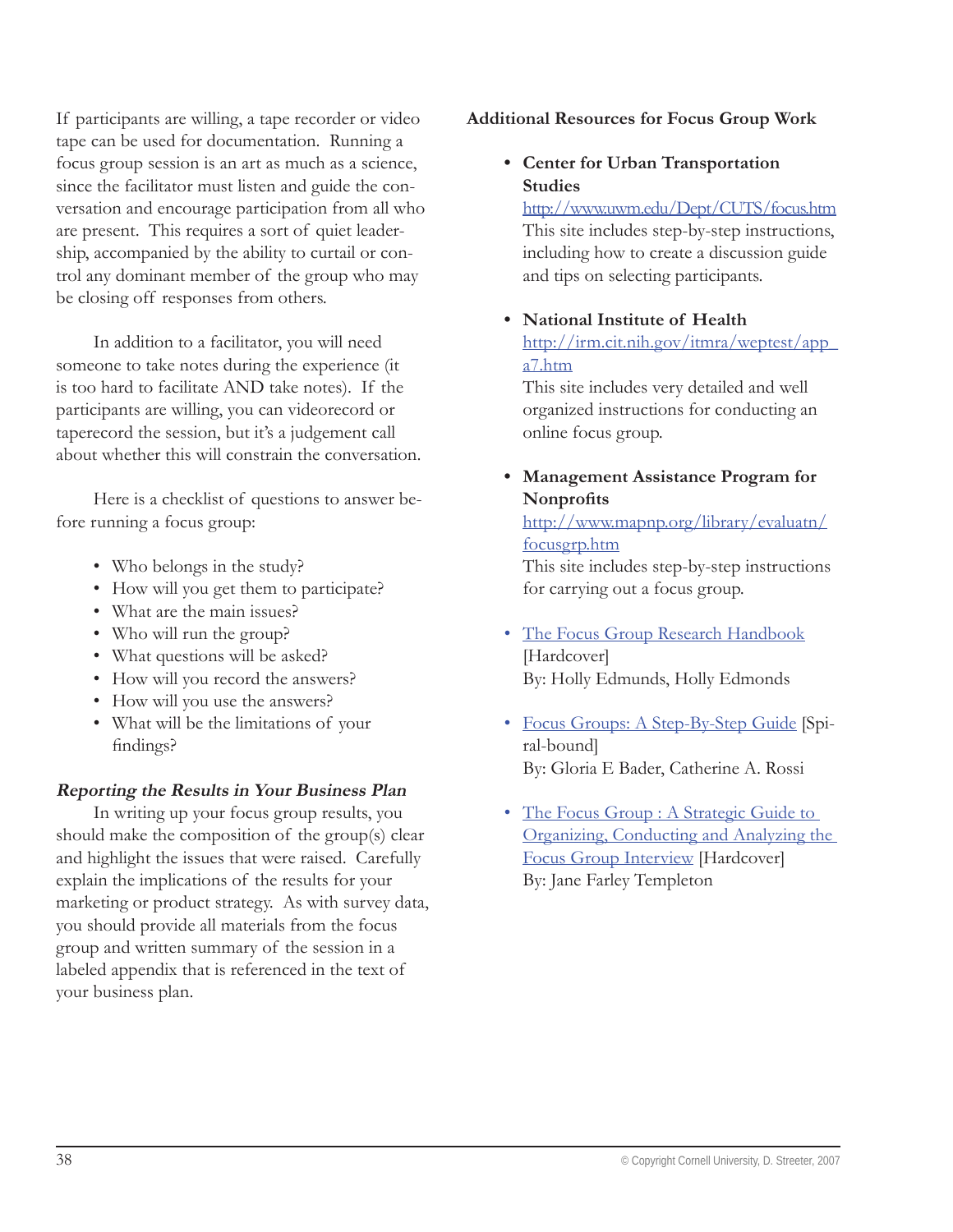If participants are willing, a tape recorder or video tape can be used for documentation. Running a focus group session is an art as much as a science, since the facilitator must listen and guide the conversation and encourage participation from all who are present. This requires a sort of quiet leadership, accompanied by the ability to curtail or control any dominant member of the group who may be closing off responses from others.

In addition to a facilitator, you will need someone to take notes during the experience (it is too hard to facilitate AND take notes). If the participants are willing, you can videorecord or taperecord the session, but it's a judgement call about whether this will constrain the conversation.

Here is a checklist of questions to answer before running a focus group:

- Who belongs in the study?
- How will you get them to participate?
- What are the main issues? •
- Who will run the group?
- What questions will be asked? •
- How will you record the answers?
- How will you use the answers?
- What will be the limitations of your findings?

#### **Reporting the Results in Your Business Plan**

In writing up your focus group results, you should make the composition of the group(s) clear and highlight the issues that were raised. Carefully explain the implications of the results for your marketing or product strategy. As with survey data, you should provide all materials from the focus group and written summary of the session in a labeled appendix that is referenced in the text of your business plan.

#### **Additional Resources for Focus Group Work**

**Center for Urban Transportation • Studies**

http://www.uwm.edu/Dept/CUTS/focus.htm This site includes step-by-step instructions, including how to create a discussion guide and tips on selecting participants.

**National Institute of Health •** http://irm.cit.nih.gov/itmra/weptest/app\_ a7.htm

This site includes very detailed and well organized instructions for conducting an online focus group.

**Management Assistance Program for • Nonprofits** 

http://www.mapnp.org/library/evaluatn/ focusgrp.htm

This site includes step-by-step instructions for carrying out a focus group.

- The Focus Group Research Handbook [Hardcover] By: Holly Edmunds, Holly Edmonds
- Focus Groups: A Step-By-Step Guide [Spiral-bound] By: Gloria E Bader, Catherine A. Rossi
- The Focus Group : A Strategic Guide to Organizing, Conducting and Analyzing the Focus Group Interview [Hardcover] By: Jane Farley Templeton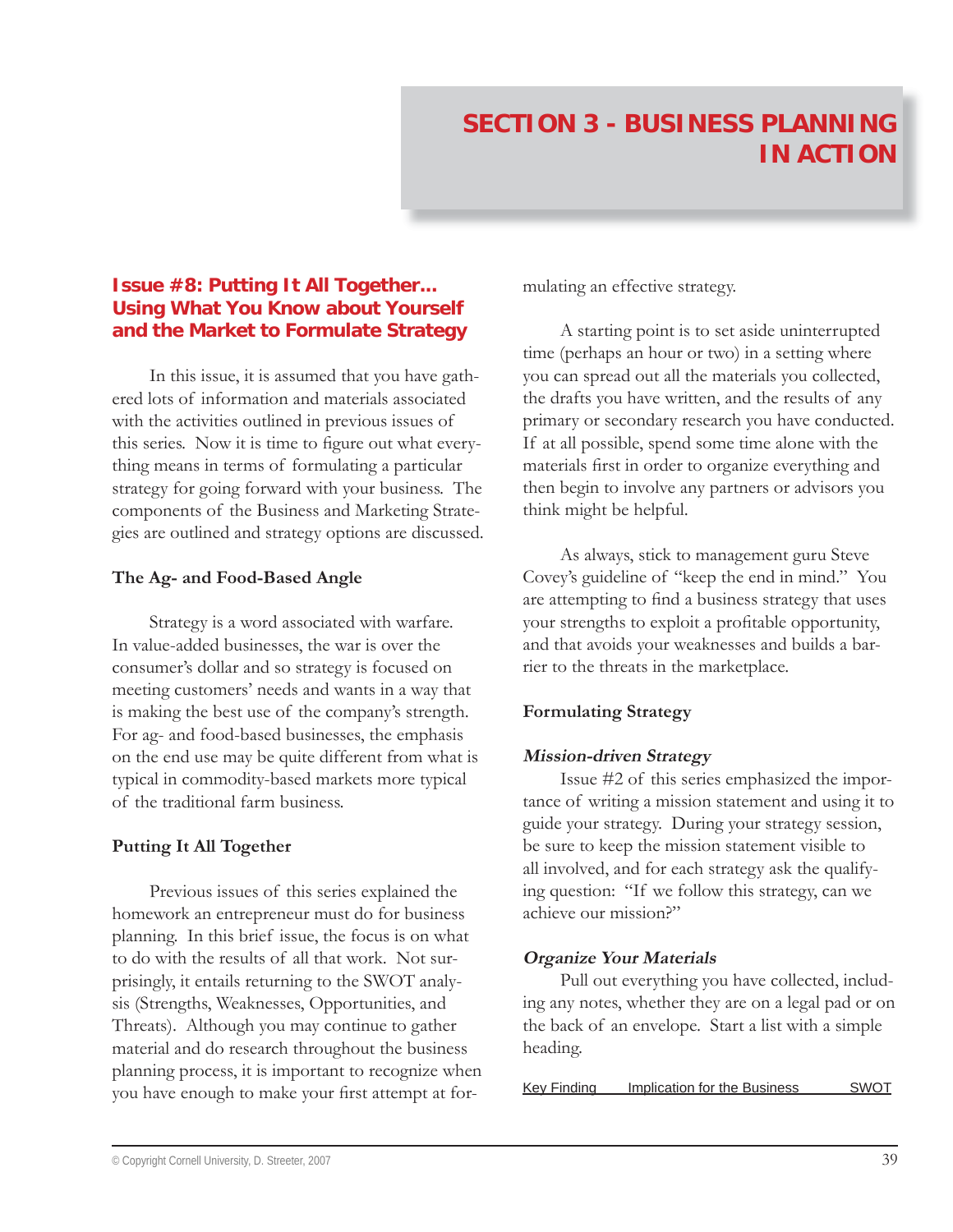#### **Issue #8: Putting It All Together... Using What You Know about Yourself and the Market to Formulate Strategy**

In this issue, it is assumed that you have gathered lots of information and materials associated with the activities outlined in previous issues of this series. Now it is time to figure out what everything means in terms of formulating a particular strategy for going forward with your business. The components of the Business and Marketing Strategies are outlined and strategy options are discussed.

#### **The Ag- and Food-Based Angle**

Strategy is a word associated with warfare. In value-added businesses, the war is over the consumer's dollar and so strategy is focused on meeting customers' needs and wants in a way that is making the best use of the company's strength. For ag- and food-based businesses, the emphasis on the end use may be quite different from what is typical in commodity-based markets more typical of the traditional farm business.

#### **Putting It All Together**

Previous issues of this series explained the homework an entrepreneur must do for business planning. In this brief issue, the focus is on what to do with the results of all that work. Not surprisingly, it entails returning to the SWOT analysis (Strengths, Weaknesses, Opportunities, and Threats). Although you may continue to gather material and do research throughout the business planning process, it is important to recognize when you have enough to make your first attempt at formulating an effective strategy.

A starting point is to set aside uninterrupted time (perhaps an hour or two) in a setting where you can spread out all the materials you collected, the drafts you have written, and the results of any primary or secondary research you have conducted. If at all possible, spend some time alone with the materials first in order to organize everything and then begin to involve any partners or advisors you think might be helpful.

As always, stick to management guru Steve Covey's guideline of "keep the end in mind." You are attempting to find a business strategy that uses your strengths to exploit a profitable opportunity, and that avoids your weaknesses and builds a barrier to the threats in the marketplace.

# **Formulating Strategy**

#### **Mission-driven Strategy**

Issue #2 of this series emphasized the importance of writing a mission statement and using it to guide your strategy. During your strategy session, be sure to keep the mission statement visible to all involved, and for each strategy ask the qualifying question: "If we follow this strategy, can we achieve our mission?"

#### **Organize Your Materials**

Pull out everything you have collected, including any notes, whether they are on a legal pad or on the back of an envelope. Start a list with a simple heading.

Key Finding Implication for the Business SWOT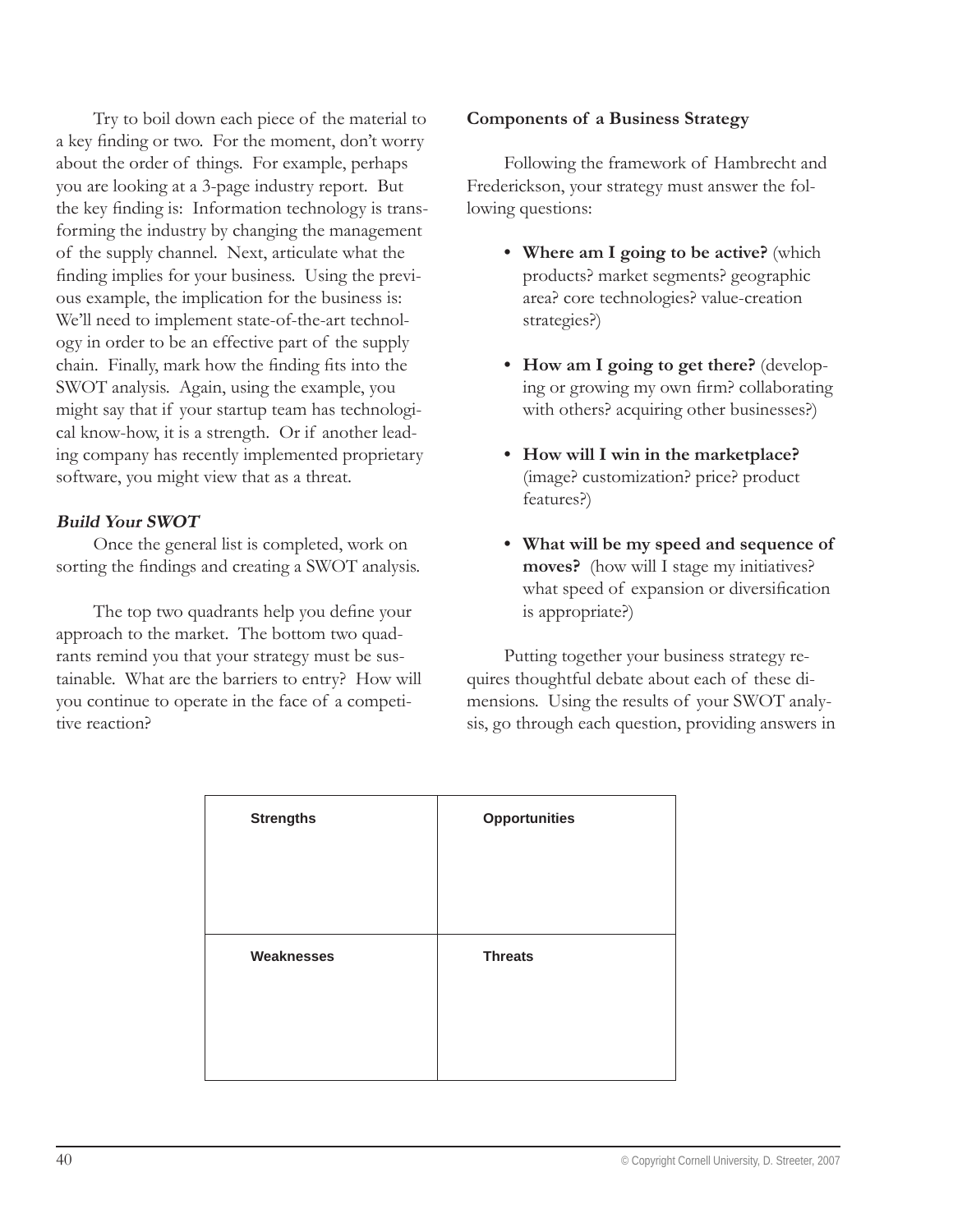Try to boil down each piece of the material to a key finding or two. For the moment, don't worry about the order of things. For example, perhaps you are looking at a 3-page industry report. But the key finding is: Information technology is transforming the industry by changing the management of the supply channel. Next, articulate what the finding implies for your business. Using the previous example, the implication for the business is: We'll need to implement state-of-the-art technology in order to be an effective part of the supply chain. Finally, mark how the finding fits into the SWOT analysis. Again, using the example, you might say that if your startup team has technological know-how, it is a strength. Or if another leading company has recently implemented proprietary software, you might view that as a threat.

#### **Build Your SWOT**

Once the general list is completed, work on sorting the findings and creating a SWOT analysis.

The top two quadrants help you define your approach to the market. The bottom two quadrants remind you that your strategy must be sustainable. What are the barriers to entry? How will you continue to operate in the face of a competitive reaction?

#### **Components of a Business Strategy**

Following the framework of Hambrecht and Frederickson, your strategy must answer the following questions:

- **Where am I going to be active?** (which **•** products? market segments? geographic area? core technologies? value-creation strategies?)
- **How am I going to get there?** (develop-**•** ing or growing my own firm? collaborating with others? acquiring other businesses?)
- **How will I win in the marketplace? •** (image? customization? price? product features?)
- **What will be my speed and sequence of • moves?** (how will I stage my initiatives? what speed of expansion or diversification is appropriate?)

Putting together your business strategy requires thoughtful debate about each of these dimensions. Using the results of your SWOT analysis, go through each question, providing answers in

| <b>Strengths</b>  | <b>Opportunities</b> |
|-------------------|----------------------|
|                   |                      |
|                   |                      |
| <b>Weaknesses</b> | <b>Threats</b>       |
|                   |                      |
|                   |                      |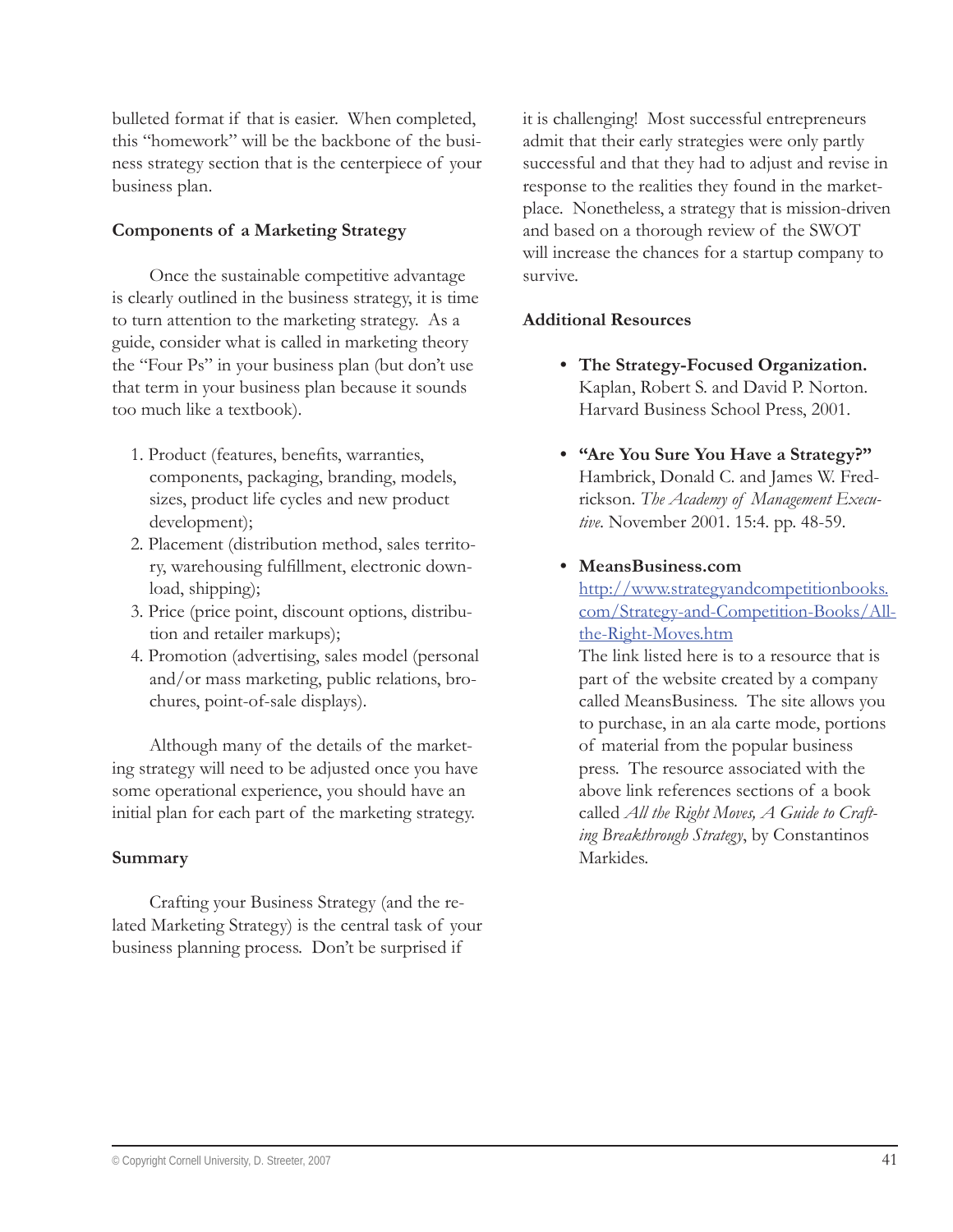bulleted format if that is easier. When completed, this "homework" will be the backbone of the business strategy section that is the centerpiece of your business plan.

#### **Components of a Marketing Strategy**

Once the sustainable competitive advantage is clearly outlined in the business strategy, it is time to turn attention to the marketing strategy. As a guide, consider what is called in marketing theory the "Four Ps" in your business plan (but don't use that term in your business plan because it sounds too much like a textbook).

- 1. Product (features, benefits, warranties, components, packaging, branding, models, sizes, product life cycles and new product development);
- 2. Placement (distribution method, sales territory, warehousing fulfillment, electronic download, shipping);
- 3. Price (price point, discount options, distribution and retailer markups);
- 4. Promotion (advertising, sales model (personal and/or mass marketing, public relations, brochures, point-of-sale displays).

Although many of the details of the marketing strategy will need to be adjusted once you have some operational experience, you should have an initial plan for each part of the marketing strategy.

#### **Summary**

Crafting your Business Strategy (and the related Marketing Strategy) is the central task of your business planning process. Don't be surprised if

it is challenging! Most successful entrepreneurs admit that their early strategies were only partly successful and that they had to adjust and revise in response to the realities they found in the marketplace. Nonetheless, a strategy that is mission-driven and based on a thorough review of the SWOT will increase the chances for a startup company to survive.

#### **Additional Resources**

- **The Strategy-Focused Organization. •** Kaplan, Robert S. and David P. Norton. Harvard Business School Press, 2001.
- **"Are You Sure You Have a Strategy?" •** Hambrick, Donald C. and James W. Fredrickson. *The Academy of Management Executive*. November 2001. 15:4. pp. 48-59.
- **MeansBusiness.com •**

http://www.strategyandcompetitionbooks. com/Strategy-and-Competition-Books/Allthe-Right-Moves.htm

The link listed here is to a resource that is part of the website created by a company called MeansBusiness. The site allows you to purchase, in an ala carte mode, portions of material from the popular business press. The resource associated with the above link references sections of a book called *All the Right Moves, A Guide to Crafting Breakthrough Strategy*, by Constantinos Markides.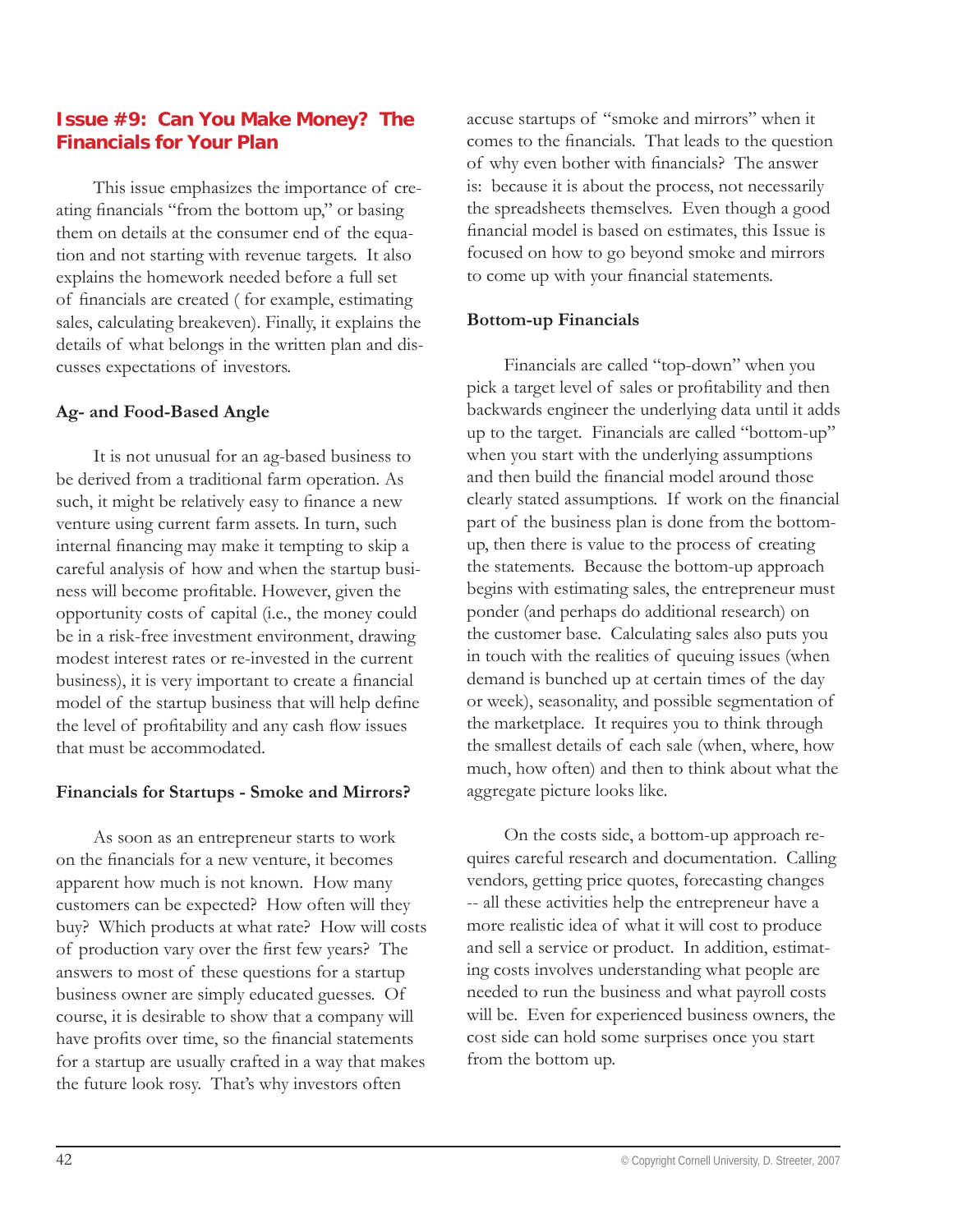# **Issue #9: Can You Make Money? The Financials for Your Plan**

This issue emphasizes the importance of creating financials "from the bottom up," or basing them on details at the consumer end of the equation and not starting with revenue targets. It also explains the homework needed before a full set of financials are created (for example, estimating sales, calculating breakeven). Finally, it explains the details of what belongs in the written plan and discusses expectations of investors.

#### **Ag- and Food-Based Angle**

It is not unusual for an ag-based business to be derived from a traditional farm operation. As such, it might be relatively easy to finance a new venture using current farm assets. In turn, such internal financing may make it tempting to skip a careful analysis of how and when the startup business will become profitable. However, given the opportunity costs of capital (i.e., the money could be in a risk-free investment environment, drawing modest interest rates or re-invested in the current business), it is very important to create a financial model of the startup business that will help define the level of profitability and any cash flow issues that must be accommodated.

#### **Financials for Startups - Smoke and Mirrors?**

As soon as an entrepreneur starts to work on the financials for a new venture, it becomes apparent how much is not known. How many customers can be expected? How often will they buy? Which products at what rate? How will costs of production vary over the first few years? The answers to most of these questions for a startup business owner are simply educated guesses. Of course, it is desirable to show that a company will have profits over time, so the financial statements for a startup are usually crafted in a way that makes the future look rosy. That's why investors often

accuse startups of "smoke and mirrors" when it comes to the financials. That leads to the question of why even bother with financials? The answer is: because it is about the process, not necessarily the spreadsheets themselves. Even though a good financial model is based on estimates, this Issue is focused on how to go beyond smoke and mirrors to come up with your financial statements.

#### **Bottom-up Financials**

Financials are called "top-down" when you pick a target level of sales or profitability and then backwards engineer the underlying data until it adds up to the target. Financials are called "bottom-up" when you start with the underlying assumptions and then build the financial model around those clearly stated assumptions. If work on the financial part of the business plan is done from the bottomup, then there is value to the process of creating the statements. Because the bottom-up approach begins with estimating sales, the entrepreneur must ponder (and perhaps do additional research) on the customer base. Calculating sales also puts you in touch with the realities of queuing issues (when demand is bunched up at certain times of the day or week), seasonality, and possible segmentation of the marketplace. It requires you to think through the smallest details of each sale (when, where, how much, how often) and then to think about what the aggregate picture looks like.

On the costs side, a bottom-up approach requires careful research and documentation. Calling vendors, getting price quotes, forecasting changes -- all these activities help the entrepreneur have a more realistic idea of what it will cost to produce and sell a service or product. In addition, estimating costs involves understanding what people are needed to run the business and what payroll costs will be. Even for experienced business owners, the cost side can hold some surprises once you start from the bottom up.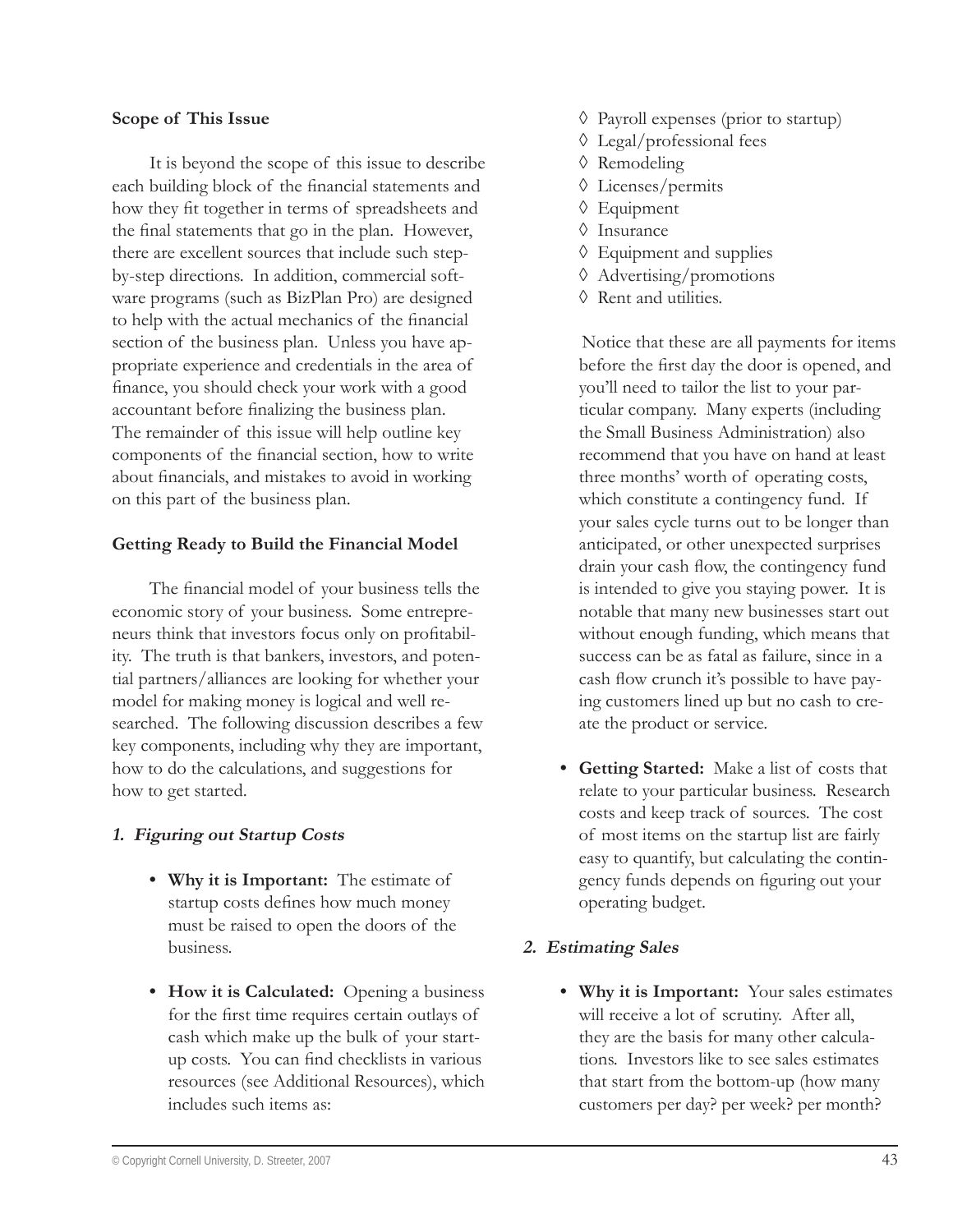#### **Scope of This Issue**

It is beyond the scope of this issue to describe each building block of the financial statements and how they fit together in terms of spreadsheets and the final statements that go in the plan. However, there are excellent sources that include such stepby-step directions. In addition, commercial software programs (such as BizPlan Pro) are designed to help with the actual mechanics of the financial section of the business plan. Unless you have appropriate experience and credentials in the area of finance, you should check your work with a good accountant before finalizing the business plan. The remainder of this issue will help outline key components of the financial section, how to write about financials, and mistakes to avoid in working on this part of the business plan.

#### **Getting Ready to Build the Financial Model**

The financial model of your business tells the economic story of your business. Some entrepreneurs think that investors focus only on profitability. The truth is that bankers, investors, and potential partners/alliances are looking for whether your model for making money is logical and well researched. The following discussion describes a few key components, including why they are important, how to do the calculations, and suggestions for how to get started.

#### **1. Figuring out Startup Costs**

- **Why it is Important:** The estimate of **•** startup costs defines how much money must be raised to open the doors of the business.
- **How it is Calculated:** Opening a business **•** for the first time requires certain outlays of cash which make up the bulk of your startup costs. You can find checklists in various resources (see Additional Resources), which includes such items as:
- Payroll expenses (prior to startup) ◊
- Legal/professional fees ◊
- Remodeling ◊
- Licenses/permits ◊
- Equipment ◊
- Insurance ◊
- Equipment and supplies ◊
- Advertising/promotions ◊
- Rent and utilities. ◊

Notice that these are all payments for items before the first day the door is opened, and you'll need to tailor the list to your particular company. Many experts (including the Small Business Administration) also recommend that you have on hand at least three months' worth of operating costs, which constitute a contingency fund. If your sales cycle turns out to be longer than anticipated, or other unexpected surprises drain your cash flow, the contingency fund is intended to give you staying power. It is notable that many new businesses start out without enough funding, which means that success can be as fatal as failure, since in a cash flow crunch it's possible to have paying customers lined up but no cash to create the product or service.

**Getting Started:** Make a list of costs that **•** relate to your particular business. Research costs and keep track of sources. The cost of most items on the startup list are fairly easy to quantify, but calculating the contingency funds depends on figuring out your operating budget.

#### **2. Estimating Sales**

**Why it is Important:** Your sales estimates **•**will receive a lot of scrutiny. After all, they are the basis for many other calculations. Investors like to see sales estimates that start from the bottom-up (how many customers per day? per week? per month?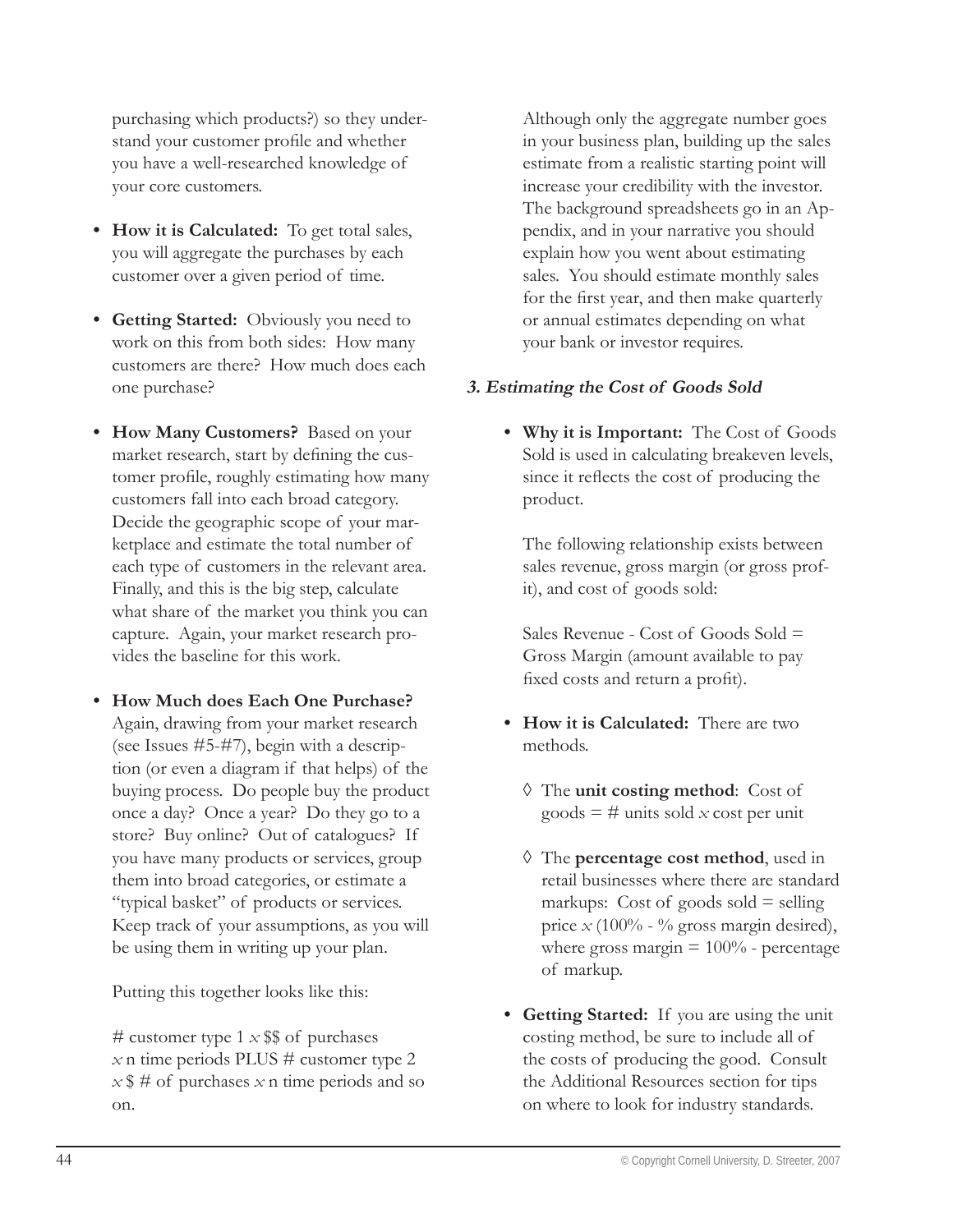purchasing which products?) so they understand your customer profile and whether you have a well-researched knowledge of your core customers.

- How it is Calculated: To get total sales, you will aggregate the purchases by each customer over a given period of time.
- **Getting Started:** Obviously you need to **•** work on this from both sides: How many customers are there? How much does each one purchase?
- **How Many Customers?** Based on your **•** market research, start by defining the customer profile, roughly estimating how many customers fall into each broad category. Decide the geographic scope of your marketplace and estimate the total number of each type of customers in the relevant area. Finally, and this is the big step, calculate what share of the market you think you can capture. Again, your market research provides the baseline for this work.
- **How Much does Each One Purchase? •** Again, drawing from your market research (see Issues #5-#7), begin with a description (or even a diagram if that helps) of the buying process. Do people buy the product once a day? Once a year? Do they go to a store? Buy online? Out of catalogues? If you have many products or services, group them into broad categories, or estimate a "typical basket" of products or services. Keep track of your assumptions, as you will be using them in writing up your plan.

Putting this together looks like this:

# customer type  $1 \times$  \$\$ of purchases  $x$  n time periods PLUS  $\#$  customer type 2  $x$   $\frac{4}{3}$  # of purchases *x* n time periods and so on.

Although only the aggregate number goes in your business plan, building up the sales estimate from a realistic starting point will increase your credibility with the investor. The background spreadsheets go in an Appendix, and in your narrative you should explain how you went about estimating sales. You should estimate monthly sales for the first year, and then make quarterly or annual estimates depending on what your bank or investor requires.

# **3. Estimating the Cost of Goods Sold**

**Why it is Important:** The Cost of Goods **•** Sold is used in calculating breakeven levels, since it reflects the cost of producing the product.

The following relationship exists between sales revenue, gross margin (or gross profit), and cost of goods sold:

Sales Revenue - Cost of Goods Sold = Gross Margin (amount available to pay fixed costs and return a profit).

- How it is Calculated: There are two methods.
	- The **unit costing method**: Cost of ◊ goods  $=$  # units sold *x* cost per unit
	- The **percentage cost method**, used in ◊ retail businesses where there are standard markups: Cost of goods sold  $=$  selling price  $x$  (100% - % gross margin desired), where gross margin  $= 100\%$  - percentage of markup.
- **Getting Started:** If you are using the unit **•**costing method, be sure to include all of the costs of producing the good. Consult the Additional Resources section for tips on where to look for industry standards.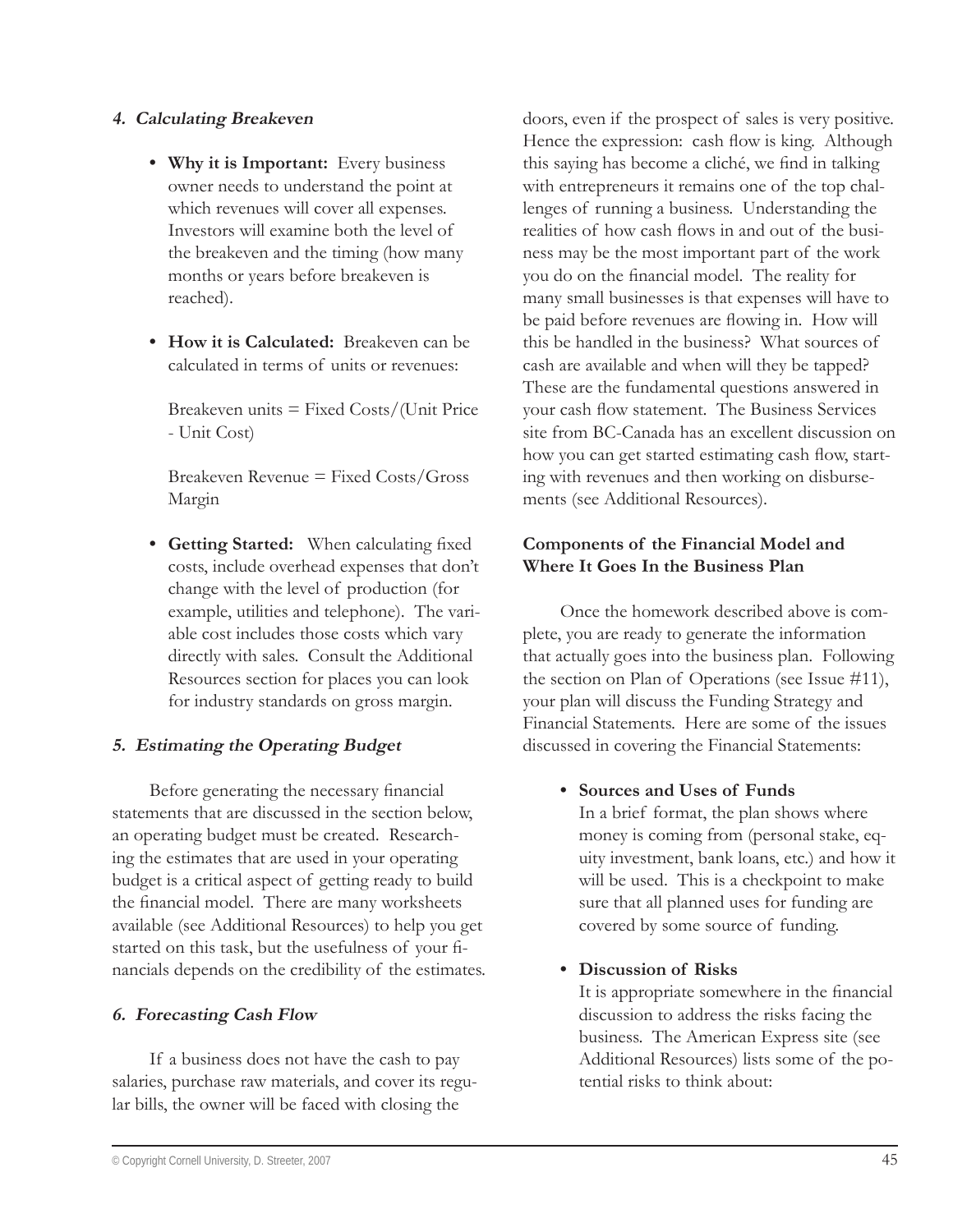#### **4. Calculating Breakeven**

- **Why it is Important:** Every business **•** owner needs to understand the point at which revenues will cover all expenses. Investors will examine both the level of the breakeven and the timing (how many months or years before breakeven is reached).
- **How it is Calculated:** Breakeven can be **•** calculated in terms of units or revenues:

Breakeven units  $=$  Fixed Costs/(Unit Price - Unit Cost)

Breakeven Revenue = Fixed Costs/Gross Margin

• Getting Started: When calculating fixed costs, include overhead expenses that don't change with the level of production (for example, utilities and telephone). The variable cost includes those costs which vary directly with sales. Consult the Additional Resources section for places you can look for industry standards on gross margin.

#### **5. Estimating the Operating Budget**

Before generating the necessary financial statements that are discussed in the section below, an operating budget must be created. Researching the estimates that are used in your operating budget is a critical aspect of getting ready to build the financial model. There are many worksheets available (see Additional Resources) to help you get started on this task, but the usefulness of your financials depends on the credibility of the estimates.

#### **6. Forecasting Cash Flow**

If a business does not have the cash to pay salaries, purchase raw materials, and cover its regular bills, the owner will be faced with closing the

doors, even if the prospect of sales is very positive. Hence the expression: cash flow is king. Although this saying has become a cliché, we find in talking with entrepreneurs it remains one of the top challenges of running a business. Understanding the realities of how cash flows in and out of the business may be the most important part of the work you do on the financial model. The reality for many small businesses is that expenses will have to be paid before revenues are flowing in. How will this be handled in the business? What sources of cash are available and when will they be tapped? These are the fundamental questions answered in your cash flow statement. The Business Services site from BC-Canada has an excellent discussion on how you can get started estimating cash flow, starting with revenues and then working on disbursements (see Additional Resources).

# **Components of the Financial Model and Where It Goes In the Business Plan**

Once the homework described above is complete, you are ready to generate the information that actually goes into the business plan. Following the section on Plan of Operations (see Issue #11), your plan will discuss the Funding Strategy and Financial Statements. Here are some of the issues discussed in covering the Financial Statements:

**•** Sources and Uses of Funds

In a brief format, the plan shows where money is coming from (personal stake, equity investment, bank loans, etc.) and how it will be used. This is a checkpoint to make sure that all planned uses for funding are covered by some source of funding.

**Discussion of Risks •**

It is appropriate somewhere in the financial discussion to address the risks facing the business. The American Express site (see Additional Resources) lists some of the potential risks to think about: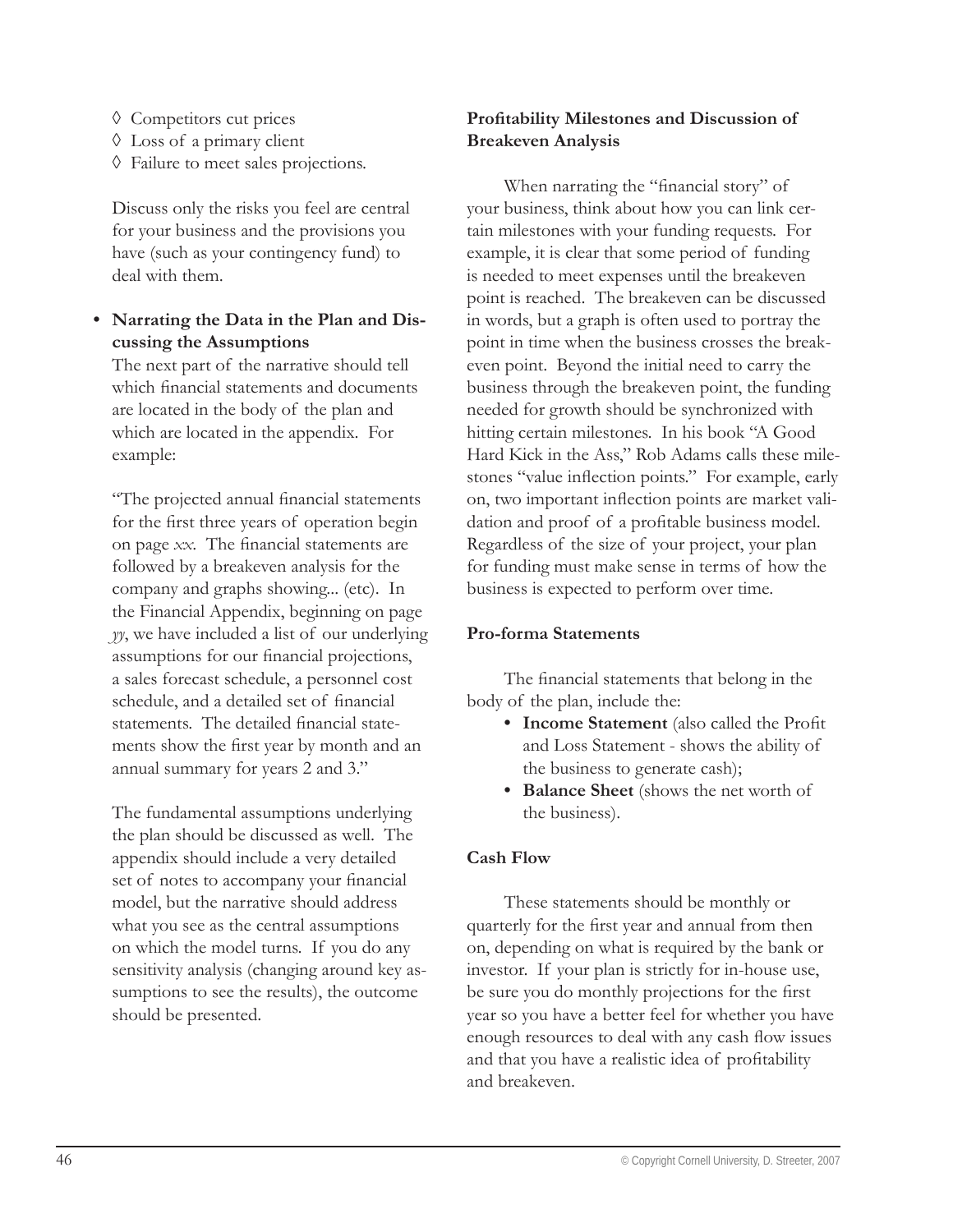- Competitors cut prices ◊
- Loss of a primary client ◊
- Failure to meet sales projections. ◊

Discuss only the risks you feel are central for your business and the provisions you have (such as your contingency fund) to deal with them.

# **Narrating the Data in the Plan and Dis-• cussing the Assumptions**

The next part of the narrative should tell which financial statements and documents are located in the body of the plan and which are located in the appendix. For example:

"The projected annual financial statements for the first three years of operation begin on page *xx*. The financial statements are followed by a breakeven analysis for the company and graphs showing... (etc). In the Financial Appendix, beginning on page *yy*, we have included a list of our underlying assumptions for our financial projections, a sales forecast schedule, a personnel cost schedule, and a detailed set of financial statements. The detailed financial statements show the first year by month and an annual summary for years 2 and 3."

The fundamental assumptions underlying the plan should be discussed as well. The appendix should include a very detailed set of notes to accompany your financial model, but the narrative should address what you see as the central assumptions on which the model turns. If you do any sensitivity analysis (changing around key assumptions to see the results), the outcome should be presented.

# **Profi tability Milestones and Discussion of Breakeven Analysis**

When narrating the "financial story" of your business, think about how you can link certain milestones with your funding requests. For example, it is clear that some period of funding is needed to meet expenses until the breakeven point is reached. The breakeven can be discussed in words, but a graph is often used to portray the point in time when the business crosses the breakeven point. Beyond the initial need to carry the business through the breakeven point, the funding needed for growth should be synchronized with hitting certain milestones. In his book "A Good Hard Kick in the Ass," Rob Adams calls these milestones "value inflection points." For example, early on, two important inflection points are market validation and proof of a profitable business model. Regardless of the size of your project, your plan for funding must make sense in terms of how the business is expected to perform over time.

#### **Pro-forma Statements**

The financial statements that belong in the body of the plan, include the:

- Income Statement (also called the Profit and Loss Statement - shows the ability of the business to generate cash);
- **Balance Sheet** (shows the net worth of **•**the business).

# **Cash Flow**

These statements should be monthly or quarterly for the first year and annual from then on, depending on what is required by the bank or investor. If your plan is strictly for in-house use, be sure you do monthly projections for the first year so you have a better feel for whether you have enough resources to deal with any cash flow issues and that you have a realistic idea of profitability and breakeven.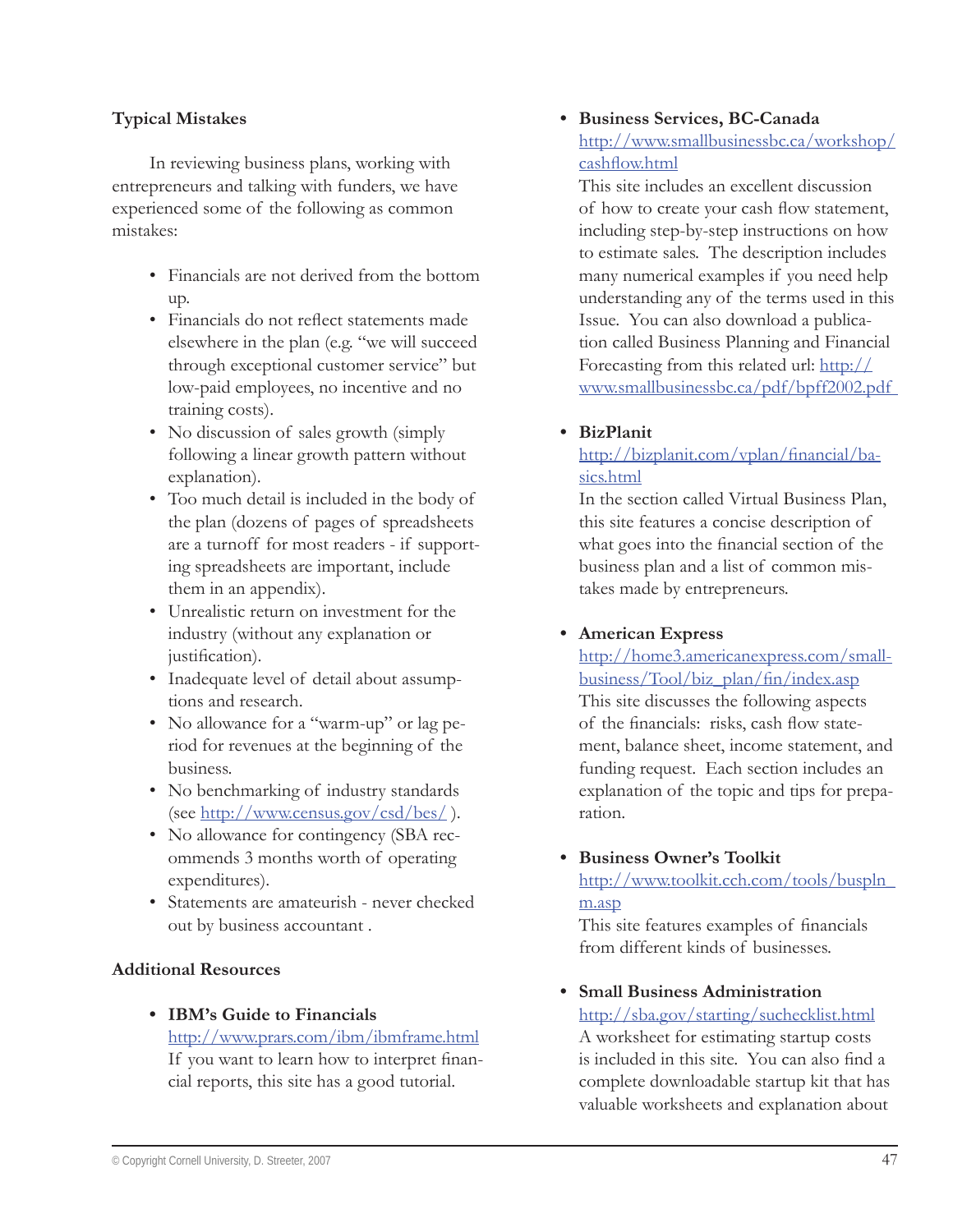#### **Typical Mistakes**

In reviewing business plans, working with entrepreneurs and talking with funders, we have experienced some of the following as common mistakes:

- Financials are not derived from the bottom up.
- Financials do not reflect statements made elsewhere in the plan (e.g. "we will succeed through exceptional customer service" but low-paid employees, no incentive and no training costs).
- No discussion of sales growth (simply following a linear growth pattern without explanation).
- Too much detail is included in the body of the plan (dozens of pages of spreadsheets are a turnoff for most readers - if supporting spreadsheets are important, include them in an appendix).
- Unrealistic return on investment for the industry (without any explanation or justification).
- Inadequate level of detail about assumptions and research.
- No allowance for a "warm-up" or lag period for revenues at the beginning of the business.
- No benchmarking of industry standards (see http://www.census.gov/csd/bes/ ).
- No allowance for contingency (SBA recommends 3 months worth of operating expenditures).
- Statements are amateurish never checked out by business accountant .

#### **Additional Resources**

**IBM's Guide to Financials •** http://www.prars.com/ibm/ibmframe.html If you want to learn how to interpret financial reports, this site has a good tutorial.

# **Business Services, BC-Canada •** http://www.smallbusinessbc.ca/workshop/ cashflow.html

This site includes an excellent discussion of how to create your cash flow statement, including step-by-step instructions on how to estimate sales. The description includes many numerical examples if you need help understanding any of the terms used in this Issue. You can also download a publication called Business Planning and Financial Forecasting from this related url: http:// www.smallbusinessbc.ca/pdf/bpff2002.pdf

**BizPlanit •**

# http://bizplanit.com/vplan/financial/basics.html

In the section called Virtual Business Plan, this site features a concise description of what goes into the financial section of the business plan and a list of common mistakes made by entrepreneurs.

#### **American Express •**

http://home3.americanexpress.com/small $busings/Tool/biz$  plan/fin/index.asp This site discusses the following aspects of the financials: risks, cash flow statement, balance sheet, income statement, and funding request. Each section includes an explanation of the topic and tips for preparation.

**Business Owner's Toolkit •** http://www.toolkit.cch.com/tools/buspln\_ m.asp

This site features examples of financials from different kinds of businesses.

**Small Business Administration •**http://sba.gov/starting/suchecklist.html

A worksheet for estimating startup costs is included in this site. You can also find a complete downloadable startup kit that has valuable worksheets and explanation about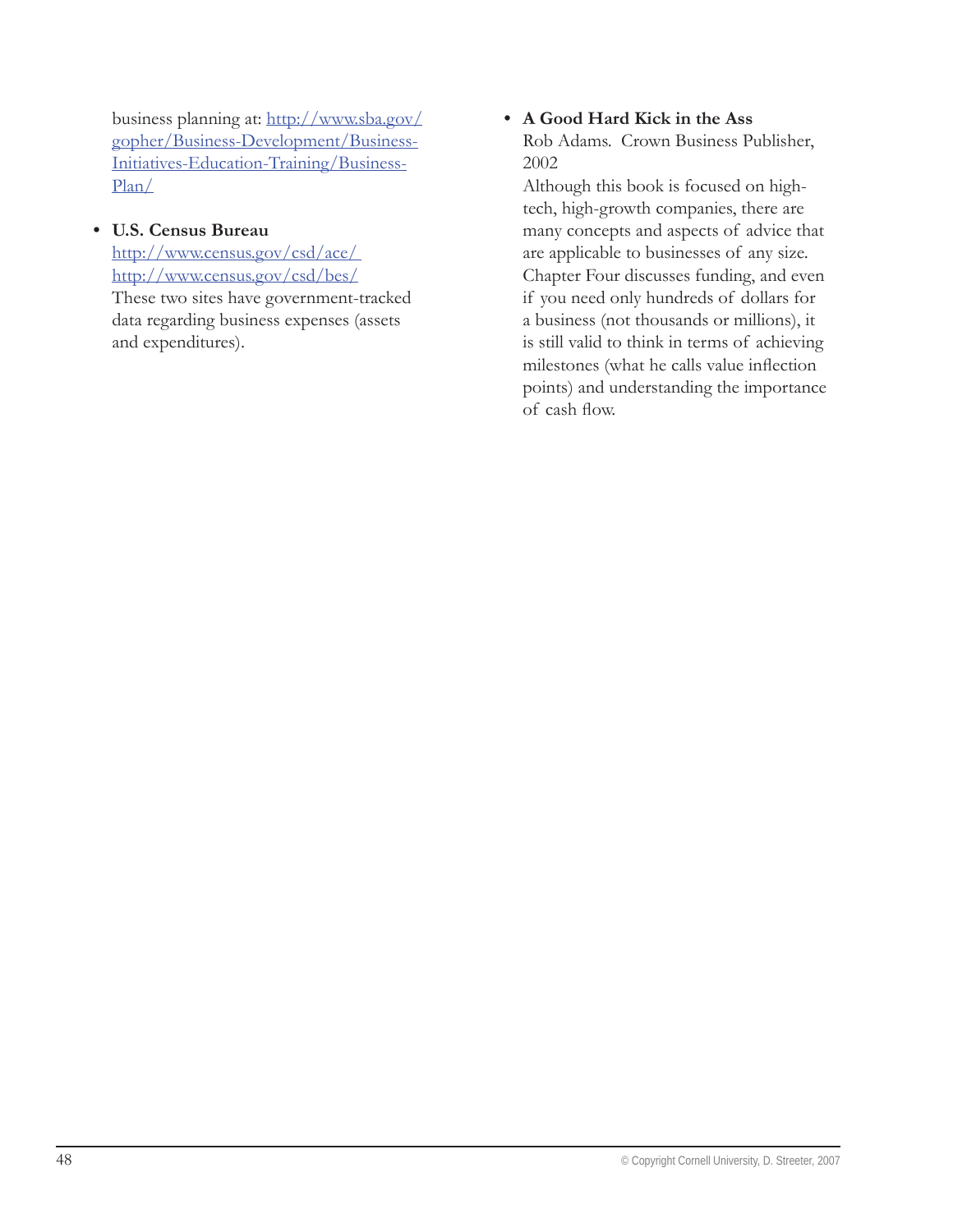business planning at: http://www.sba.gov/ gopher/Business-Development/Business-Initiatives-Education-Training/Business-Plan/

#### **U.S. Census Bureau •**

and expenditures).

http://www.census.gov/csd/ace/ http://www.census.gov/csd/bes/ These two sites have government-tracked data regarding business expenses (assets

#### **A Good Hard Kick in the Ass •**

Rob Adams. Crown Business Publisher, 2002

Although this book is focused on hightech, high-growth companies, there are many concepts and aspects of advice that are applicable to businesses of any size. Chapter Four discusses funding, and even if you need only hundreds of dollars for a business (not thousands or millions), it is still valid to think in terms of achieving milestones (what he calls value inflection points) and understanding the importance of cash flow.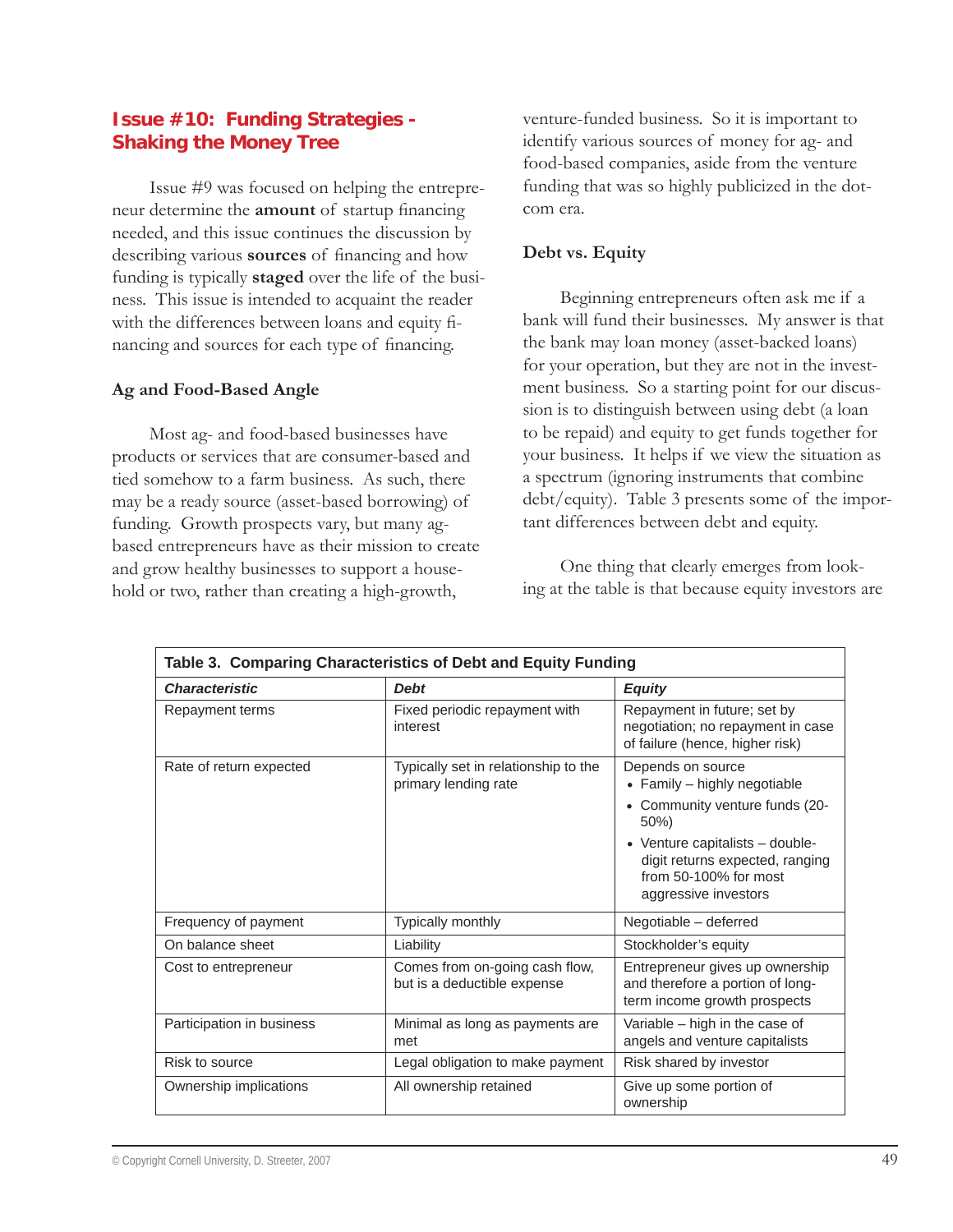#### **Issue #10: Funding Strategies - Shaking the Money Tree**

Issue #9 was focused on helping the entrepreneur determine the **amount** of startup financing needed, and this issue continues the discussion by describing various **sources** of financing and how funding is typically **staged** over the life of the business. This issue is intended to acquaint the reader with the differences between loans and equity financing and sources for each type of financing.

#### **Ag and Food-Based Angle**

Most ag- and food-based businesses have products or services that are consumer-based and tied somehow to a farm business. As such, there may be a ready source (asset-based borrowing) of funding. Growth prospects vary, but many agbased entrepreneurs have as their mission to create and grow healthy businesses to support a household or two, rather than creating a high-growth,

venture-funded business. So it is important to identify various sources of money for ag- and food-based companies, aside from the venture funding that was so highly publicized in the dotcom era.

#### **Debt vs. Equity**

Beginning entrepreneurs often ask me if a bank will fund their businesses. My answer is that the bank may loan money (asset-backed loans) for your operation, but they are not in the investment business. So a starting point for our discussion is to distinguish between using debt (a loan to be repaid) and equity to get funds together for your business. It helps if we view the situation as a spectrum (ignoring instruments that combine debt/equity). Table 3 presents some of the important differences between debt and equity.

One thing that clearly emerges from looking at the table is that because equity investors are

| Table 3. Comparing Characteristics of Debt and Equity Funding                                  |                                                               |                                                                                                                                                                                                              |  |
|------------------------------------------------------------------------------------------------|---------------------------------------------------------------|--------------------------------------------------------------------------------------------------------------------------------------------------------------------------------------------------------------|--|
| <b>Characteristic</b>                                                                          | <b>Debt</b>                                                   | <b>Equity</b>                                                                                                                                                                                                |  |
| <b>Repayment terms</b>                                                                         | Fixed periodic repayment with<br>interest                     | Repayment in future; set by<br>negotiation; no repayment in case<br>of failure (hence, higher risk)                                                                                                          |  |
| Typically set in relationship to the<br>Rate of return expected<br>primary lending rate<br>50% |                                                               | Depends on source<br>• Family - highly negotiable<br>• Community venture funds (20-<br>• Venture capitalists $-$ double-<br>digit returns expected, ranging<br>from 50-100% for most<br>aggressive investors |  |
| Frequency of payment                                                                           | <b>Typically monthly</b>                                      | Negotiable - deferred                                                                                                                                                                                        |  |
| On balance sheet                                                                               | Liability                                                     | Stockholder's equity                                                                                                                                                                                         |  |
| Cost to entrepreneur                                                                           | Comes from on-going cash flow,<br>but is a deductible expense | Entrepreneur gives up ownership<br>and therefore a portion of long-<br>term income growth prospects                                                                                                          |  |
| Participation in business                                                                      | Minimal as long as payments are<br>met                        | Variable - high in the case of<br>angels and venture capitalists                                                                                                                                             |  |
| Risk to source                                                                                 | Legal obligation to make payment                              | Risk shared by investor                                                                                                                                                                                      |  |
| Ownership implications                                                                         | All ownership retained                                        | Give up some portion of<br>ownership                                                                                                                                                                         |  |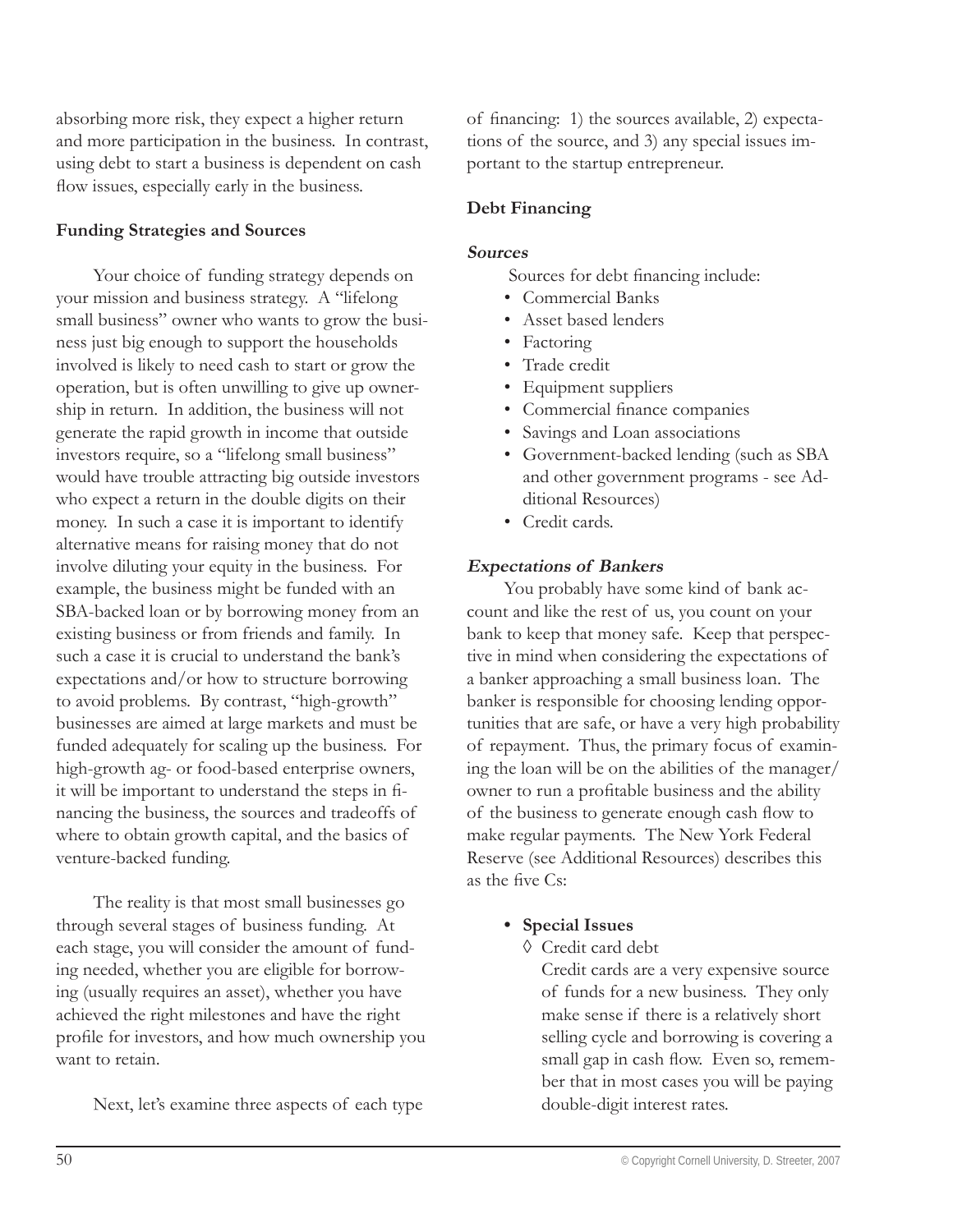absorbing more risk, they expect a higher return and more participation in the business. In contrast, using debt to start a business is dependent on cash flow issues, especially early in the business.

#### **Funding Strategies and Sources**

Your choice of funding strategy depends on your mission and business strategy. A "lifelong small business" owner who wants to grow the business just big enough to support the households involved is likely to need cash to start or grow the operation, but is often unwilling to give up ownership in return. In addition, the business will not generate the rapid growth in income that outside investors require, so a "lifelong small business" would have trouble attracting big outside investors who expect a return in the double digits on their money. In such a case it is important to identify alternative means for raising money that do not involve diluting your equity in the business. For example, the business might be funded with an SBA-backed loan or by borrowing money from an existing business or from friends and family. In such a case it is crucial to understand the bank's expectations and/or how to structure borrowing to avoid problems. By contrast, "high-growth" businesses are aimed at large markets and must be funded adequately for scaling up the business. For high-growth ag- or food-based enterprise owners, it will be important to understand the steps in financing the business, the sources and tradeoffs of where to obtain growth capital, and the basics of venture-backed funding.

The reality is that most small businesses go through several stages of business funding. At each stage, you will consider the amount of funding needed, whether you are eligible for borrowing (usually requires an asset), whether you have achieved the right milestones and have the right profile for investors, and how much ownership you want to retain.

Next, let's examine three aspects of each type

of financing: 1) the sources available, 2) expectations of the source, and 3) any special issues important to the startup entrepreneur.

#### **Debt Financing**

#### **Sources**

- Sources for debt financing include:
- Commercial Banks
- Asset based lenders •
- Factoring
- Trade credit •
- Equipment suppliers •
- Commercial finance companies
- Savings and Loan associations •
- Government-backed lending (such as SBA and other government programs - see Additional Resources)
- Credit cards. •

#### **Expectations of Bankers**

You probably have some kind of bank account and like the rest of us, you count on your bank to keep that money safe. Keep that perspective in mind when considering the expectations of a banker approaching a small business loan. The banker is responsible for choosing lending opportunities that are safe, or have a very high probability of repayment. Thus, the primary focus of examining the loan will be on the abilities of the manager/ owner to run a profitable business and the ability of the business to generate enough cash flow to make regular payments. The New York Federal Reserve (see Additional Resources) describes this as the five  $Cs$ 

- **Special Issues •**
	- Credit card debt ◊

Credit cards are a very expensive source of funds for a new business. They only make sense if there is a relatively short selling cycle and borrowing is covering a small gap in cash flow. Even so, remember that in most cases you will be paying double-digit interest rates.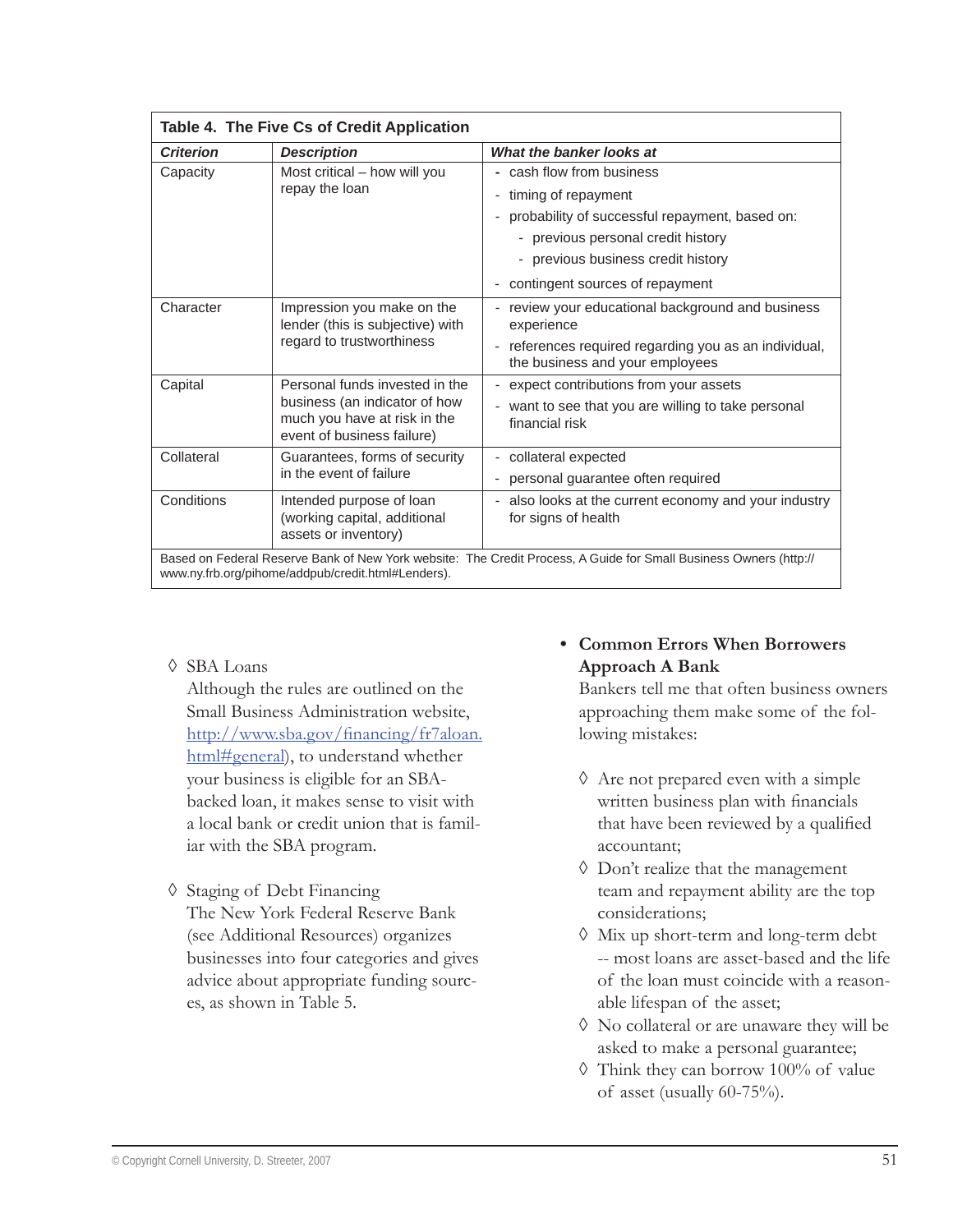| Table 4. The Five Cs of Credit Application                                                                                                                              |                                                                                             |                                                                                                 |
|-------------------------------------------------------------------------------------------------------------------------------------------------------------------------|---------------------------------------------------------------------------------------------|-------------------------------------------------------------------------------------------------|
| What the banker looks at<br><b>Criterion</b><br><b>Description</b>                                                                                                      |                                                                                             |                                                                                                 |
| Capacity                                                                                                                                                                | Most critical – how will you                                                                | - cash flow from business                                                                       |
|                                                                                                                                                                         | repay the loan                                                                              | timing of repayment<br>$\overline{\phantom{a}}$                                                 |
|                                                                                                                                                                         |                                                                                             | probability of successful repayment, based on:<br>$\overline{\phantom{0}}$                      |
|                                                                                                                                                                         |                                                                                             | - previous personal credit history                                                              |
|                                                                                                                                                                         |                                                                                             | - previous business credit history                                                              |
|                                                                                                                                                                         |                                                                                             | contingent sources of repayment                                                                 |
| Character<br>Impression you make on the<br>lender (this is subjective) with                                                                                             | regard to trustworthiness                                                                   | review your educational background and business<br>experience                                   |
|                                                                                                                                                                         |                                                                                             | references required regarding you as an individual,<br>the business and your employees          |
| Capital                                                                                                                                                                 | Personal funds invested in the                                                              | expect contributions from your assets<br>÷,                                                     |
|                                                                                                                                                                         | business (an indicator of how<br>much you have at risk in the<br>event of business failure) | want to see that you are willing to take personal<br>$\overline{\phantom{a}}$<br>financial risk |
| Collateral                                                                                                                                                              | Guarantees, forms of security                                                               | collateral expected<br>$\overline{\phantom{0}}$                                                 |
|                                                                                                                                                                         | in the event of failure                                                                     | personal guarantee often required<br>$\overline{\phantom{a}}$                                   |
| Conditions                                                                                                                                                              | Intended purpose of loan<br>(working capital, additional<br>assets or inventory)            | - also looks at the current economy and your industry<br>for signs of health                    |
| Based on Federal Reserve Bank of New York website: The Credit Process, A Guide for Small Business Owners (http://<br>www.ny.frb.org/pihome/addpub/credit.html#Lenders). |                                                                                             |                                                                                                 |

SBA Loans ◊

Although the rules are outlined on the Small Business Administration website, http://www.sba.gov/financing/fr7aloan. html#general), to understand whether your business is eligible for an SBAbacked loan, it makes sense to visit with a local bank or credit union that is familiar with the SBA program.

Staging of Debt Financing ◊ The New York Federal Reserve Bank (see Additional Resources) organizes businesses into four categories and gives advice about appropriate funding sources, as shown in Table 5.

# **Common Errors When Borrowers • Approach A Bank**

Bankers tell me that often business owners approaching them make some of the following mistakes:

- Are not prepared even with a simple ◊ written business plan with financials that have been reviewed by a qualified accountant;
- Don't realize that the management ◊ team and repayment ability are the top considerations;
- Mix up short-term and long-term debt ◊ -- most loans are asset-based and the life of the loan must coincide with a reasonable lifespan of the asset;
- No collateral or are unaware they will be ◊ asked to make a personal guarantee;
- Think they can borrow 100% of value ◊ of asset (usually 60-75%).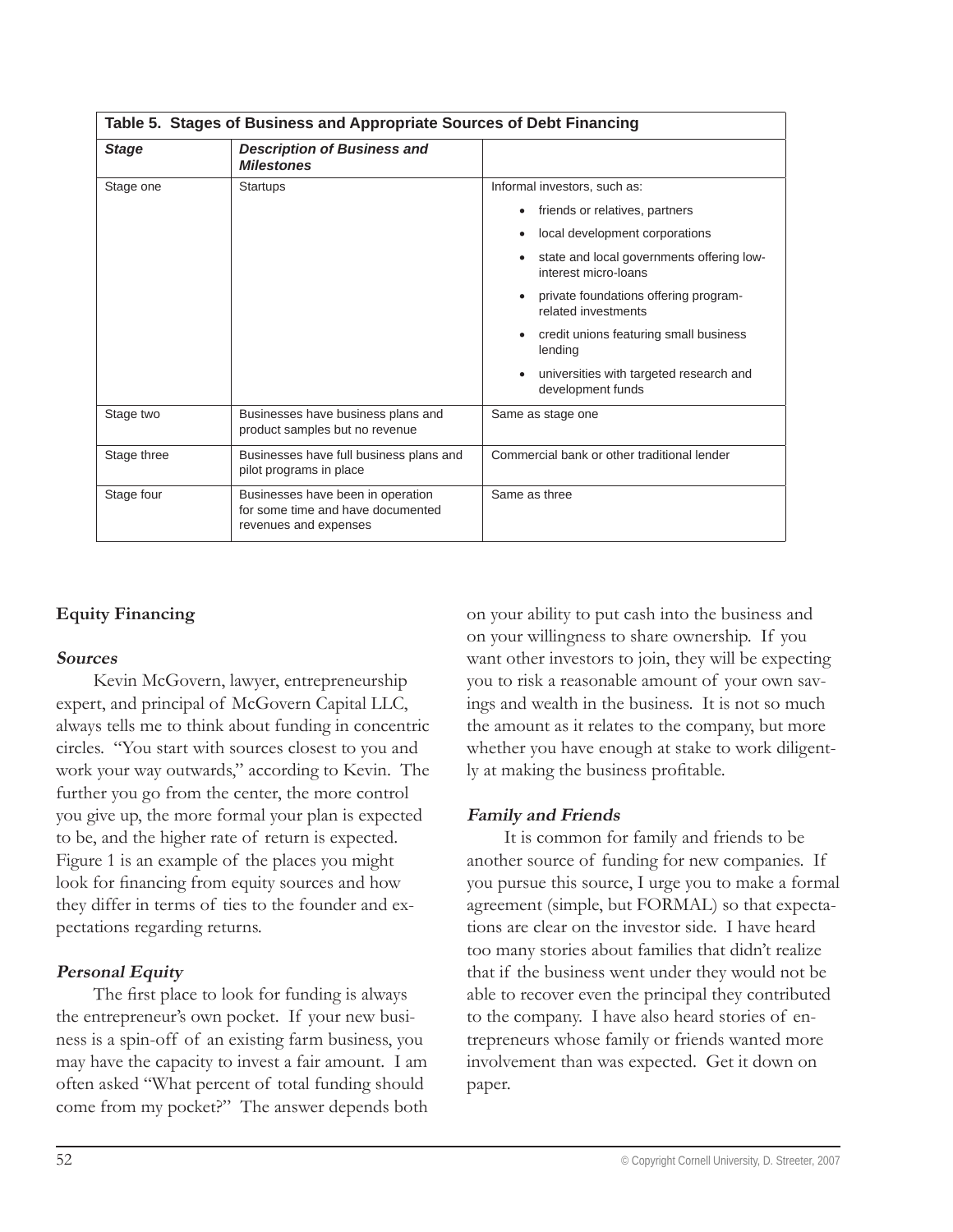| Table 5. Stages of Business and Appropriate Sources of Debt Financing |                                                                                                 |                                                                           |  |  |
|-----------------------------------------------------------------------|-------------------------------------------------------------------------------------------------|---------------------------------------------------------------------------|--|--|
| <b>Stage</b>                                                          | <b>Description of Business and</b><br><b>Milestones</b>                                         |                                                                           |  |  |
| Stage one                                                             | <b>Startups</b>                                                                                 | Informal investors, such as:                                              |  |  |
|                                                                       |                                                                                                 | friends or relatives, partners<br>٠                                       |  |  |
|                                                                       |                                                                                                 | local development corporations<br>٠                                       |  |  |
|                                                                       |                                                                                                 | state and local governments offering low-<br>interest micro-loans         |  |  |
|                                                                       |                                                                                                 | private foundations offering program-<br>$\bullet$<br>related investments |  |  |
|                                                                       |                                                                                                 | credit unions featuring small business<br>٠<br>lending                    |  |  |
|                                                                       |                                                                                                 | universities with targeted research and<br>٠<br>development funds         |  |  |
| Stage two                                                             | Businesses have business plans and<br>product samples but no revenue                            | Same as stage one                                                         |  |  |
| Stage three                                                           | Businesses have full business plans and<br>pilot programs in place                              | Commercial bank or other traditional lender                               |  |  |
| Stage four                                                            | Businesses have been in operation<br>for some time and have documented<br>revenues and expenses | Same as three                                                             |  |  |

# **Equity Financing**

#### **Sources**

Kevin McGovern, lawyer, entrepreneurship expert, and principal of McGovern Capital LLC, always tells me to think about funding in concentric circles. "You start with sources closest to you and work your way outwards," according to Kevin. The further you go from the center, the more control you give up, the more formal your plan is expected to be, and the higher rate of return is expected. Figure 1 is an example of the places you might look for financing from equity sources and how they differ in terms of ties to the founder and expectations regarding returns.

#### **Personal Equity**

The first place to look for funding is always the entrepreneur's own pocket. If your new business is a spin-off of an existing farm business, you may have the capacity to invest a fair amount. I am often asked "What percent of total funding should come from my pocket?" The answer depends both on your ability to put cash into the business and on your willingness to share ownership. If you want other investors to join, they will be expecting you to risk a reasonable amount of your own savings and wealth in the business. It is not so much the amount as it relates to the company, but more whether you have enough at stake to work diligently at making the business profitable.

#### **Family and Friends**

It is common for family and friends to be another source of funding for new companies. If you pursue this source, I urge you to make a formal agreement (simple, but FORMAL) so that expectations are clear on the investor side. I have heard too many stories about families that didn't realize that if the business went under they would not be able to recover even the principal they contributed to the company. I have also heard stories of entrepreneurs whose family or friends wanted more involvement than was expected. Get it down on paper.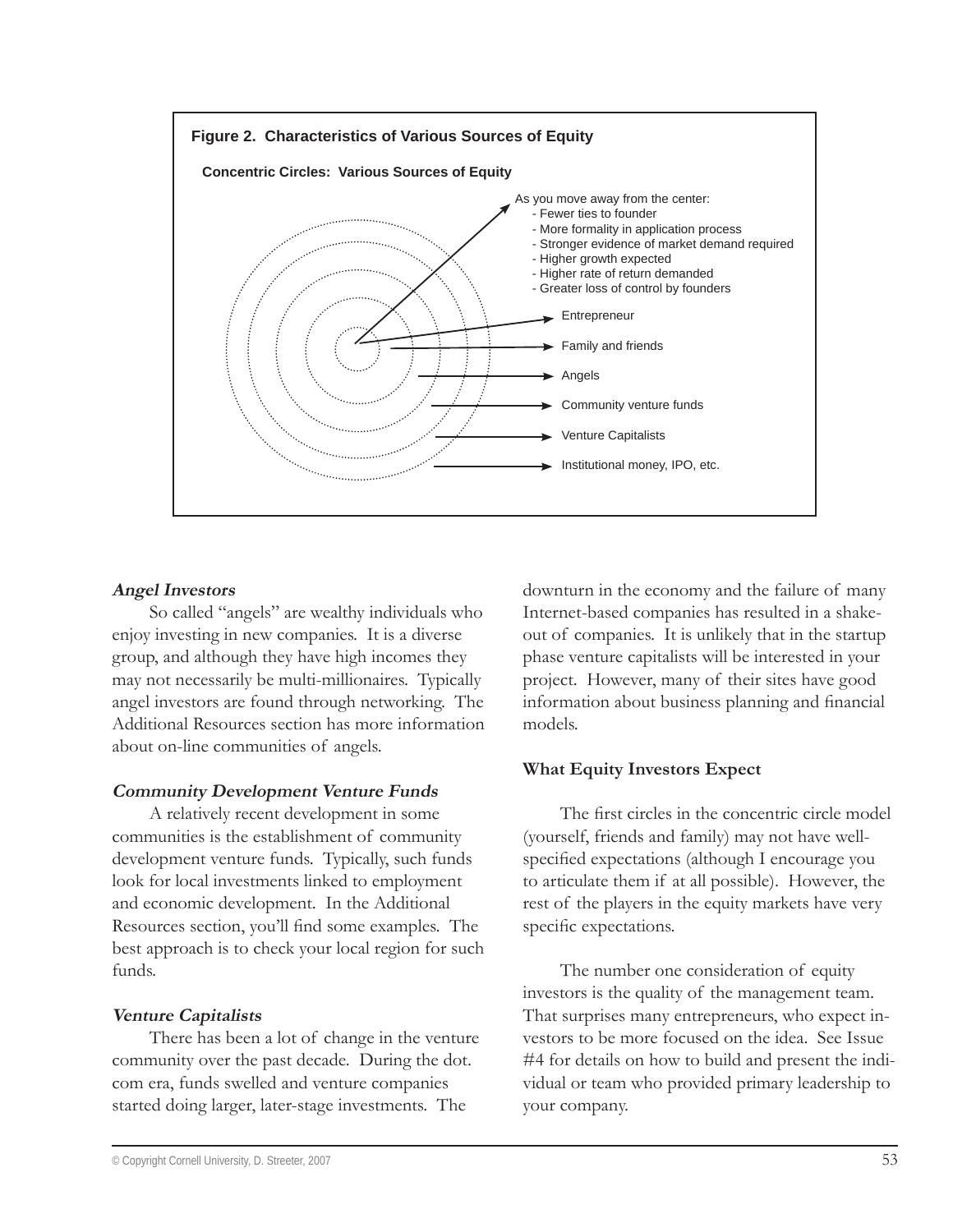

#### **Angel Investors**

So called "angels" are wealthy individuals who enjoy investing in new companies. It is a diverse group, and although they have high incomes they may not necessarily be multi-millionaires. Typically angel investors are found through networking. The Additional Resources section has more information about on-line communities of angels.

#### **Community Development Venture Funds**

A relatively recent development in some communities is the establishment of community development venture funds. Typically, such funds look for local investments linked to employment and economic development. In the Additional Resources section, you'll find some examples. The best approach is to check your local region for such funds.

#### **Venture Capitalists**

There has been a lot of change in the venture community over the past decade. During the dot. com era, funds swelled and venture companies started doing larger, later-stage investments. The

downturn in the economy and the failure of many Internet-based companies has resulted in a shakeout of companies. It is unlikely that in the startup phase venture capitalists will be interested in your project. However, many of their sites have good information about business planning and financial models.

#### **What Equity Investors Expect**

The first circles in the concentric circle model (yourself, friends and family) may not have wellspecified expectations (although I encourage you to articulate them if at all possible). However, the rest of the players in the equity markets have very specific expectations.

The number one consideration of equity investors is the quality of the management team. That surprises many entrepreneurs, who expect investors to be more focused on the idea. See Issue #4 for details on how to build and present the individual or team who provided primary leadership to your company.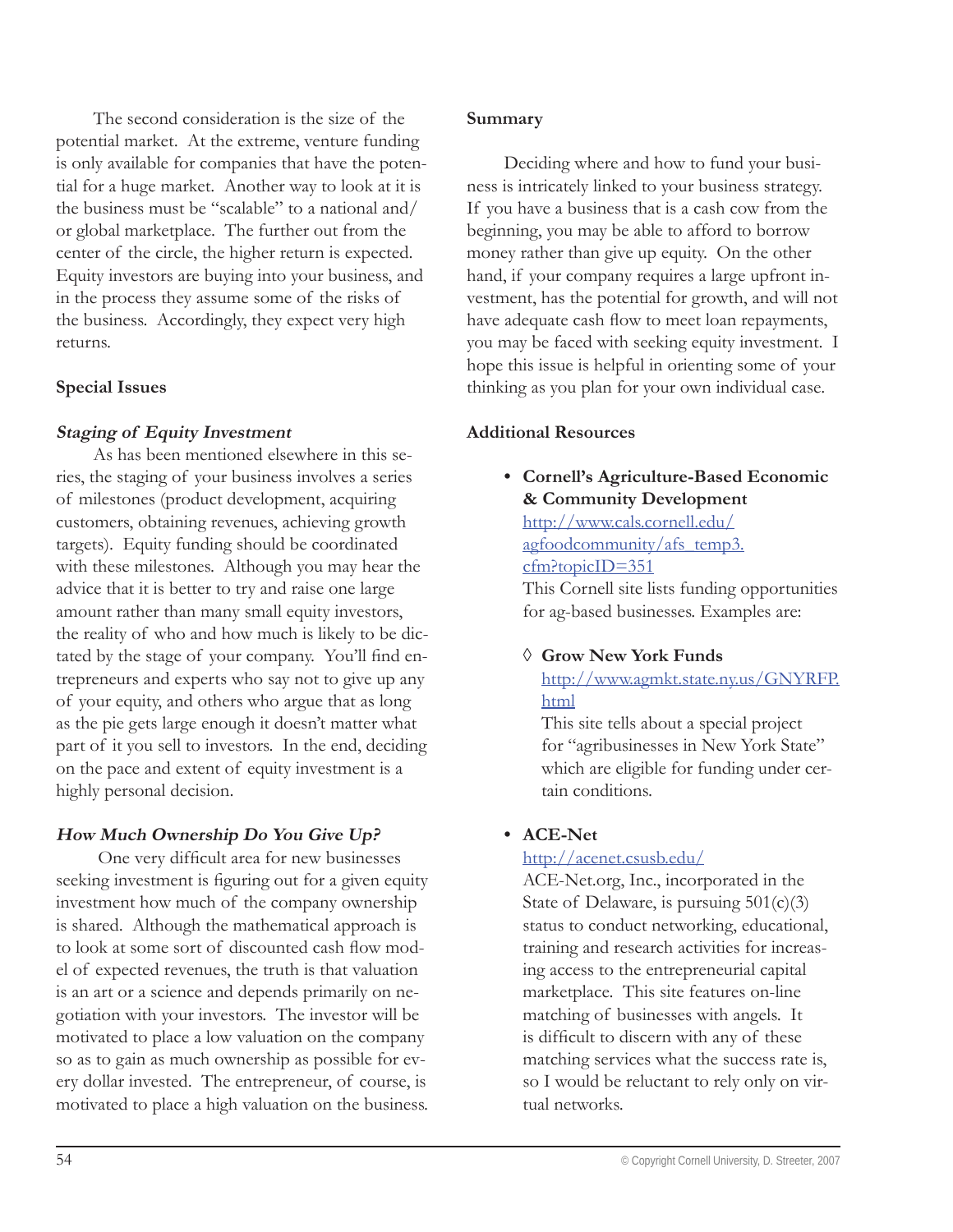The second consideration is the size of the potential market. At the extreme, venture funding is only available for companies that have the potential for a huge market. Another way to look at it is the business must be "scalable" to a national and/ or global marketplace. The further out from the center of the circle, the higher return is expected. Equity investors are buying into your business, and in the process they assume some of the risks of the business. Accordingly, they expect very high returns.

#### **Special Issues**

# **Staging of Equity Investment**

As has been mentioned elsewhere in this series, the staging of your business involves a series of milestones (product development, acquiring customers, obtaining revenues, achieving growth targets). Equity funding should be coordinated with these milestones. Although you may hear the advice that it is better to try and raise one large amount rather than many small equity investors, the reality of who and how much is likely to be dictated by the stage of your company. You'll find entrepreneurs and experts who say not to give up any of your equity, and others who argue that as long as the pie gets large enough it doesn't matter what part of it you sell to investors. In the end, deciding on the pace and extent of equity investment is a highly personal decision.

# **How Much Ownership Do You Give Up?**

One very difficult area for new businesses seeking investment is figuring out for a given equity investment how much of the company ownership is shared. Although the mathematical approach is to look at some sort of discounted cash flow model of expected revenues, the truth is that valuation is an art or a science and depends primarily on negotiation with your investors. The investor will be motivated to place a low valuation on the company so as to gain as much ownership as possible for every dollar invested. The entrepreneur, of course, is motivated to place a high valuation on the business.

#### **Summary**

Deciding where and how to fund your business is intricately linked to your business strategy. If you have a business that is a cash cow from the beginning, you may be able to afford to borrow money rather than give up equity. On the other hand, if your company requires a large upfront investment, has the potential for growth, and will not have adequate cash flow to meet loan repayments, you may be faced with seeking equity investment. I hope this issue is helpful in orienting some of your thinking as you plan for your own individual case.

# **Additional Resources**

**Cornell's Agriculture-Based Economic • & Community Development**

http://www.cals.cornell.edu/ agfoodcommunity/afs\_temp3. cfm?topicID=351

This Cornell site lists funding opportunities for ag-based businesses. Examples are:

# **Grow New York Funds** ◊

http://www.agmkt.state.ny.us/GNYRFP. html

This site tells about a special project for "agribusinesses in New York State" which are eligible for funding under certain conditions.

# **ACE-Net •**

#### http://acenet.csusb.edu/

ACE-Net.org, Inc., incorporated in the State of Delaware, is pursuing  $501(c)(3)$ status to conduct networking, educational, training and research activities for increasing access to the entrepreneurial capital marketplace. This site features on-line matching of businesses with angels. It is difficult to discern with any of these matching services what the success rate is, so I would be reluctant to rely only on virtual networks.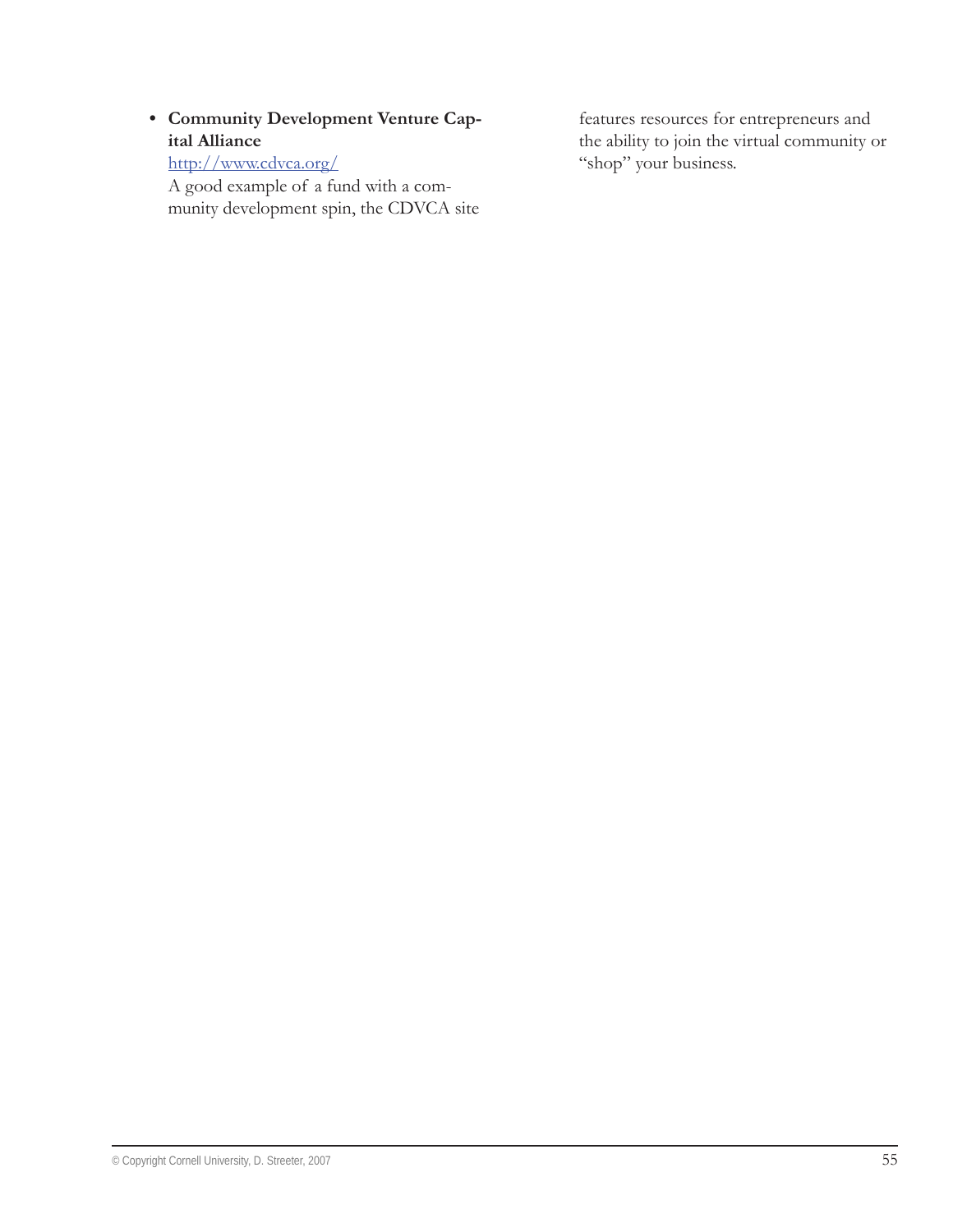# • **Community Development Venture Cap-<br>
<b>•** features resources for entrepreneurs and **ital Alliance**

http://www.cdvca.org/

A good example of a fund with a community development spin, the CDVCA site the ability to join the virtual community or "shop" your business.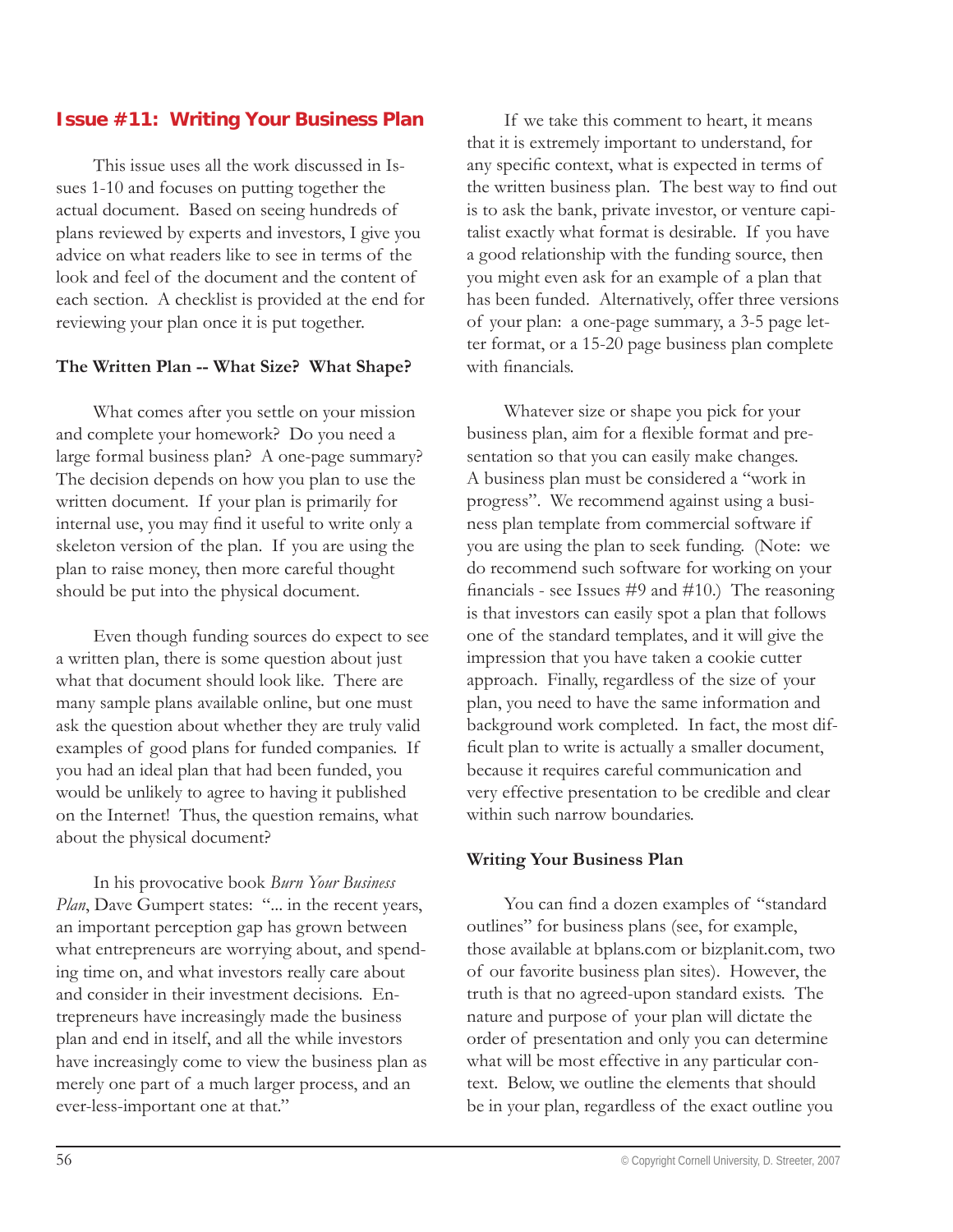# **Issue #11: Writing Your Business Plan**

This issue uses all the work discussed in Issues 1-10 and focuses on putting together the actual document. Based on seeing hundreds of plans reviewed by experts and investors, I give you advice on what readers like to see in terms of the look and feel of the document and the content of each section. A checklist is provided at the end for reviewing your plan once it is put together.

#### **The Written Plan -- What Size? What Shape?**

What comes after you settle on your mission and complete your homework? Do you need a large formal business plan? A one-page summary? The decision depends on how you plan to use the written document. If your plan is primarily for internal use, you may find it useful to write only a skeleton version of the plan. If you are using the plan to raise money, then more careful thought should be put into the physical document.

Even though funding sources do expect to see a written plan, there is some question about just what that document should look like. There are many sample plans available online, but one must ask the question about whether they are truly valid examples of good plans for funded companies. If you had an ideal plan that had been funded, you would be unlikely to agree to having it published on the Internet! Thus, the question remains, what about the physical document?

In his provocative book *Burn Your Business*  Plan, Dave Gumpert states: "... in the recent years, an important perception gap has grown between what entrepreneurs are worrying about, and spending time on, and what investors really care about and consider in their investment decisions. Entrepreneurs have increasingly made the business plan and end in itself, and all the while investors have increasingly come to view the business plan as merely one part of a much larger process, and an ever-less-important one at that."

If we take this comment to heart, it means that it is extremely important to understand, for any specific context, what is expected in terms of the written business plan. The best way to find out is to ask the bank, private investor, or venture capitalist exactly what format is desirable. If you have a good relationship with the funding source, then you might even ask for an example of a plan that has been funded. Alternatively, offer three versions of your plan: a one-page summary, a 3-5 page letter format, or a 15-20 page business plan complete with financials.

Whatever size or shape you pick for your business plan, aim for a flexible format and presentation so that you can easily make changes. A business plan must be considered a "work in progress". We recommend against using a business plan template from commercial software if you are using the plan to seek funding. (Note: we do recommend such software for working on your financials - see Issues  $\#9$  and  $\#10$ .) The reasoning is that investors can easily spot a plan that follows one of the standard templates, and it will give the impression that you have taken a cookie cutter approach. Finally, regardless of the size of your plan, you need to have the same information and background work completed. In fact, the most difficult plan to write is actually a smaller document, because it requires careful communication and very effective presentation to be credible and clear within such narrow boundaries.

#### **Writing Your Business Plan**

You can find a dozen examples of "standard outlines" for business plans (see, for example, those available at bplans.com or bizplanit.com, two of our favorite business plan sites). However, the truth is that no agreed-upon standard exists. The nature and purpose of your plan will dictate the order of presentation and only you can determine what will be most effective in any particular context. Below, we outline the elements that should be in your plan, regardless of the exact outline you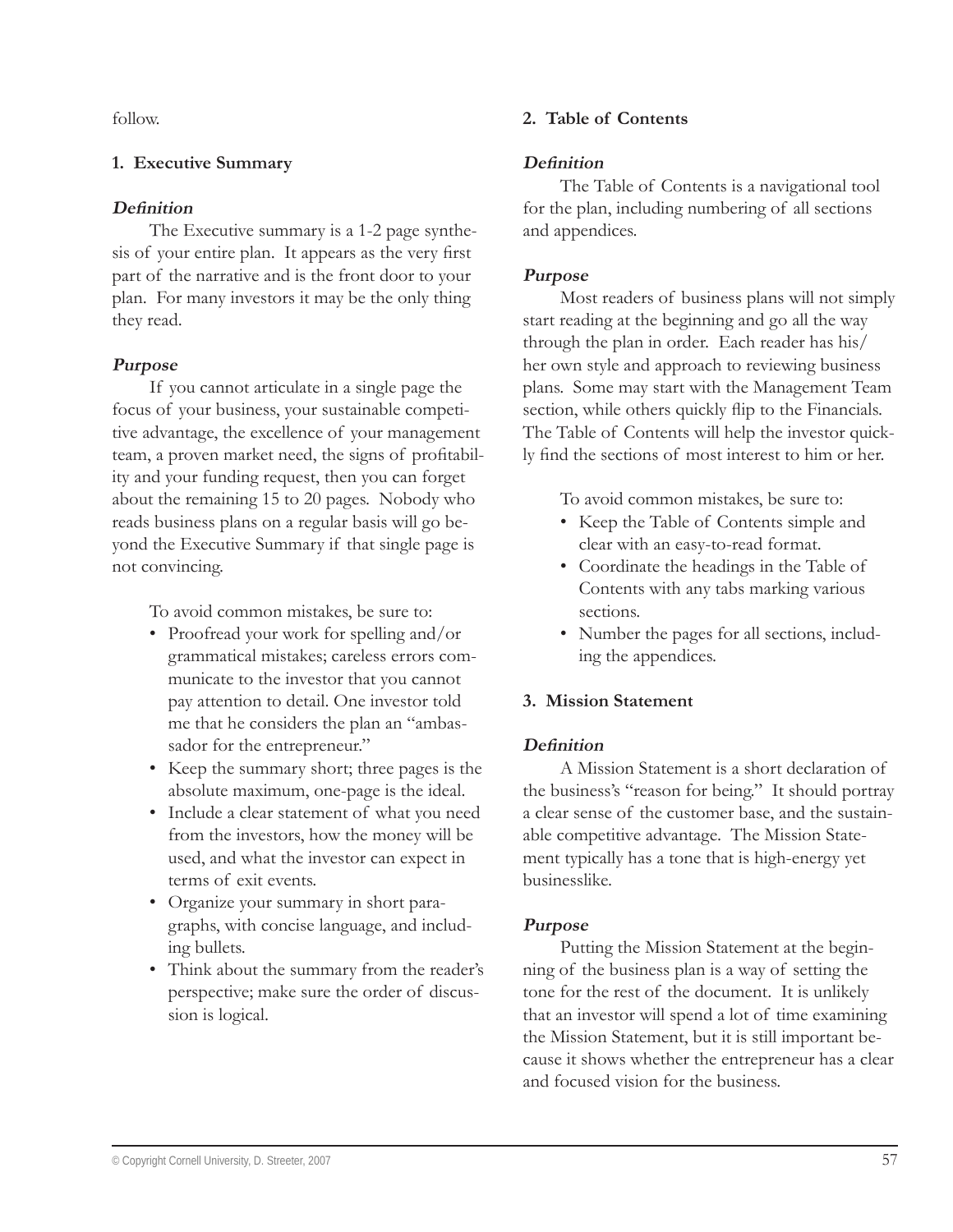follow.

#### **1. Executive Summary**

#### **Definition**

The Executive summary is a 1-2 page synthesis of your entire plan. It appears as the very first part of the narrative and is the front door to your plan. For many investors it may be the only thing they read.

#### **Purpose**

If you cannot articulate in a single page the focus of your business, your sustainable competitive advantage, the excellence of your management team, a proven market need, the signs of profitability and your funding request, then you can forget about the remaining 15 to 20 pages. Nobody who reads business plans on a regular basis will go beyond the Executive Summary if that single page is not convincing.

To avoid common mistakes, be sure to:

- Proofread your work for spelling and/or grammatical mistakes; careless errors communicate to the investor that you cannot pay attention to detail. One investor told me that he considers the plan an "ambassador for the entrepreneur."
- Keep the summary short; three pages is the absolute maximum, one-page is the ideal.
- Include a clear statement of what you need from the investors, how the money will be used, and what the investor can expect in terms of exit events.
- Organize your summary in short para-• graphs, with concise language, and including bullets.
- Think about the summary from the reader's perspective; make sure the order of discussion is logical.

#### **2. Table of Contents**

#### Definition

The Table of Contents is a navigational tool for the plan, including numbering of all sections and appendices.

#### **Purpose**

Most readers of business plans will not simply start reading at the beginning and go all the way through the plan in order. Each reader has his/ her own style and approach to reviewing business plans. Some may start with the Management Team section, while others quickly flip to the Financials. The Table of Contents will help the investor quickly find the sections of most interest to him or her.

To avoid common mistakes, be sure to:

- Keep the Table of Contents simple and clear with an easy-to-read format.
- Coordinate the headings in the Table of Contents with any tabs marking various sections.
- Number the pages for all sections, includ-•ing the appendices.

#### **3. Mission Statement**

#### **Definition**

A Mission Statement is a short declaration of the business's "reason for being." It should portray a clear sense of the customer base, and the sustainable competitive advantage. The Mission Statement typically has a tone that is high-energy yet businesslike.

#### **Purpose**

Putting the Mission Statement at the beginning of the business plan is a way of setting the tone for the rest of the document. It is unlikely that an investor will spend a lot of time examining the Mission Statement, but it is still important because it shows whether the entrepreneur has a clear and focused vision for the business.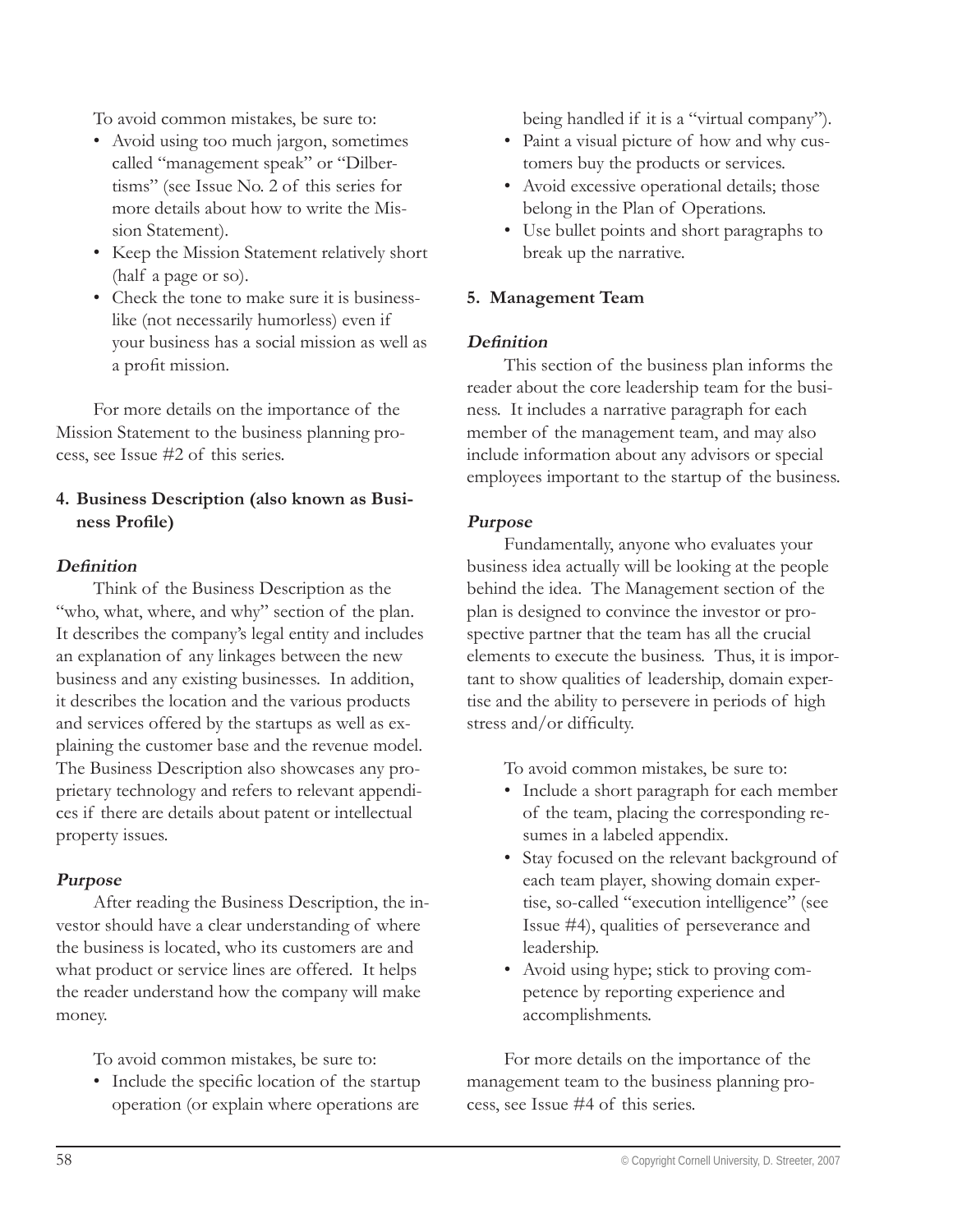To avoid common mistakes, be sure to:

- Avoid using too much jargon, sometimes called "management speak" or "Dilbertisms" (see Issue No. 2 of this series for more details about how to write the Mission Statement).
- Keep the Mission Statement relatively short (half a page or so).
- Check the tone to make sure it is business-• like (not necessarily humorless) even if your business has a social mission as well as a profit mission.

For more details on the importance of the Mission Statement to the business planning process, see Issue #2 of this series.

# **4. Business Description (also known as Busi**ness Profile)

#### **Definition**

Think of the Business Description as the "who, what, where, and why" section of the plan. It describes the company's legal entity and includes an explanation of any linkages between the new business and any existing businesses. In addition, it describes the location and the various products and services offered by the startups as well as explaining the customer base and the revenue model. The Business Description also showcases any proprietary technology and refers to relevant appendices if there are details about patent or intellectual property issues.

#### **Purpose**

After reading the Business Description, the investor should have a clear understanding of where the business is located, who its customers are and what product or service lines are offered. It helps the reader understand how the company will make money.

To avoid common mistakes, be sure to:

• Include the specific location of the startup operation (or explain where operations are

being handled if it is a "virtual company").

- Paint a visual picture of how and why customers buy the products or services.
- Avoid excessive operational details; those belong in the Plan of Operations.
- Use bullet points and short paragraphs to break up the narrative.

#### **5. Management Team**

#### Definition

This section of the business plan informs the reader about the core leadership team for the business. It includes a narrative paragraph for each member of the management team, and may also include information about any advisors or special employees important to the startup of the business.

#### **Purpose**

Fundamentally, anyone who evaluates your business idea actually will be looking at the people behind the idea. The Management section of the plan is designed to convince the investor or prospective partner that the team has all the crucial elements to execute the business. Thus, it is important to show qualities of leadership, domain expertise and the ability to persevere in periods of high stress and/or difficulty.

To avoid common mistakes, be sure to:

- Include a short paragraph for each member of the team, placing the corresponding resumes in a labeled appendix.
- Stay focused on the relevant background of each team player, showing domain expertise, so-called "execution intelligence" (see Issue #4), qualities of perseverance and leadership.
- Avoid using hype; stick to proving com-•petence by reporting experience and accomplishments.

For more details on the importance of the management team to the business planning process, see Issue #4 of this series.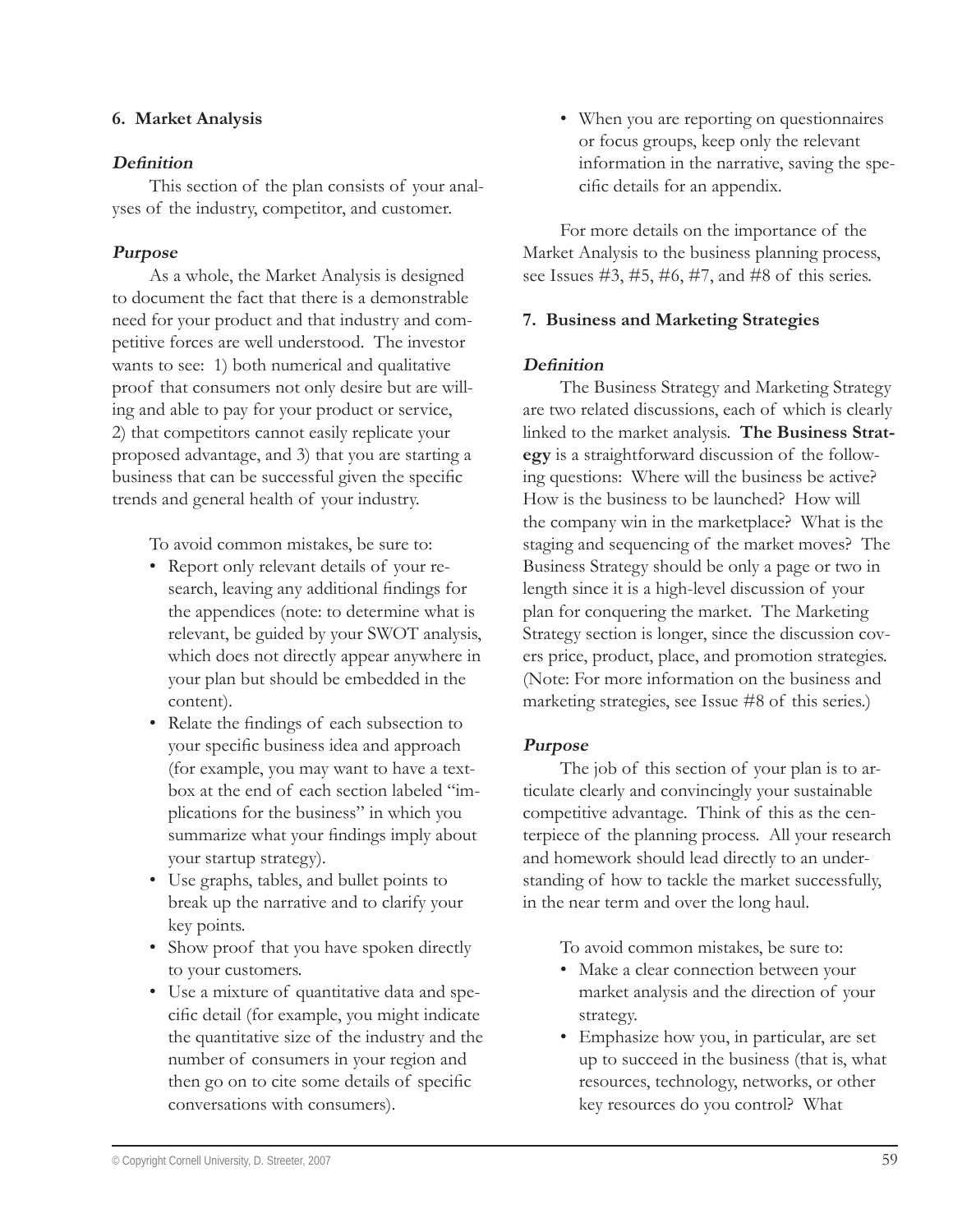#### **6. Market Analysis**

#### Definition

This section of the plan consists of your analyses of the industry, competitor, and customer.

#### **Purpose**

As a whole, the Market Analysis is designed to document the fact that there is a demonstrable need for your product and that industry and competitive forces are well understood. The investor wants to see: 1) both numerical and qualitative proof that consumers not only desire but are willing and able to pay for your product or service, 2) that competitors cannot easily replicate your proposed advantage, and 3) that you are starting a business that can be successful given the specific trends and general health of your industry.

To avoid common mistakes, be sure to:

- Report only relevant details of your re-• search, leaving any additional findings for the appendices (note: to determine what is relevant, be guided by your SWOT analysis, which does not directly appear anywhere in your plan but should be embedded in the content).
- Relate the findings of each subsection to your specific business idea and approach (for example, you may want to have a textbox at the end of each section labeled "implications for the business" in which you summarize what your findings imply about your startup strategy).
- Use graphs, tables, and bullet points to break up the narrative and to clarify your key points.
- Show proof that you have spoken directly to your customers.
- Use a mixture of quantitative data and spe-• cific detail (for example, you might indicate the quantitative size of the industry and the number of consumers in your region and then go on to cite some details of specific conversations with consumers).

When you are reporting on questionnaires • or focus groups, keep only the relevant information in the narrative, saving the specific details for an appendix.

For more details on the importance of the Market Analysis to the business planning process, see Issues #3, #5, #6, #7, and #8 of this series.

#### **7. Business and Marketing Strategies**

#### **Definition**

The Business Strategy and Marketing Strategy are two related discussions, each of which is clearly linked to the market analysis. **The Business Strategy** is a straightforward discussion of the following questions: Where will the business be active? How is the business to be launched? How will the company win in the marketplace? What is the staging and sequencing of the market moves? The Business Strategy should be only a page or two in length since it is a high-level discussion of your plan for conquering the market. The Marketing Strategy section is longer, since the discussion covers price, product, place, and promotion strategies. (Note: For more information on the business and marketing strategies, see Issue #8 of this series.)

#### **Purpose**

The job of this section of your plan is to articulate clearly and convincingly your sustainable competitive advantage. Think of this as the centerpiece of the planning process. All your research and homework should lead directly to an understanding of how to tackle the market successfully, in the near term and over the long haul.

To avoid common mistakes, be sure to:

- Make a clear connection between your market analysis and the direction of your strategy.
- Emphasize how you, in particular, are set •up to succeed in the business (that is, what resources, technology, networks, or other key resources do you control? What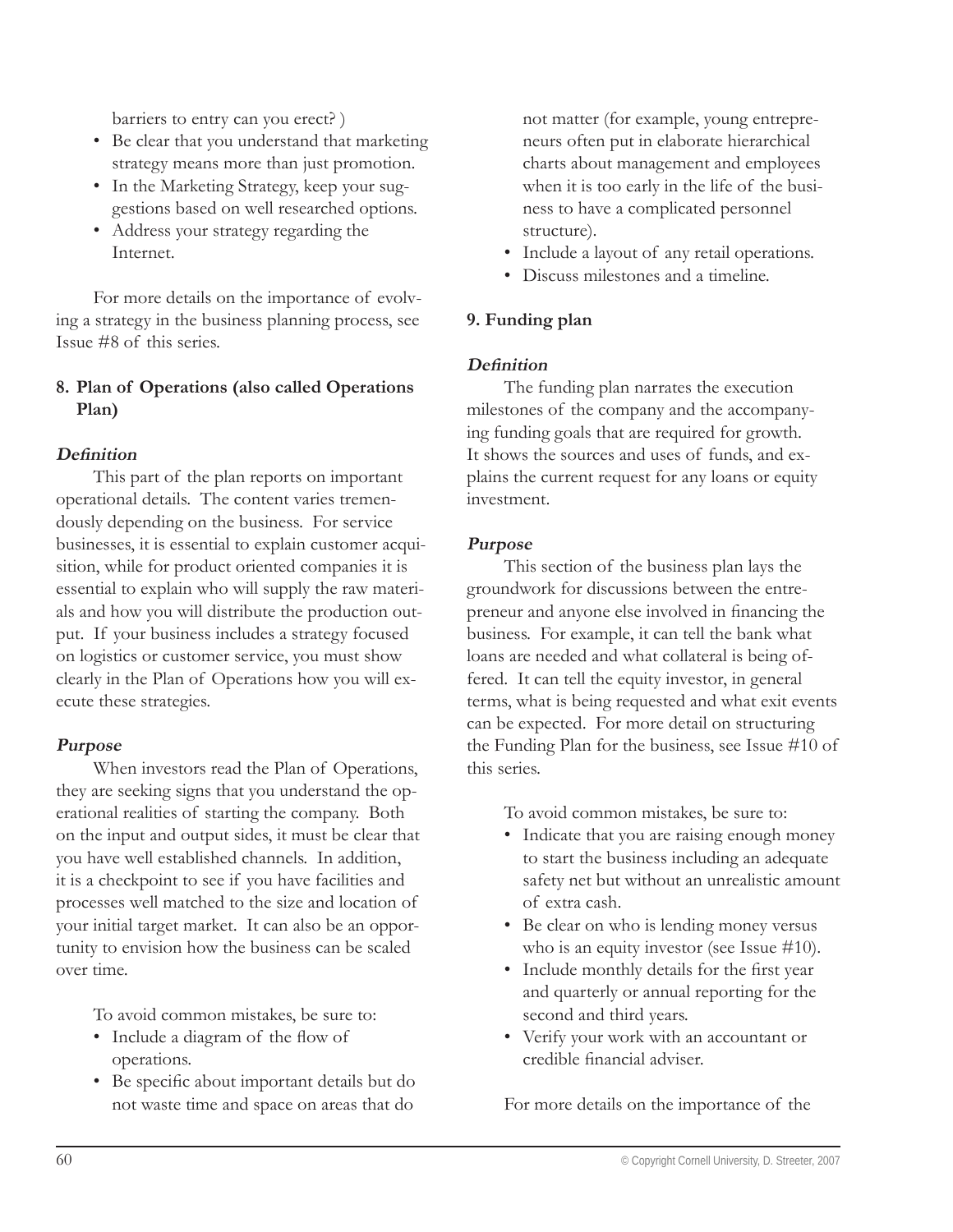barriers to entry can you erect? )

- Be clear that you understand that marketing strategy means more than just promotion.
- In the Marketing Strategy, keep your suggestions based on well researched options.
- Address your strategy regarding the Internet.

For more details on the importance of evolving a strategy in the business planning process, see Issue #8 of this series.

#### **8. Plan of Operations (also called Operations Plan)**

#### **Definition**

This part of the plan reports on important operational details. The content varies tremendously depending on the business. For service businesses, it is essential to explain customer acquisition, while for product oriented companies it is essential to explain who will supply the raw materials and how you will distribute the production output. If your business includes a strategy focused on logistics or customer service, you must show clearly in the Plan of Operations how you will execute these strategies.

#### **Purpose**

When investors read the Plan of Operations, they are seeking signs that you understand the operational realities of starting the company. Both on the input and output sides, it must be clear that you have well established channels. In addition, it is a checkpoint to see if you have facilities and processes well matched to the size and location of your initial target market. It can also be an opportunity to envision how the business can be scaled over time.

To avoid common mistakes, be sure to:

- Include a diagram of the flow of operations.
- Be specific about important details but do not waste time and space on areas that do

not matter (for example, young entrepreneurs often put in elaborate hierarchical charts about management and employees when it is too early in the life of the business to have a complicated personnel structure).

- Include a layout of any retail operations.
- Discuss milestones and a timeline. •

# **9. Funding plan**

#### Definition

The funding plan narrates the execution milestones of the company and the accompanying funding goals that are required for growth. It shows the sources and uses of funds, and explains the current request for any loans or equity investment.

#### **Purpose**

This section of the business plan lays the groundwork for discussions between the entrepreneur and anyone else involved in financing the business. For example, it can tell the bank what loans are needed and what collateral is being offered. It can tell the equity investor, in general terms, what is being requested and what exit events can be expected. For more detail on structuring the Funding Plan for the business, see Issue #10 of this series.

To avoid common mistakes, be sure to:

- Indicate that you are raising enough money to start the business including an adequate safety net but without an unrealistic amount of extra cash.
- Be clear on who is lending money versus who is an equity investor (see Issue #10).
- Include monthly details for the first year and quarterly or annual reporting for the second and third years.
- Verify your work with an accountant or •credible financial adviser.

For more details on the importance of the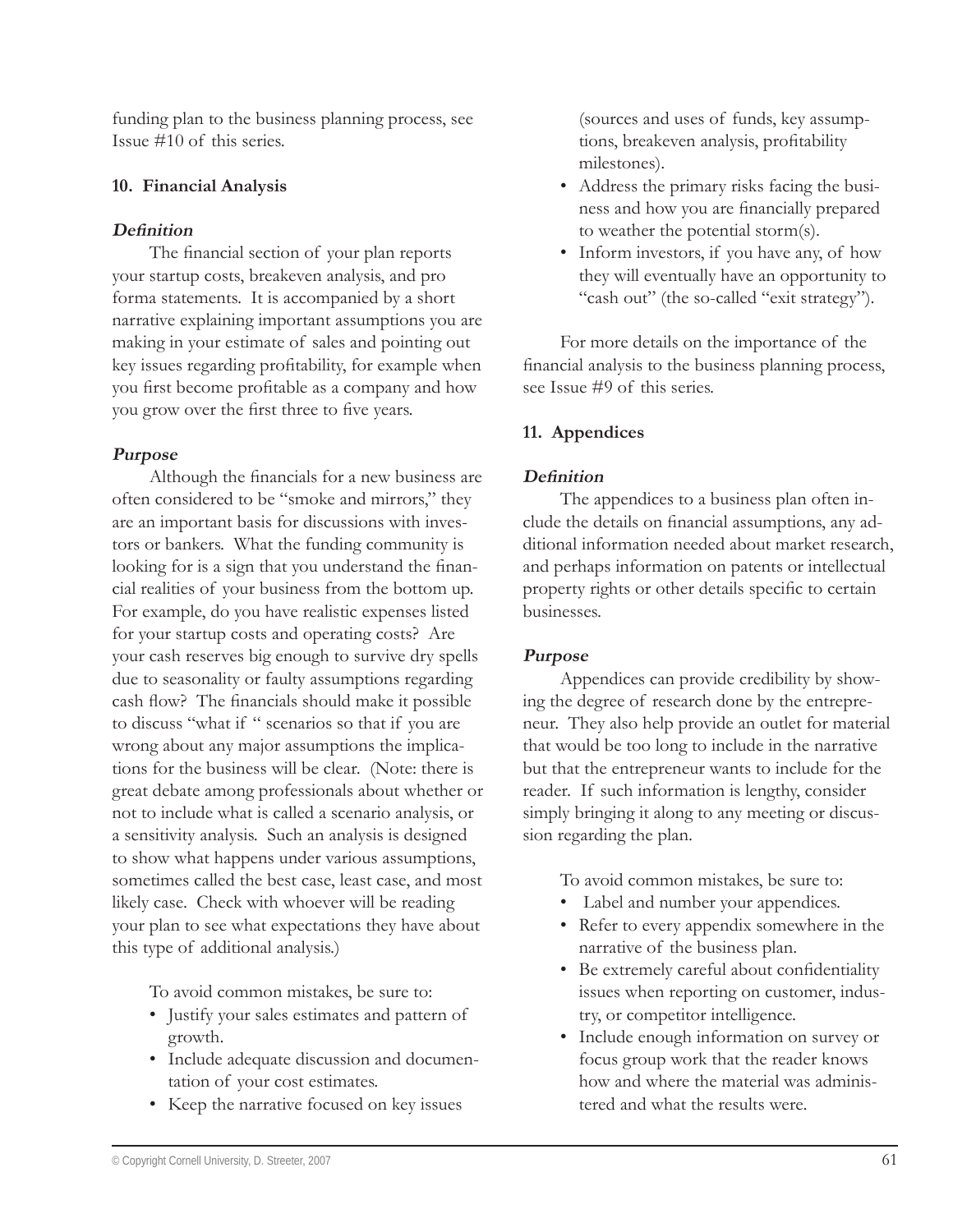funding plan to the business planning process, see Issue #10 of this series.

#### **10. Financial Analysis**

#### **Definition**

The financial section of your plan reports your startup costs, breakeven analysis, and pro forma statements. It is accompanied by a short narrative explaining important assumptions you are making in your estimate of sales and pointing out key issues regarding profitability, for example when you first become profitable as a company and how you grow over the first three to five years.

# **Purpose**

Although the financials for a new business are often considered to be "smoke and mirrors," they are an important basis for discussions with investors or bankers. What the funding community is looking for is a sign that you understand the financial realities of your business from the bottom up. For example, do you have realistic expenses listed for your startup costs and operating costs? Are your cash reserves big enough to survive dry spells due to seasonality or faulty assumptions regarding cash flow? The financials should make it possible to discuss "what if " scenarios so that if you are wrong about any major assumptions the implications for the business will be clear. (Note: there is great debate among professionals about whether or not to include what is called a scenario analysis, or a sensitivity analysis. Such an analysis is designed to show what happens under various assumptions, sometimes called the best case, least case, and most likely case. Check with whoever will be reading your plan to see what expectations they have about this type of additional analysis.)

To avoid common mistakes, be sure to:

- Justify your sales estimates and pattern of growth.
- Include adequate discussion and documentation of your cost estimates.
- Keep the narrative focused on key issues

(sources and uses of funds, key assumptions, breakeven analysis, profitability milestones).

- Address the primary risks facing the busi-• ness and how you are financially prepared to weather the potential storm(s).
- Inform investors, if you have any, of how they will eventually have an opportunity to "cash out" (the so-called "exit strategy").

For more details on the importance of the financial analysis to the business planning process, see Issue #9 of this series.

# **11. Appendices**

# Definition

The appendices to a business plan often include the details on financial assumptions, any additional information needed about market research, and perhaps information on patents or intellectual property rights or other details specific to certain businesses.

#### **Purpose**

Appendices can provide credibility by showing the degree of research done by the entrepreneur. They also help provide an outlet for material that would be too long to include in the narrative but that the entrepreneur wants to include for the reader. If such information is lengthy, consider simply bringing it along to any meeting or discussion regarding the plan.

To avoid common mistakes, be sure to:

- Label and number your appendices. •
- Refer to every appendix somewhere in the narrative of the business plan.
- Be extremely careful about confidentiality issues when reporting on customer, industry, or competitor intelligence.
- Include enough information on survey or focus group work that the reader knows how and where the material was administered and what the results were.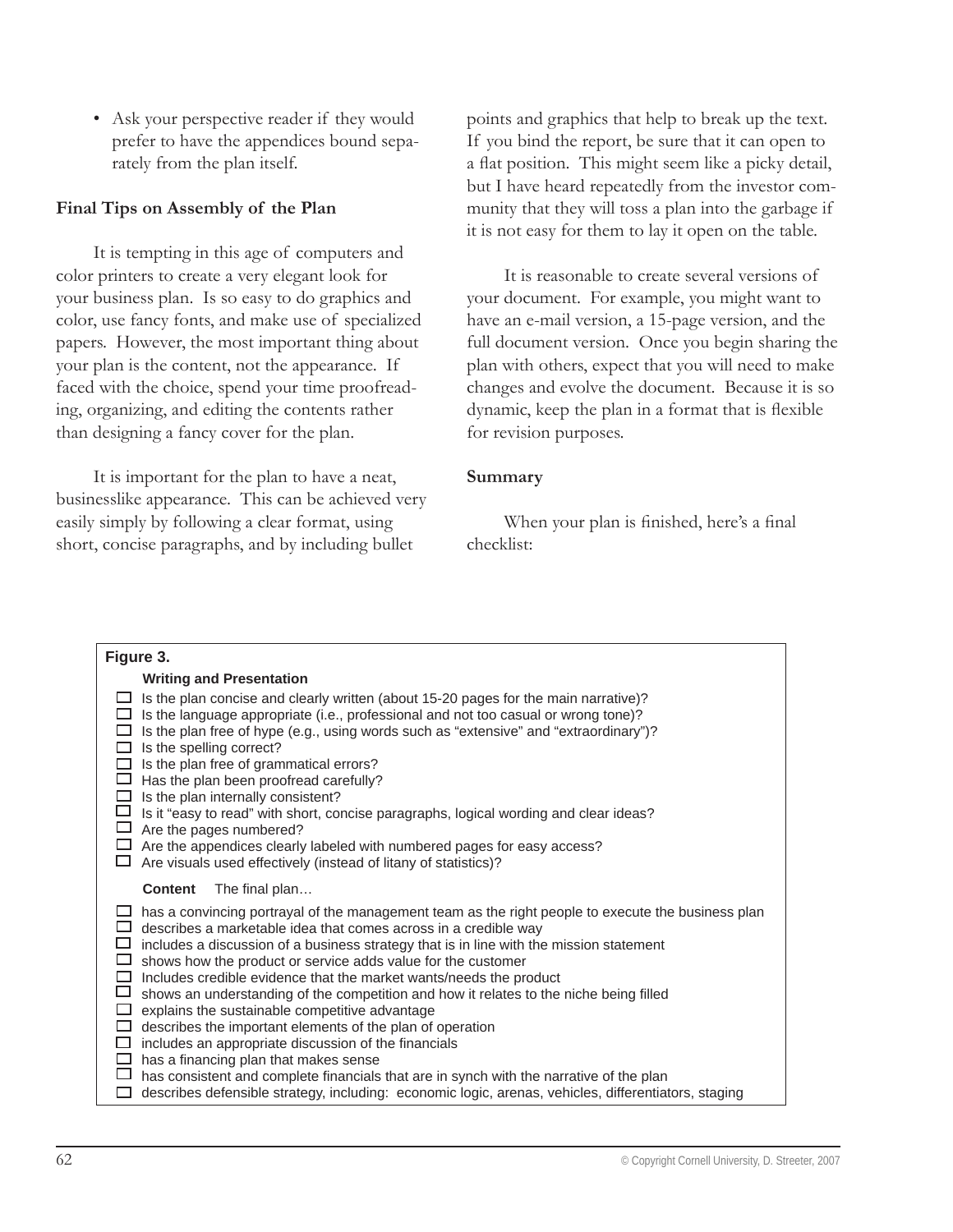Ask your perspective reader if they would prefer to have the appendices bound separately from the plan itself.

#### **Final Tips on Assembly of the Plan**

It is tempting in this age of computers and color printers to create a very elegant look for your business plan. Is so easy to do graphics and color, use fancy fonts, and make use of specialized papers. However, the most important thing about your plan is the content, not the appearance. If faced with the choice, spend your time proofreading, organizing, and editing the contents rather than designing a fancy cover for the plan.

It is important for the plan to have a neat, businesslike appearance. This can be achieved very easily simply by following a clear format, using short, concise paragraphs, and by including bullet

• points and graphics that help to break up the text. If you bind the report, be sure that it can open to a flat position. This might seem like a picky detail, but I have heard repeatedly from the investor community that they will toss a plan into the garbage if it is not easy for them to lay it open on the table.

It is reasonable to create several versions of your document. For example, you might want to have an e-mail version, a 15-page version, and the full document version. Once you begin sharing the plan with others, expect that you will need to make changes and evolve the document. Because it is so dynamic, keep the plan in a format that is flexible for revision purposes.

#### **Summary**

When your plan is finished, here's a final checklist:

| Figure 3.                                           |                                                                                                                                                                                                                                                                                                                                                                                                                                                                                                                                                                                                                                                                                                                                                                                                                                                                                                                                   |  |  |  |
|-----------------------------------------------------|-----------------------------------------------------------------------------------------------------------------------------------------------------------------------------------------------------------------------------------------------------------------------------------------------------------------------------------------------------------------------------------------------------------------------------------------------------------------------------------------------------------------------------------------------------------------------------------------------------------------------------------------------------------------------------------------------------------------------------------------------------------------------------------------------------------------------------------------------------------------------------------------------------------------------------------|--|--|--|
|                                                     | <b>Writing and Presentation</b>                                                                                                                                                                                                                                                                                                                                                                                                                                                                                                                                                                                                                                                                                                                                                                                                                                                                                                   |  |  |  |
| □<br>□<br>$\Box$<br>$\Box$<br>$\Box$<br>□           | Is the plan concise and clearly written (about 15-20 pages for the main narrative)?<br>Is the language appropriate (i.e., professional and not too casual or wrong tone)?<br>Is the plan free of hype (e.g., using words such as "extensive" and "extraordinary")?<br>Is the spelling correct?<br>Is the plan free of grammatical errors?<br>Has the plan been proofread carefully?<br>Is the plan internally consistent?<br>$\Box$ Is it "easy to read" with short, concise paragraphs, logical wording and clear ideas?<br>$\Box$ Are the pages numbered?<br>$\Box$ Are the appendices clearly labeled with numbered pages for easy access?<br>Are visuals used effectively (instead of litany of statistics)?                                                                                                                                                                                                                  |  |  |  |
|                                                     | <b>Content</b><br>The final plan                                                                                                                                                                                                                                                                                                                                                                                                                                                                                                                                                                                                                                                                                                                                                                                                                                                                                                  |  |  |  |
| $\Box$<br>□<br>$\Box$<br>$\Box$<br>ப<br>$\Box$<br>□ | has a convincing portrayal of the management team as the right people to execute the business plan<br>describes a marketable idea that comes across in a credible way<br>$\Box$ includes a discussion of a business strategy that is in line with the mission statement<br>shows how the product or service adds value for the customer<br>Includes credible evidence that the market wants/needs the product<br>shows an understanding of the competition and how it relates to the niche being filled<br>explains the sustainable competitive advantage<br>describes the important elements of the plan of operation<br>$\Box$ includes an appropriate discussion of the financials<br>has a financing plan that makes sense<br>has consistent and complete financials that are in synch with the narrative of the plan<br>describes defensible strategy, including: economic logic, arenas, vehicles, differentiators, staging |  |  |  |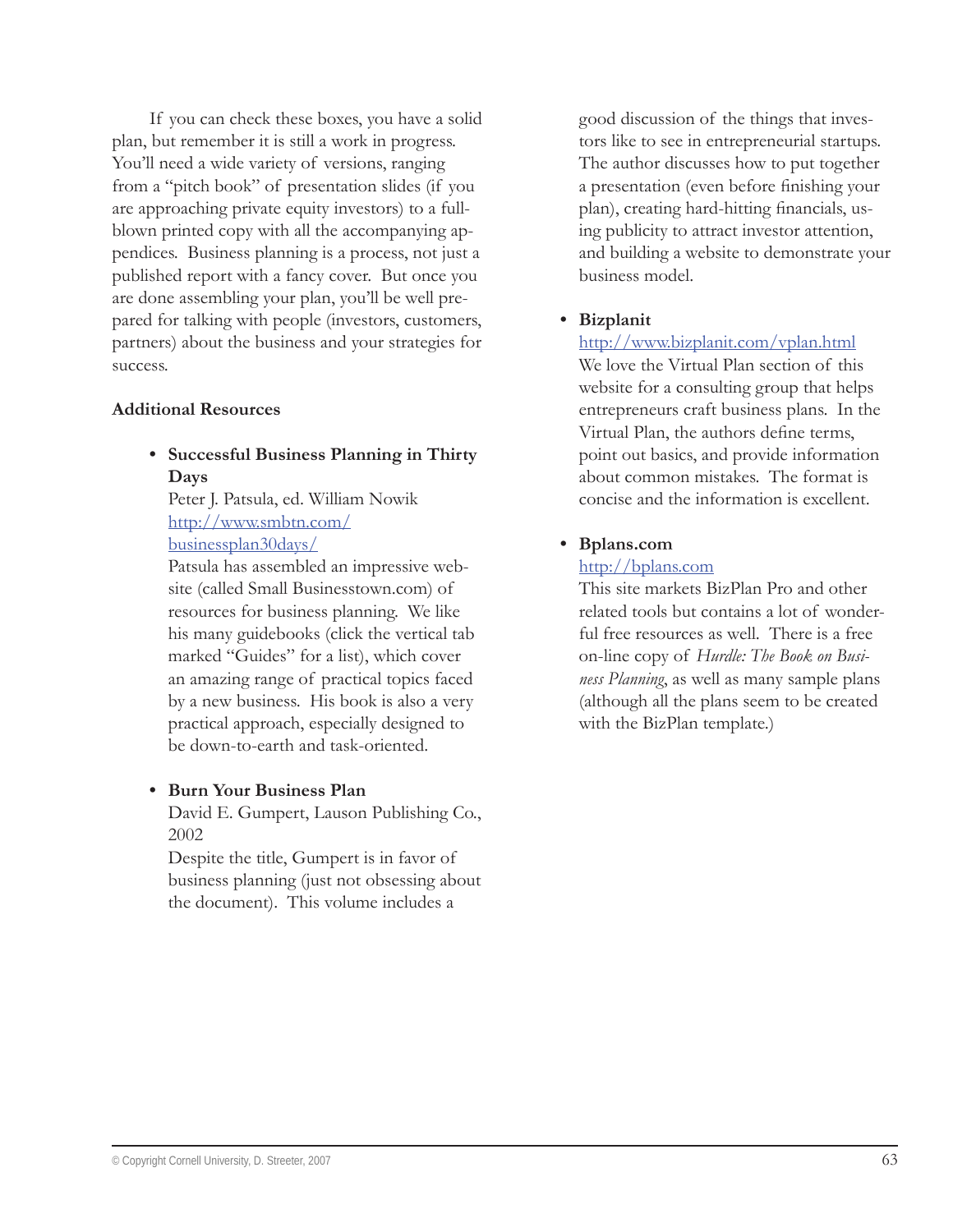If you can check these boxes, you have a solid plan, but remember it is still a work in progress. You'll need a wide variety of versions, ranging from a "pitch book" of presentation slides (if you are approaching private equity investors) to a fullblown printed copy with all the accompanying appendices. Business planning is a process, not just a published report with a fancy cover. But once you are done assembling your plan, you'll be well prepared for talking with people (investors, customers, partners) about the business and your strategies for success.

#### **Additional Resources**

**Successful Business Planning in Thirty • Days**

Peter J. Patsula, ed. William Nowik http://www.smbtn.com/ businessplan30days/

Patsula has assembled an impressive website (called Small Businesstown.com) of resources for business planning. We like his many guidebooks (click the vertical tab marked "Guides" for a list), which cover an amazing range of practical topics faced by a new business. His book is also a very practical approach, especially designed to be down-to-earth and task-oriented.

#### **Burn Your Business Plan •**

David E. Gumpert, Lauson Publishing Co., 2002

Despite the title, Gumpert is in favor of business planning (just not obsessing about the document). This volume includes a

good discussion of the things that investors like to see in entrepreneurial startups. The author discusses how to put together a presentation (even before finishing your plan), creating hard-hitting financials, using publicity to attract investor attention, and building a website to demonstrate your business model.

#### **Bizplanit •**

http://www.bizplanit.com/vplan.html We love the Virtual Plan section of this website for a consulting group that helps entrepreneurs craft business plans. In the Virtual Plan, the authors define terms, point out basics, and provide information about common mistakes. The format is concise and the information is excellent.

#### **Bplans.com •**

#### http://bplans.com

This site markets BizPlan Pro and other related tools but contains a lot of wonderful free resources as well. There is a free on-line copy of *Hurdle: The Book on Business Planning*, as well as many sample plans (although all the plans seem to be created with the BizPlan template.)